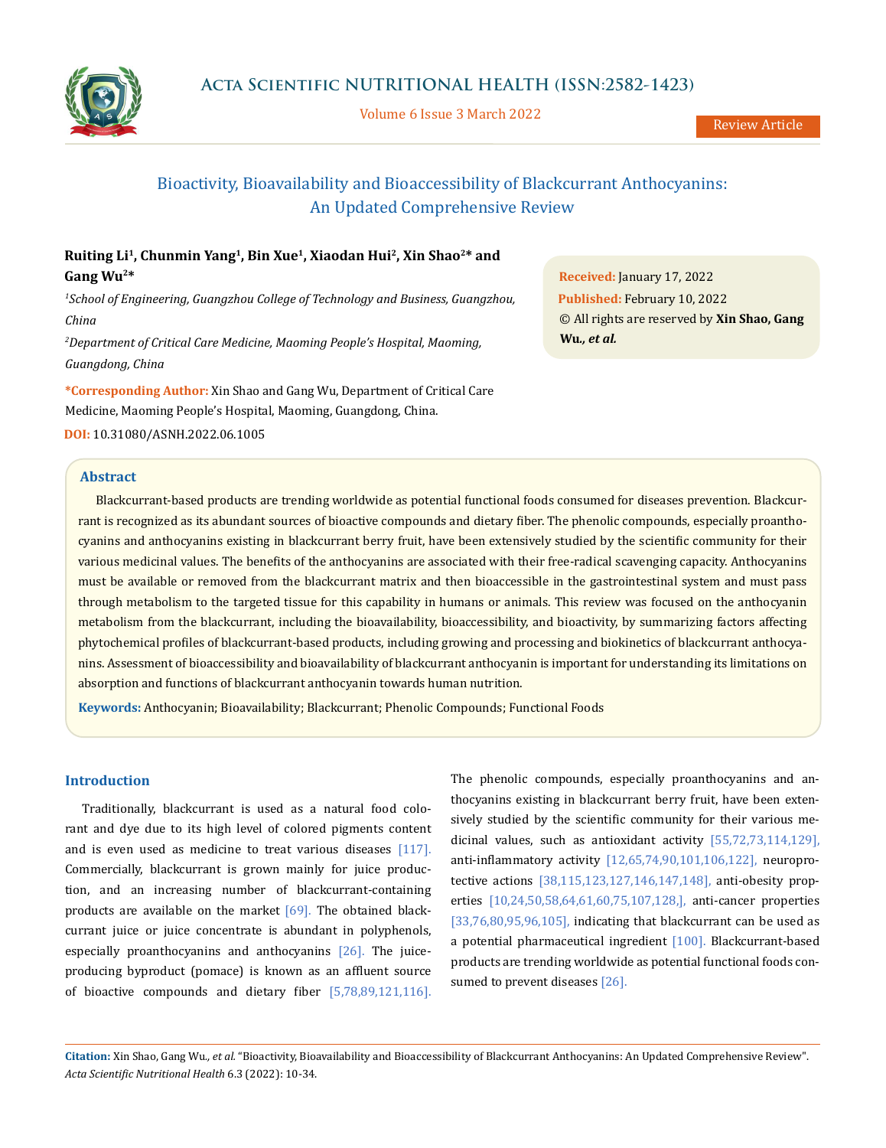

Volume 6 Issue 3 March 2022

# Bioactivity, Bioavailability and Bioaccessibility of Blackcurrant Anthocyanins: An Updated Comprehensive Review

# **Ruiting Li<sup>1</sup> , Chunmin Yang<sup>1</sup> , Bin Xue<sup>1</sup> , Xiaodan Hui<sup>2</sup> , Xin Shao<sup>2</sup>\* and Gang Wu<sup>2</sup>\***

*<sup>1</sup>School of Engineering, Guangzhou College of Technology and Business, Guangzhou, China* 

*<sup>2</sup>Department of Critical Care Medicine, Maoming People's Hospital, Maoming, Guangdong, China*

**\*Corresponding Author:** Xin Shao and Gang Wu, Department of Critical Care Medicine, Maoming People's Hospital, Maoming, Guangdong, China.

**DOI:** [10.31080/ASNH.2022.06.1005](https://actascientific.com/ASNH/pdf/ASNH-06-1005.pdf)

# **Abstract**

**Received:** January 17, 2022 **Published:** February 10, 2022 © All rights are reserved by **Xin Shao, Gang Wu***., et al.* 

Blackcurrant-based products are trending worldwide as potential functional foods consumed for diseases prevention. Blackcurrant is recognized as its abundant sources of bioactive compounds and dietary fiber. The phenolic compounds, especially proanthocyanins and anthocyanins existing in blackcurrant berry fruit, have been extensively studied by the scientific community for their various medicinal values. The benefits of the anthocyanins are associated with their free-radical scavenging capacity. Anthocyanins must be available or removed from the blackcurrant matrix and then bioaccessible in the gastrointestinal system and must pass through metabolism to the targeted tissue for this capability in humans or animals. This review was focused on the anthocyanin metabolism from the blackcurrant, including the bioavailability, bioaccessibility, and bioactivity, by summarizing factors affecting phytochemical profiles of blackcurrant-based products, including growing and processing and biokinetics of blackcurrant anthocyanins. Assessment of bioaccessibility and bioavailability of blackcurrant anthocyanin is important for understanding its limitations on absorption and functions of blackcurrant anthocyanin towards human nutrition.

**Keywords:** Anthocyanin; Bioavailability; Blackcurrant; Phenolic Compounds; Functional Foods

### **Introduction**

Traditionally, blackcurrant is used as a natural food colorant and dye due to its high level of colored pigments content and is even used as medicine to treat various diseases [117]. Commercially, blackcurrant is grown mainly for juice production, and an increasing number of blackcurrant-containing products are available on the market  $[69]$ . The obtained blackcurrant juice or juice concentrate is abundant in polyphenols, especially proanthocyanins and anthocyanins [26]. The juiceproducing byproduct (pomace) is known as an affluent source of bioactive compounds and dietary fiber [5,78,89,121,116]. The phenolic compounds, especially proanthocyanins and anthocyanins existing in blackcurrant berry fruit, have been extensively studied by the scientific community for their various medicinal values, such as antioxidant activity [55,72,73,114,129], anti-inflammatory activity [12,65,74,90,101,106,122], neuroprotective actions [38,115,123,127,146,147,148], anti-obesity properties [10,24,50,58,64,61,60,75,107,128,], anti-cancer properties [33,76,80,95,96,105], indicating that blackcurrant can be used as a potential pharmaceutical ingredient [100]. Blackcurrant-based products are trending worldwide as potential functional foods consumed to prevent diseases [26].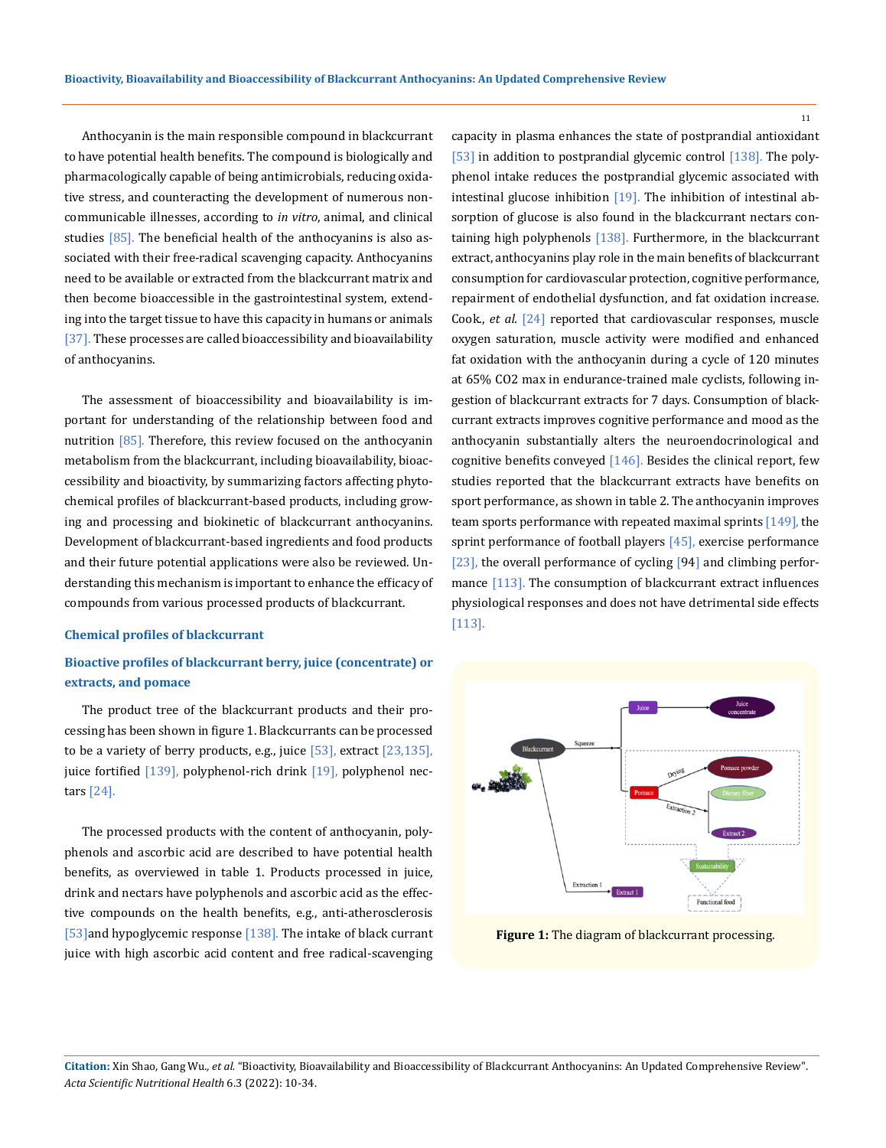Anthocyanin is the main responsible compound in blackcurrant to have potential health benefits. The compound is biologically and pharmacologically capable of being antimicrobials, reducing oxidative stress, and counteracting the development of numerous noncommunicable illnesses, according to *in vitro*, animal, and clinical studies  $[85]$ . The beneficial health of the anthocyanins is also associated with their free-radical scavenging capacity. Anthocyanins need to be available or extracted from the blackcurrant matrix and then become bioaccessible in the gastrointestinal system, extending into the target tissue to have this capacity in humans or animals [37]. These processes are called bioaccessibility and bioavailability of anthocyanins.

The assessment of bioaccessibility and bioavailability is important for understanding of the relationship between food and nutrition [85]. Therefore, this review focused on the anthocyanin metabolism from the blackcurrant, including bioavailability, bioaccessibility and bioactivity, by summarizing factors affecting phytochemical profiles of blackcurrant-based products, including growing and processing and biokinetic of blackcurrant anthocyanins. Development of blackcurrant-based ingredients and food products and their future potential applications were also be reviewed. Understanding this mechanism is important to enhance the efficacy of compounds from various processed products of blackcurrant.

#### **Chemical profiles of blackcurrant**

# **Bioactive profiles of blackcurrant berry, juice (concentrate) or extracts, and pomace**

The product tree of the blackcurrant products and their processing has been shown in figure 1. Blackcurrants can be processed to be a variety of berry products, e.g., juice  $[53]$ , extract  $[23,135]$ , juice fortified [139], polyphenol-rich drink [19], polyphenol nectars [24].

The processed products with the content of anthocyanin, polyphenols and ascorbic acid are described to have potential health benefits, as overviewed in table 1. Products processed in juice, drink and nectars have polyphenols and ascorbic acid as the effective compounds on the health benefits, e.g., anti-atherosclerosis [53] and hypoglycemic response [138]. The intake of black currant juice with high ascorbic acid content and free radical-scavenging capacity in plasma enhances the state of postprandial antioxidant [53] in addition to postprandial glycemic control [138]. The polyphenol intake reduces the postprandial glycemic associated with intestinal glucose inhibition  $[19]$ . The inhibition of intestinal absorption of glucose is also found in the blackcurrant nectars containing high polyphenols [138]. Furthermore, in the blackcurrant extract, anthocyanins play role in the main benefits of blackcurrant consumption for cardiovascular protection, cognitive performance, repairment of endothelial dysfunction, and fat oxidation increase. Cook., *et al.* [24] reported that cardiovascular responses, muscle oxygen saturation, muscle activity were modified and enhanced fat oxidation with the anthocyanin during a cycle of 120 minutes at 65% CO2 max in endurance-trained male cyclists, following ingestion of blackcurrant extracts for 7 days. Consumption of blackcurrant extracts improves cognitive performance and mood as the anthocyanin substantially alters the neuroendocrinological and cognitive benefits conveyed [146]. Besides the clinical report, few studies reported that the blackcurrant extracts have benefits on sport performance, as shown in table 2. The anthocyanin improves team sports performance with repeated maximal sprints [149], the sprint performance of football players [45], exercise performance [23], the overall performance of cycling [94] and climbing performance [113]. The consumption of blackcurrant extract influences physiological responses and does not have detrimental side effects [113].



**Figure 1:** The diagram of blackcurrant processing.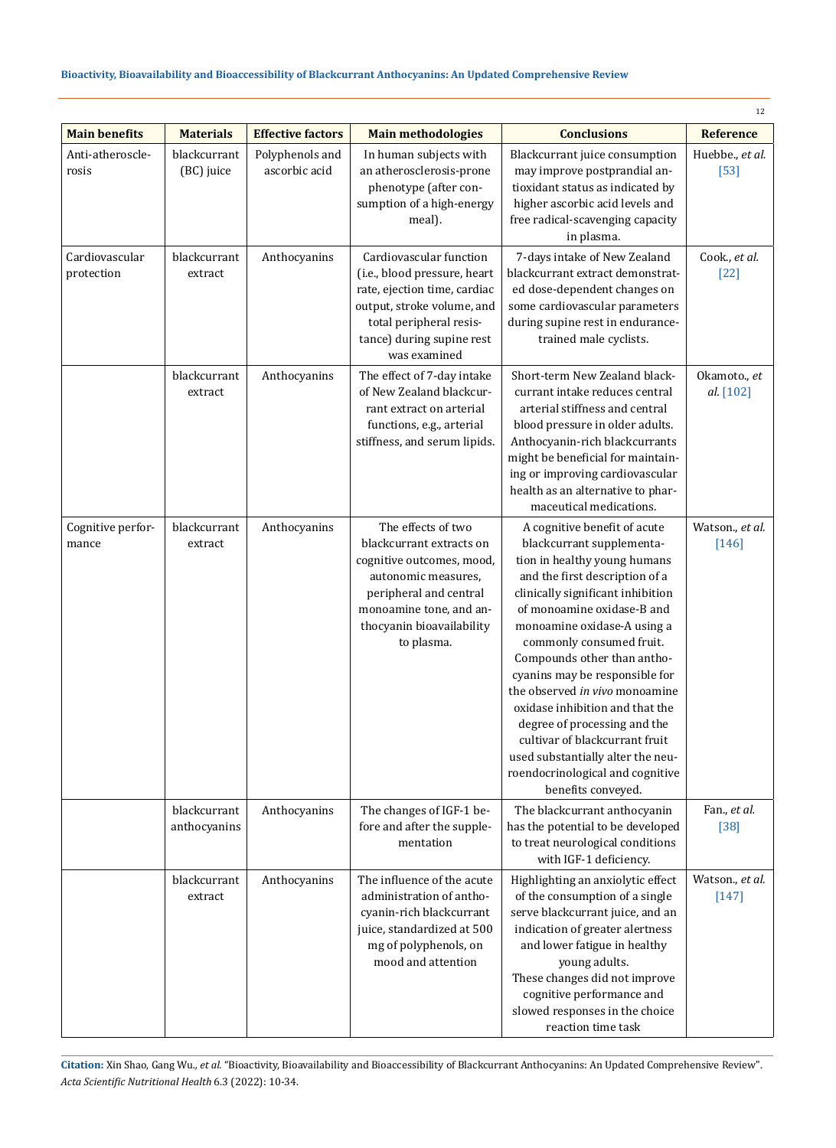|                              |                              |                                  |                                                                                                                                                                                                    |                                                                                                                                                                                                                                                                                                                                                                                                                                                                                                                                                                  | 12                         |
|------------------------------|------------------------------|----------------------------------|----------------------------------------------------------------------------------------------------------------------------------------------------------------------------------------------------|------------------------------------------------------------------------------------------------------------------------------------------------------------------------------------------------------------------------------------------------------------------------------------------------------------------------------------------------------------------------------------------------------------------------------------------------------------------------------------------------------------------------------------------------------------------|----------------------------|
| <b>Main benefits</b>         | <b>Materials</b>             | <b>Effective factors</b>         | <b>Main methodologies</b>                                                                                                                                                                          | <b>Conclusions</b>                                                                                                                                                                                                                                                                                                                                                                                                                                                                                                                                               | Reference                  |
| Anti-atheroscle-<br>rosis    | blackcurrant<br>(BC) juice   | Polyphenols and<br>ascorbic acid | In human subjects with<br>an atherosclerosis-prone<br>phenotype (after con-<br>sumption of a high-energy<br>meal).                                                                                 | Blackcurrant juice consumption<br>may improve postprandial an-<br>tioxidant status as indicated by<br>higher ascorbic acid levels and<br>free radical-scavenging capacity<br>in plasma.                                                                                                                                                                                                                                                                                                                                                                          | Huebbe., et al.<br>$[53]$  |
| Cardiovascular<br>protection | blackcurrant<br>extract      | Anthocyanins                     | Cardiovascular function<br>(i.e., blood pressure, heart<br>rate, ejection time, cardiac<br>output, stroke volume, and<br>total peripheral resis-<br>tance) during supine rest<br>was examined      | 7-days intake of New Zealand<br>blackcurrant extract demonstrat-<br>ed dose-dependent changes on<br>some cardiovascular parameters<br>during supine rest in endurance-<br>trained male cyclists.                                                                                                                                                                                                                                                                                                                                                                 | Cook., et al.<br>$[22]$    |
|                              | blackcurrant<br>extract      | Anthocyanins                     | The effect of 7-day intake<br>of New Zealand blackcur-<br>rant extract on arterial<br>functions, e.g., arterial<br>stiffness, and serum lipids.                                                    | Short-term New Zealand black-<br>currant intake reduces central<br>arterial stiffness and central<br>blood pressure in older adults.<br>Anthocyanin-rich blackcurrants<br>might be beneficial for maintain-<br>ing or improving cardiovascular<br>health as an alternative to phar-<br>maceutical medications.                                                                                                                                                                                                                                                   | Okamoto., et<br>al. [102]  |
| Cognitive perfor-<br>mance   | blackcurrant<br>extract      | Anthocyanins                     | The effects of two<br>blackcurrant extracts on<br>cognitive outcomes, mood,<br>autonomic measures,<br>peripheral and central<br>monoamine tone, and an-<br>thocyanin bioavailability<br>to plasma. | A cognitive benefit of acute<br>blackcurrant supplementa-<br>tion in healthy young humans<br>and the first description of a<br>clinically significant inhibition<br>of monoamine oxidase-B and<br>monoamine oxidase-A using a<br>commonly consumed fruit.<br>Compounds other than antho-<br>cyanins may be responsible for<br>the observed in vivo monoamine<br>oxidase inhibition and that the<br>degree of processing and the<br>cultivar of blackcurrant fruit<br>used substantially alter the neu-<br>roendocrinological and cognitive<br>benefits conveyed. | Watson., et al.<br>$[146]$ |
|                              | blackcurrant<br>anthocyanins | Anthocyanins                     | The changes of IGF-1 be-<br>fore and after the supple-<br>mentation                                                                                                                                | The blackcurrant anthocyanin<br>has the potential to be developed<br>to treat neurological conditions<br>with IGF-1 deficiency.                                                                                                                                                                                                                                                                                                                                                                                                                                  | Fan., et al.<br>$[38]$     |
|                              | blackcurrant<br>extract      | Anthocyanins                     | The influence of the acute<br>administration of antho-<br>cyanin-rich blackcurrant<br>juice, standardized at 500<br>mg of polyphenols, on<br>mood and attention                                    | Highlighting an anxiolytic effect<br>of the consumption of a single<br>serve blackcurrant juice, and an<br>indication of greater alertness<br>and lower fatigue in healthy<br>young adults.<br>These changes did not improve<br>cognitive performance and<br>slowed responses in the choice<br>reaction time task                                                                                                                                                                                                                                                | Watson., et al.<br>$[147]$ |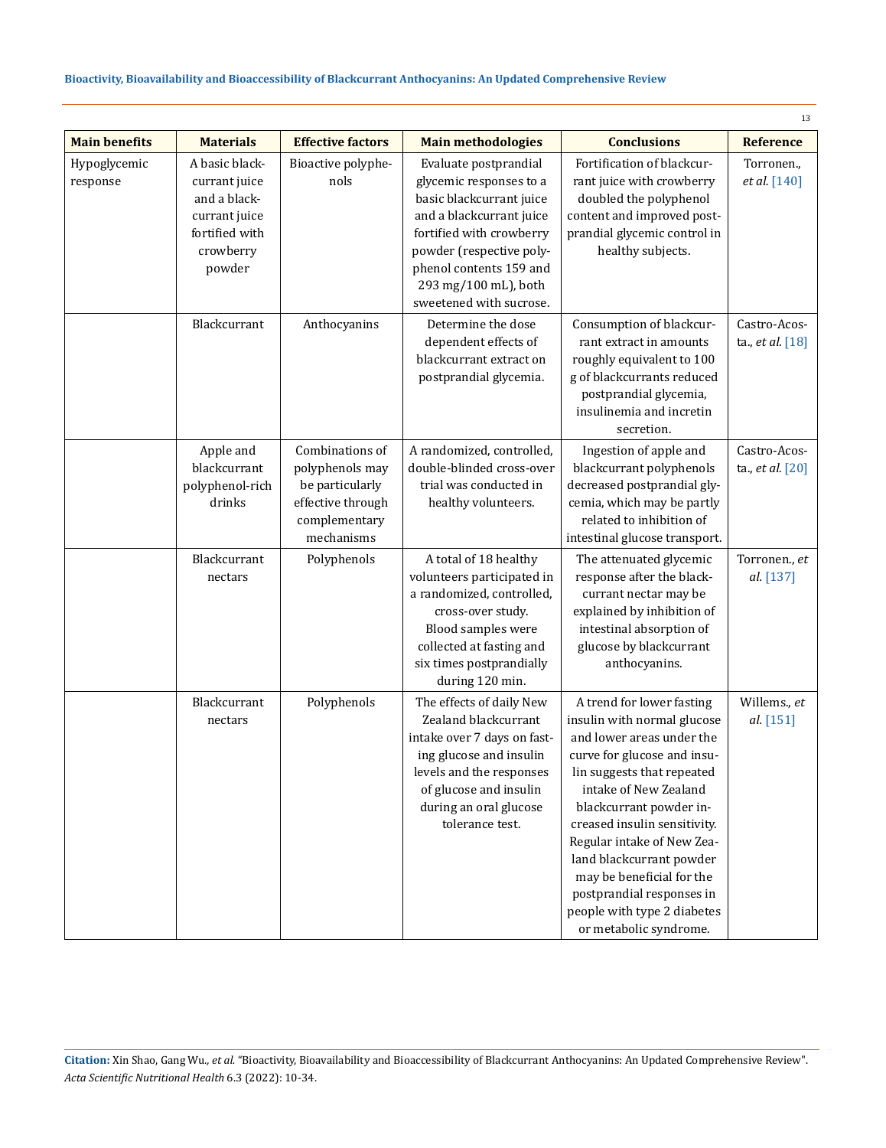| <b>Main benefits</b>     | <b>Materials</b>                                                                                          | <b>Effective factors</b>                                                                                  | <b>Main methodologies</b>                                                                                                                                                                                                                      | <b>Conclusions</b>                                                                                                                                                                                                                                                                                                                                                                                                  | <b>Reference</b>                 |
|--------------------------|-----------------------------------------------------------------------------------------------------------|-----------------------------------------------------------------------------------------------------------|------------------------------------------------------------------------------------------------------------------------------------------------------------------------------------------------------------------------------------------------|---------------------------------------------------------------------------------------------------------------------------------------------------------------------------------------------------------------------------------------------------------------------------------------------------------------------------------------------------------------------------------------------------------------------|----------------------------------|
| Hypoglycemic<br>response | A basic black-<br>currant juice<br>and a black-<br>currant juice<br>fortified with<br>crowberry<br>powder | Bioactive polyphe-<br>nols                                                                                | Evaluate postprandial<br>glycemic responses to a<br>basic blackcurrant juice<br>and a blackcurrant juice<br>fortified with crowberry<br>powder (respective poly-<br>phenol contents 159 and<br>293 mg/100 mL), both<br>sweetened with sucrose. | Fortification of blackcur-<br>rant juice with crowberry<br>doubled the polyphenol<br>content and improved post-<br>prandial glycemic control in<br>healthy subjects.                                                                                                                                                                                                                                                | Torronen.,<br>et al. [140]       |
|                          | Blackcurrant                                                                                              | Anthocyanins                                                                                              | Determine the dose<br>dependent effects of<br>blackcurrant extract on<br>postprandial glycemia.                                                                                                                                                | Consumption of blackcur-<br>rant extract in amounts<br>roughly equivalent to 100<br>g of blackcurrants reduced<br>postprandial glycemia,<br>insulinemia and incretin<br>secretion.                                                                                                                                                                                                                                  | Castro-Acos-<br>ta., et al. [18] |
|                          | Apple and<br>blackcurrant<br>polyphenol-rich<br>drinks                                                    | Combinations of<br>polyphenols may<br>be particularly<br>effective through<br>complementary<br>mechanisms | A randomized, controlled,<br>double-blinded cross-over<br>trial was conducted in<br>healthy volunteers.                                                                                                                                        | Ingestion of apple and<br>blackcurrant polyphenols<br>decreased postprandial gly-<br>cemia, which may be partly<br>related to inhibition of<br>intestinal glucose transport.                                                                                                                                                                                                                                        | Castro-Acos-<br>ta., et al. [20] |
|                          | Blackcurrant<br>nectars                                                                                   | Polyphenols                                                                                               | A total of 18 healthy<br>volunteers participated in<br>a randomized, controlled,<br>cross-over study.<br>Blood samples were<br>collected at fasting and<br>six times postprandially<br>during 120 min.                                         | The attenuated glycemic<br>response after the black-<br>currant nectar may be<br>explained by inhibition of<br>intestinal absorption of<br>glucose by blackcurrant<br>anthocyanins.                                                                                                                                                                                                                                 | Torronen., et<br>al. [137]       |
|                          | Blackcurrant<br>nectars                                                                                   | Polyphenols                                                                                               | The effects of daily New<br>Zealand blackcurrant<br>intake over 7 days on fast-<br>ing glucose and insulin<br>levels and the responses<br>of glucose and insulin<br>during an oral glucose<br>tolerance test.                                  | A trend for lower fasting<br>insulin with normal glucose<br>and lower areas under the<br>curve for glucose and insu-<br>lin suggests that repeated<br>intake of New Zealand<br>blackcurrant powder in-<br>creased insulin sensitivity.<br>Regular intake of New Zea-<br>land blackcurrant powder<br>may be beneficial for the<br>postprandial responses in<br>people with type 2 diabetes<br>or metabolic syndrome. | Willems., et<br>al. [151]        |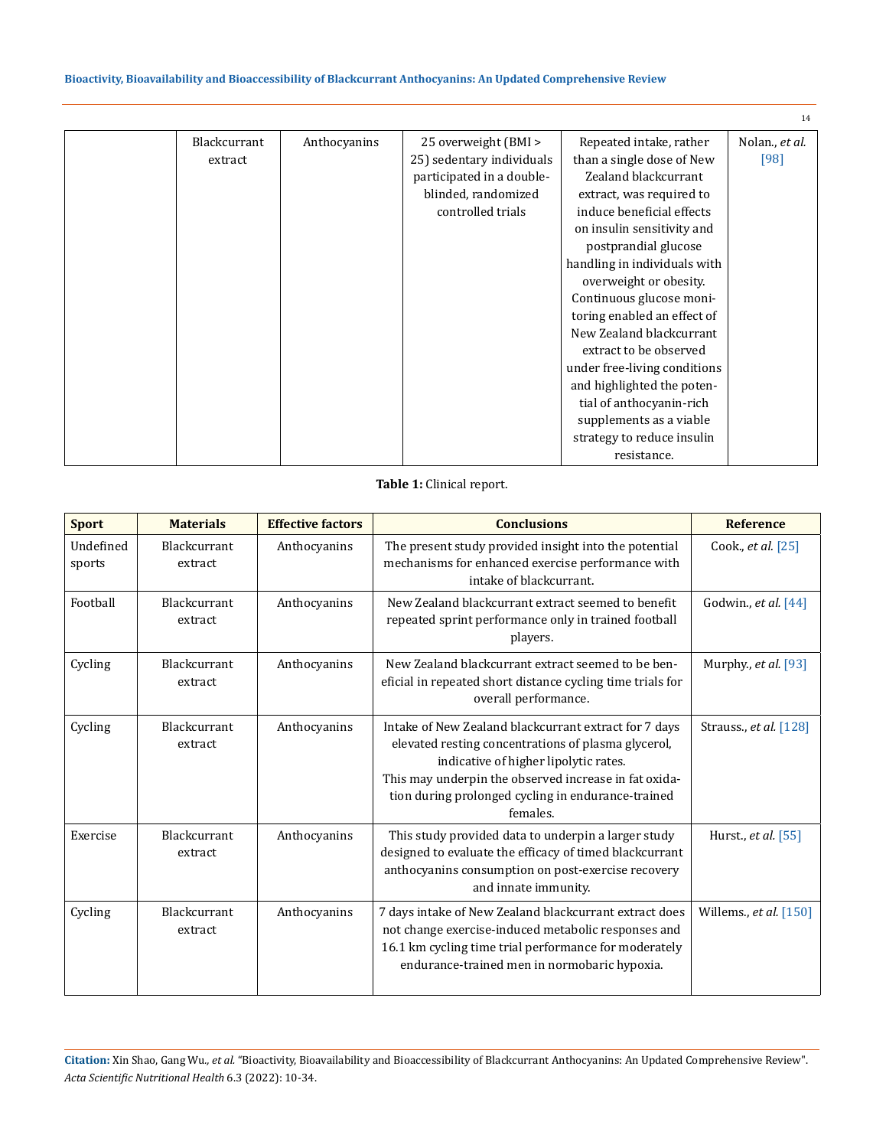|              |              |                           |                              | 14             |
|--------------|--------------|---------------------------|------------------------------|----------------|
| Blackcurrant | Anthocyanins | 25 overweight (BMI >      | Repeated intake, rather      | Nolan., et al. |
| extract      |              | 25) sedentary individuals | than a single dose of New    | [98]           |
|              |              | participated in a double- | Zealand blackcurrant         |                |
|              |              | blinded, randomized       | extract, was required to     |                |
|              |              | controlled trials         | induce beneficial effects    |                |
|              |              |                           | on insulin sensitivity and   |                |
|              |              |                           | postprandial glucose         |                |
|              |              |                           | handling in individuals with |                |
|              |              |                           | overweight or obesity.       |                |
|              |              |                           | Continuous glucose moni-     |                |
|              |              |                           | toring enabled an effect of  |                |
|              |              |                           | New Zealand blackcurrant     |                |
|              |              |                           | extract to be observed       |                |
|              |              |                           | under free-living conditions |                |
|              |              |                           | and highlighted the poten-   |                |
|              |              |                           | tial of anthocyanin-rich     |                |
|              |              |                           | supplements as a viable      |                |
|              |              |                           | strategy to reduce insulin   |                |
|              |              |                           | resistance.                  |                |

## **Table 1:** Clinical report.

| <b>Sport</b>        | <b>Materials</b>               | <b>Effective factors</b> | <b>Conclusions</b>                                                                                                                                                                                                                                                               | <b>Reference</b>         |
|---------------------|--------------------------------|--------------------------|----------------------------------------------------------------------------------------------------------------------------------------------------------------------------------------------------------------------------------------------------------------------------------|--------------------------|
| Undefined<br>sports | Blackcurrant<br>extract        | Anthocyanins             | The present study provided insight into the potential<br>mechanisms for enhanced exercise performance with<br>intake of blackcurrant.                                                                                                                                            | Cook., et al. [25]       |
| Football            | <b>Blackcurrant</b><br>extract | Anthocyanins             | New Zealand blackcurrant extract seemed to benefit<br>repeated sprint performance only in trained football<br>players.                                                                                                                                                           | Godwin., et al. [44]     |
| Cycling             | Blackcurrant<br>extract        | Anthocyanins             | New Zealand blackcurrant extract seemed to be ben-<br>eficial in repeated short distance cycling time trials for<br>overall performance.                                                                                                                                         | Murphy., et al. [93]     |
| Cycling             | <b>Blackcurrant</b><br>extract | Anthocyanins             | Intake of New Zealand blackcurrant extract for 7 days<br>elevated resting concentrations of plasma glycerol,<br>indicative of higher lipolytic rates.<br>This may underpin the observed increase in fat oxida-<br>tion during prolonged cycling in endurance-trained<br>females. | Strauss., et al. [128]   |
| Exercise            | Blackcurrant<br>extract        | Anthocyanins             | This study provided data to underpin a larger study<br>designed to evaluate the efficacy of timed blackcurrant<br>anthocyanins consumption on post-exercise recovery<br>and innate immunity.                                                                                     | Hurst., et al. [55]      |
| Cycling             | <b>Blackcurrant</b><br>extract | Anthocyanins             | 7 days intake of New Zealand blackcurrant extract does<br>not change exercise-induced metabolic responses and<br>16.1 km cycling time trial performance for moderately<br>endurance-trained men in normobaric hypoxia.                                                           | Willems., et al. $[150]$ |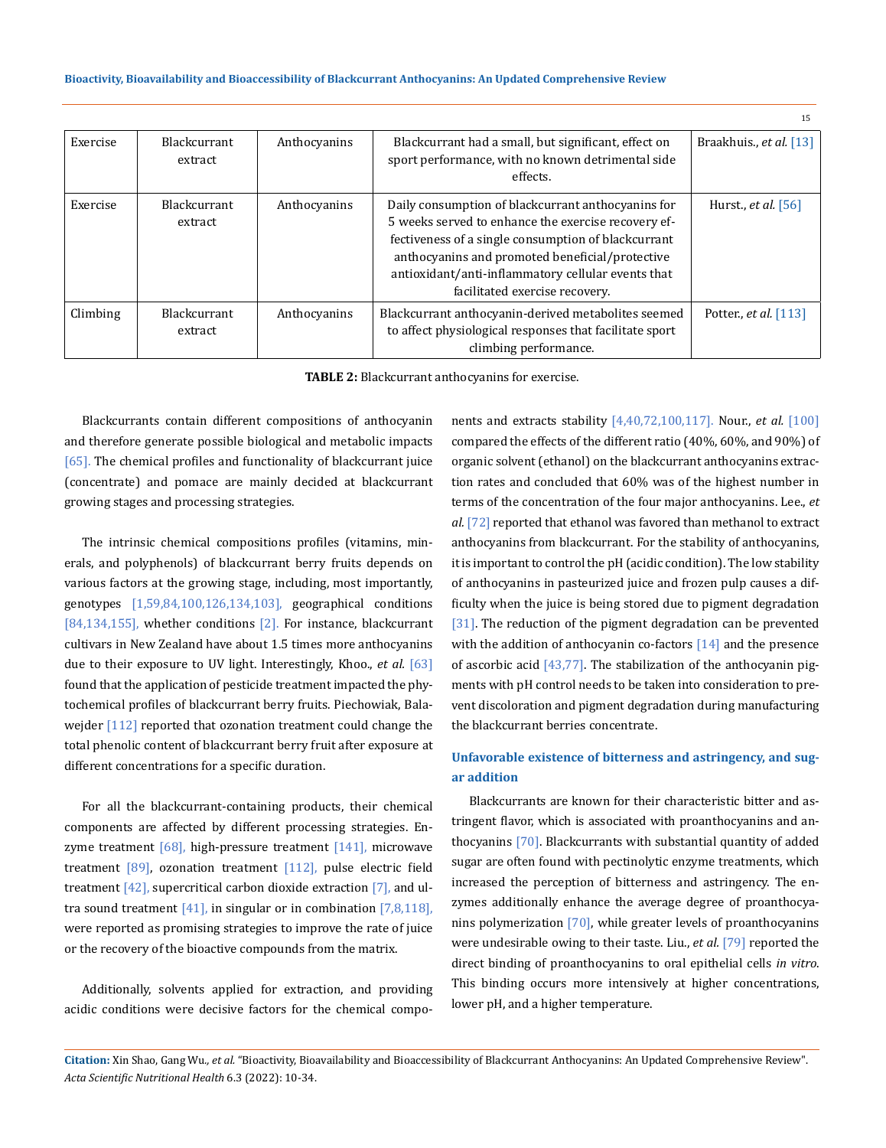|          |                                |              |                                                                                                                                                                                                                                                                                                             | 15                           |
|----------|--------------------------------|--------------|-------------------------------------------------------------------------------------------------------------------------------------------------------------------------------------------------------------------------------------------------------------------------------------------------------------|------------------------------|
| Exercise | <b>Blackcurrant</b><br>extract | Anthocyanins | Blackcurrant had a small, but significant, effect on<br>sport performance, with no known detrimental side<br>effects.                                                                                                                                                                                       | Braakhuis., et al. [13]      |
| Exercise | Blackcurrant<br>extract        | Anthocyanins | Daily consumption of blackcurrant anthocyanins for<br>5 weeks served to enhance the exercise recovery ef-<br>fectiveness of a single consumption of blackcurrant<br>anthocyanins and promoted beneficial/protective<br>antioxidant/anti-inflammatory cellular events that<br>facilitated exercise recovery. | Hurst., <i>et al.</i> [56]   |
| Climbing | <b>Blackcurrant</b><br>extract | Anthocyanins | Blackcurrant anthocyanin-derived metabolites seemed<br>to affect physiological responses that facilitate sport<br>climbing performance.                                                                                                                                                                     | Potter., <i>et al.</i> [113] |

**TABLE 2:** Blackcurrant anthocyanins for exercise.

Blackcurrants contain different compositions of anthocyanin and therefore generate possible biological and metabolic impacts [65]. The chemical profiles and functionality of blackcurrant juice (concentrate) and pomace are mainly decided at blackcurrant growing stages and processing strategies.

The intrinsic chemical compositions profiles (vitamins, minerals, and polyphenols) of blackcurrant berry fruits depends on various factors at the growing stage, including, most importantly, genotypes [1,59,84,100,126,134,103], geographical conditions [84,134,155], whether conditions [2]. For instance, blackcurrant cultivars in New Zealand have about 1.5 times more anthocyanins due to their exposure to UV light. Interestingly, Khoo., *et al.* [63] found that the application of pesticide treatment impacted the phytochemical profiles of blackcurrant berry fruits. Piechowiak, Balawejder <a>[112]</a> reported that ozonation treatment could change the total phenolic content of blackcurrant berry fruit after exposure at different concentrations for a specific duration.

For all the blackcurrant-containing products, their chemical components are affected by different processing strategies. Enzyme treatment  $[68]$ , high-pressure treatment  $[141]$ , microwave treatment  $[89]$ , ozonation treatment  $[112]$ , pulse electric field treatment  $[42]$ , supercritical carbon dioxide extraction  $[7]$ , and ultra sound treatment  $[41]$ , in singular or in combination  $[7,8,118]$ , were reported as promising strategies to improve the rate of juice or the recovery of the bioactive compounds from the matrix.

Additionally, solvents applied for extraction, and providing acidic conditions were decisive factors for the chemical components and extracts stability [4,40,72,100,117]. Nour., *et al.* [100] compared the effects of the different ratio (40%, 60%, and 90%) of organic solvent (ethanol) on the blackcurrant anthocyanins extraction rates and concluded that 60% was of the highest number in terms of the concentration of the four major anthocyanins. Lee., *et al.* [72] reported that ethanol was favored than methanol to extract anthocyanins from blackcurrant. For the stability of anthocyanins, it is important to control the pH (acidic condition). The low stability of anthocyanins in pasteurized juice and frozen pulp causes a difficulty when the juice is being stored due to pigment degradation [31]. The reduction of the pigment degradation can be prevented with the addition of anthocyanin co-factors [14] and the presence of ascorbic acid  $[43,77]$ . The stabilization of the anthocyanin pigments with pH control needs to be taken into consideration to prevent discoloration and pigment degradation during manufacturing the blackcurrant berries concentrate.

# **Unfavorable existence of bitterness and astringency, and sugar addition**

Blackcurrants are known for their characteristic bitter and astringent flavor, which is associated with proanthocyanins and anthocyanins [70]. Blackcurrants with substantial quantity of added sugar are often found with pectinolytic enzyme treatments, which increased the perception of bitterness and astringency. The enzymes additionally enhance the average degree of proanthocyanins polymerization [70], while greater levels of proanthocyanins were undesirable owing to their taste. Liu., *et al.* [79] reported the direct binding of proanthocyanins to oral epithelial cells *in vitro*. This binding occurs more intensively at higher concentrations, lower pH, and a higher temperature.

**Citation:** Xin Shao, Gang Wu*., et al.* "Bioactivity, Bioavailability and Bioaccessibility of Blackcurrant Anthocyanins: An Updated Comprehensive Review". *Acta Scientific Nutritional Health* 6.3 (2022): 10-34.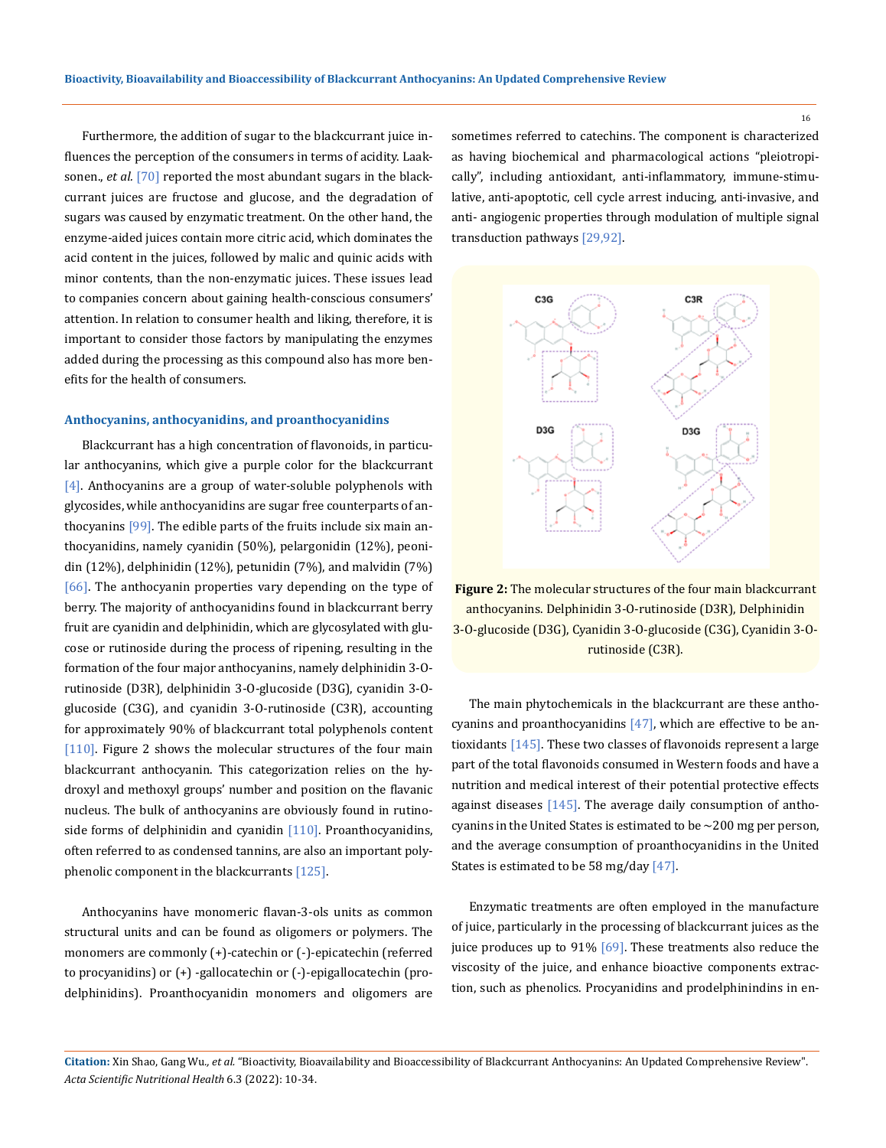Furthermore, the addition of sugar to the blackcurrant juice influences the perception of the consumers in terms of acidity. Laaksonen., *et al.* [70] reported the most abundant sugars in the blackcurrant juices are fructose and glucose, and the degradation of sugars was caused by enzymatic treatment. On the other hand, the enzyme-aided juices contain more citric acid, which dominates the acid content in the juices, followed by malic and quinic acids with minor contents, than the non-enzymatic juices. These issues lead to companies concern about gaining health-conscious consumers' attention. In relation to consumer health and liking, therefore, it is important to consider those factors by manipulating the enzymes added during the processing as this compound also has more benefits for the health of consumers.

#### **Anthocyanins, anthocyanidins, and proanthocyanidins**

Blackcurrant has a high concentration of flavonoids, in particular anthocyanins, which give a purple color for the blackcurrant [4]. Anthocyanins are a group of water-soluble polyphenols with glycosides, while anthocyanidins are sugar free counterparts of anthocyanins [99]. The edible parts of the fruits include six main anthocyanidins, namely cyanidin (50%), pelargonidin (12%), peonidin (12%), delphinidin (12%), petunidin (7%), and malvidin (7%) [66]. The anthocyanin properties vary depending on the type of berry. The majority of anthocyanidins found in blackcurrant berry fruit are cyanidin and delphinidin, which are glycosylated with glucose or rutinoside during the process of ripening, resulting in the formation of the four major anthocyanins, namely delphinidin 3-Orutinoside (D3R), delphinidin 3-O-glucoside (D3G), cyanidin 3-Oglucoside (C3G), and cyanidin 3-O-rutinoside (C3R), accounting for approximately 90% of blackcurrant total polyphenols content [110]. Figure 2 shows the molecular structures of the four main blackcurrant anthocyanin. This categorization relies on the hydroxyl and methoxyl groups' number and position on the flavanic nucleus. The bulk of anthocyanins are obviously found in rutinoside forms of delphinidin and cyanidin  $[110]$ . Proanthocyanidins, often referred to as condensed tannins, are also an important polyphenolic component in the blackcurrants [125].

Anthocyanins have monomeric flavan-3-ols units as common structural units and can be found as oligomers or polymers. The monomers are commonly (+)-catechin or (-)-epicatechin (referred to procyanidins) or (+) -gallocatechin or (-)-epigallocatechin (prodelphinidins). Proanthocyanidin monomers and oligomers are sometimes referred to catechins. The component is characterized as having biochemical and pharmacological actions "pleiotropically", including antioxidant, anti-inflammatory, immune-stimulative, anti-apoptotic, cell cycle arrest inducing, anti-invasive, and anti- angiogenic properties through modulation of multiple signal transduction pathways [29,92].



**Figure 2:** The molecular structures of the four main blackcurrant anthocyanins. Delphinidin 3-O-rutinoside (D3R), Delphinidin 3-O-glucoside (D3G), Cyanidin 3-O-glucoside (C3G), Cyanidin 3-Orutinoside (C3R).

The main phytochemicals in the blackcurrant are these anthocyanins and proanthocyanidins [47], which are effective to be antioxidants [145]. These two classes of flavonoids represent a large part of the total flavonoids consumed in Western foods and have a nutrition and medical interest of their potential protective effects against diseases [145]. The average daily consumption of anthocyanins in the United States is estimated to be ∼200 mg per person, and the average consumption of proanthocyanidins in the United States is estimated to be 58 mg/day [47].

Enzymatic treatments are often employed in the manufacture of juice, particularly in the processing of blackcurrant juices as the juice produces up to 91% [69]. These treatments also reduce the viscosity of the juice, and enhance bioactive components extraction, such as phenolics. Procyanidins and prodelphinindins in en-

**Citation:** Xin Shao, Gang Wu*., et al.* "Bioactivity, Bioavailability and Bioaccessibility of Blackcurrant Anthocyanins: An Updated Comprehensive Review". *Acta Scientific Nutritional Health* 6.3 (2022): 10-34.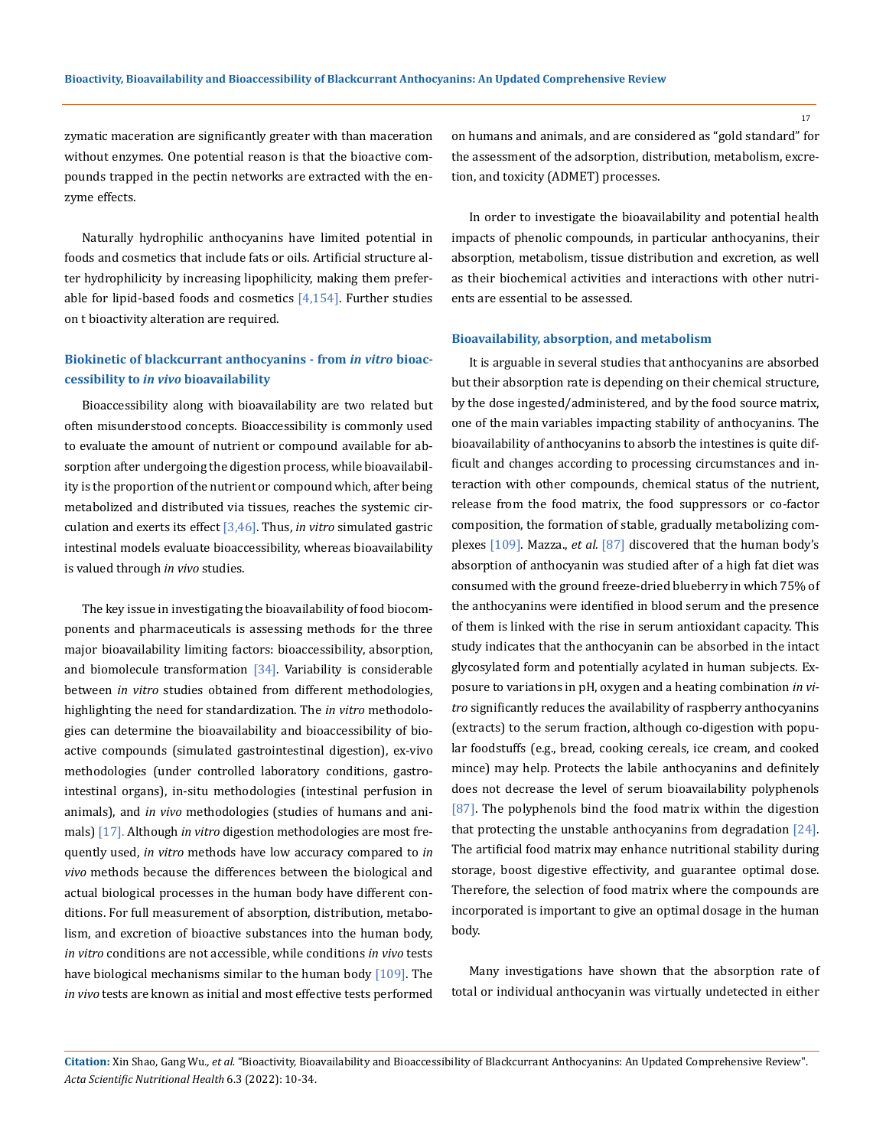zymatic maceration are significantly greater with than maceration without enzymes. One potential reason is that the bioactive compounds trapped in the pectin networks are extracted with the enzyme effects.

Naturally hydrophilic anthocyanins have limited potential in foods and cosmetics that include fats or oils. Artificial structure alter hydrophilicity by increasing lipophilicity, making them preferable for lipid-based foods and cosmetics  $[4,154]$ . Further studies on t bioactivity alteration are required.

# **Biokinetic of blackcurrant anthocyanins - from** *in vitro* **bioaccessibility to** *in vivo* **bioavailability**

Bioaccessibility along with bioavailability are two related but often misunderstood concepts. Bioaccessibility is commonly used to evaluate the amount of nutrient or compound available for absorption after undergoing the digestion process, while bioavailability is the proportion of the nutrient or compound which, after being metabolized and distributed via tissues, reaches the systemic circulation and exerts its effect [3,46]. Thus, *in vitro* simulated gastric intestinal models evaluate bioaccessibility, whereas bioavailability is valued through *in vivo* studies.

The key issue in investigating the bioavailability of food biocomponents and pharmaceuticals is assessing methods for the three major bioavailability limiting factors: bioaccessibility, absorption, and biomolecule transformation  $[34]$ . Variability is considerable between *in vitro* studies obtained from different methodologies, highlighting the need for standardization. The *in vitro* methodologies can determine the bioavailability and bioaccessibility of bioactive compounds (simulated gastrointestinal digestion), ex-vivo methodologies (under controlled laboratory conditions, gastrointestinal organs), in-situ methodologies (intestinal perfusion in animals), and *in vivo* methodologies (studies of humans and animals) [17]. Although *in vitro* digestion methodologies are most frequently used, *in vitro* methods have low accuracy compared to *in vivo* methods because the differences between the biological and actual biological processes in the human body have different conditions. For full measurement of absorption, distribution, metabolism, and excretion of bioactive substances into the human body, *in vitro* conditions are not accessible, while conditions *in vivo* tests have biological mechanisms similar to the human body [109]. The *in vivo* tests are known as initial and most effective tests performed on humans and animals, and are considered as "gold standard" for the assessment of the adsorption, distribution, metabolism, excretion, and toxicity (ADMET) processes.

In order to investigate the bioavailability and potential health impacts of phenolic compounds, in particular anthocyanins, their absorption, metabolism, tissue distribution and excretion, as well as their biochemical activities and interactions with other nutrients are essential to be assessed.

#### **Bioavailability, absorption, and metabolism**

It is arguable in several studies that anthocyanins are absorbed but their absorption rate is depending on their chemical structure, by the dose ingested/administered, and by the food source matrix, one of the main variables impacting stability of anthocyanins. The bioavailability of anthocyanins to absorb the intestines is quite difficult and changes according to processing circumstances and interaction with other compounds, chemical status of the nutrient, release from the food matrix, the food suppressors or co-factor composition, the formation of stable, gradually metabolizing complexes [109]. Mazza., *et al.* [87] discovered that the human body's absorption of anthocyanin was studied after of a high fat diet was consumed with the ground freeze-dried blueberry in which 75% of the anthocyanins were identified in blood serum and the presence of them is linked with the rise in serum antioxidant capacity. This study indicates that the anthocyanin can be absorbed in the intact glycosylated form and potentially acylated in human subjects. Exposure to variations in pH, oxygen and a heating combination *in vitro* significantly reduces the availability of raspberry anthocyanins (extracts) to the serum fraction, although co-digestion with popular foodstuffs (e.g., bread, cooking cereals, ice cream, and cooked mince) may help. Protects the labile anthocyanins and definitely does not decrease the level of serum bioavailability polyphenols [87]. The polyphenols bind the food matrix within the digestion that protecting the unstable anthocyanins from degradation [24]. The artificial food matrix may enhance nutritional stability during storage, boost digestive effectivity, and guarantee optimal dose. Therefore, the selection of food matrix where the compounds are incorporated is important to give an optimal dosage in the human body.

Many investigations have shown that the absorption rate of total or individual anthocyanin was virtually undetected in either

**Citation:** Xin Shao, Gang Wu*., et al.* "Bioactivity, Bioavailability and Bioaccessibility of Blackcurrant Anthocyanins: An Updated Comprehensive Review". *Acta Scientific Nutritional Health* 6.3 (2022): 10-34.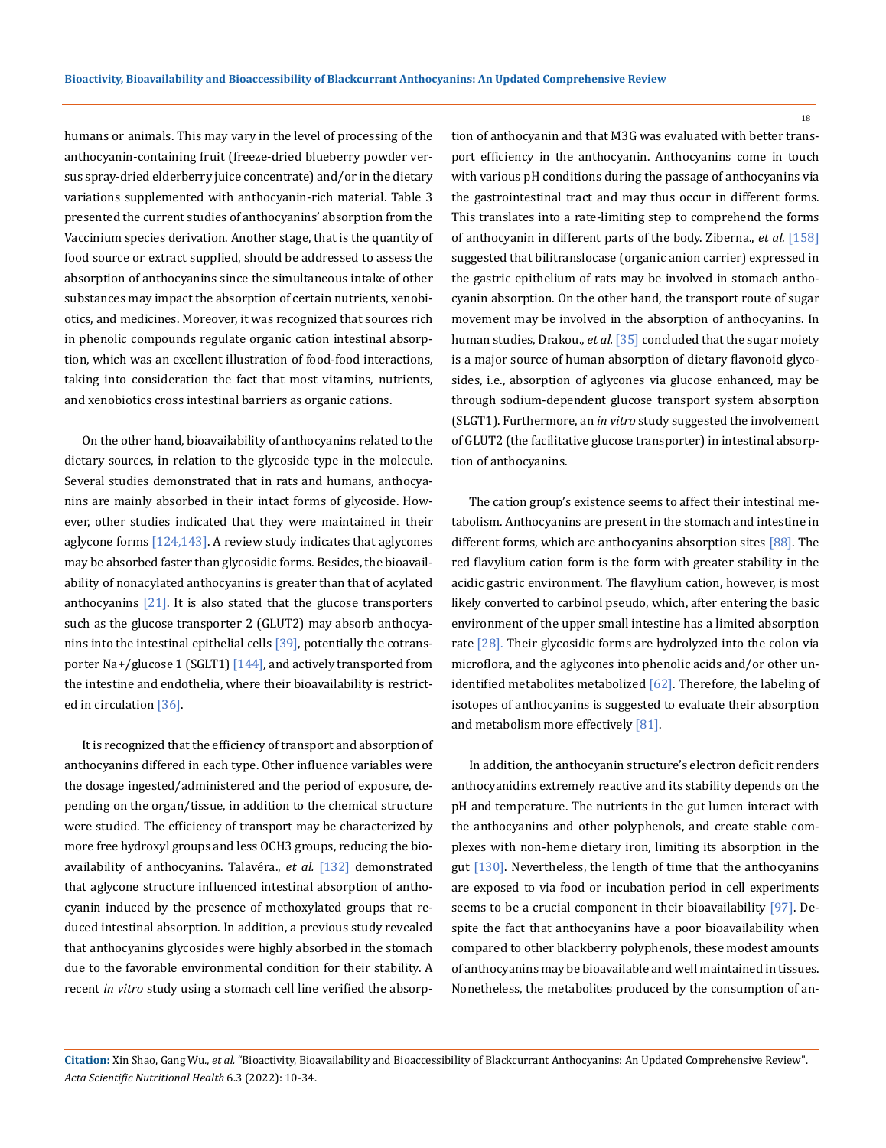humans or animals. This may vary in the level of processing of the anthocyanin-containing fruit (freeze-dried blueberry powder versus spray-dried elderberry juice concentrate) and/or in the dietary variations supplemented with anthocyanin-rich material. Table 3 presented the current studies of anthocyanins' absorption from the Vaccinium species derivation. Another stage, that is the quantity of food source or extract supplied, should be addressed to assess the absorption of anthocyanins since the simultaneous intake of other substances may impact the absorption of certain nutrients, xenobiotics, and medicines. Moreover, it was recognized that sources rich in phenolic compounds regulate organic cation intestinal absorption, which was an excellent illustration of food-food interactions, taking into consideration the fact that most vitamins, nutrients, and xenobiotics cross intestinal barriers as organic cations.

On the other hand, bioavailability of anthocyanins related to the dietary sources, in relation to the glycoside type in the molecule. Several studies demonstrated that in rats and humans, anthocyanins are mainly absorbed in their intact forms of glycoside. However, other studies indicated that they were maintained in their aglycone forms [124,143]. A review study indicates that aglycones may be absorbed faster than glycosidic forms. Besides, the bioavailability of nonacylated anthocyanins is greater than that of acylated anthocyanins  $[21]$ . It is also stated that the glucose transporters such as the glucose transporter 2 (GLUT2) may absorb anthocyanins into the intestinal epithelial cells [39], potentially the cotransporter Na+/glucose 1 (SGLT1) [144], and actively transported from the intestine and endothelia, where their bioavailability is restricted in circulation [36].

It is recognized that the efficiency of transport and absorption of anthocyanins differed in each type. Other influence variables were the dosage ingested/administered and the period of exposure, depending on the organ/tissue, in addition to the chemical structure were studied. The efficiency of transport may be characterized by more free hydroxyl groups and less OCH3 groups, reducing the bioavailability of anthocyanins. Talavéra., *et al.* [132] demonstrated that aglycone structure influenced intestinal absorption of anthocyanin induced by the presence of methoxylated groups that reduced intestinal absorption. In addition, a previous study revealed that anthocyanins glycosides were highly absorbed in the stomach due to the favorable environmental condition for their stability. A recent *in vitro* study using a stomach cell line verified the absorption of anthocyanin and that M3G was evaluated with better transport efficiency in the anthocyanin. Anthocyanins come in touch with various pH conditions during the passage of anthocyanins via the gastrointestinal tract and may thus occur in different forms. This translates into a rate-limiting step to comprehend the forms of anthocyanin in different parts of the body. Ziberna., *et al.* [158] suggested that bilitranslocase (organic anion carrier) expressed in the gastric epithelium of rats may be involved in stomach anthocyanin absorption. On the other hand, the transport route of sugar movement may be involved in the absorption of anthocyanins. In human studies, Drakou., *et al.* [35] concluded that the sugar moiety is a major source of human absorption of dietary flavonoid glycosides, i.e., absorption of aglycones via glucose enhanced, may be through sodium-dependent glucose transport system absorption (SLGT1). Furthermore, an *in vitro* study suggested the involvement of GLUT2 (the facilitative glucose transporter) in intestinal absorption of anthocyanins.

The cation group's existence seems to affect their intestinal metabolism. Anthocyanins are present in the stomach and intestine in different forms, which are anthocyanins absorption sites [88]. The red flavylium cation form is the form with greater stability in the acidic gastric environment. The flavylium cation, however, is most likely converted to carbinol pseudo, which, after entering the basic environment of the upper small intestine has a limited absorption rate [28]. Their glycosidic forms are hydrolyzed into the colon via microflora, and the aglycones into phenolic acids and/or other unidentified metabolites metabolized  $[62]$ . Therefore, the labeling of isotopes of anthocyanins is suggested to evaluate their absorption and metabolism more effectively [81].

In addition, the anthocyanin structure's electron deficit renders anthocyanidins extremely reactive and its stability depends on the pH and temperature. The nutrients in the gut lumen interact with the anthocyanins and other polyphenols, and create stable complexes with non-heme dietary iron, limiting its absorption in the gut [130]. Nevertheless, the length of time that the anthocyanins are exposed to via food or incubation period in cell experiments seems to be a crucial component in their bioavailability [97]. Despite the fact that anthocyanins have a poor bioavailability when compared to other blackberry polyphenols, these modest amounts of anthocyanins may be bioavailable and well maintained in tissues. Nonetheless, the metabolites produced by the consumption of an-

**Citation:** Xin Shao, Gang Wu*., et al.* "Bioactivity, Bioavailability and Bioaccessibility of Blackcurrant Anthocyanins: An Updated Comprehensive Review". *Acta Scientific Nutritional Health* 6.3 (2022): 10-34.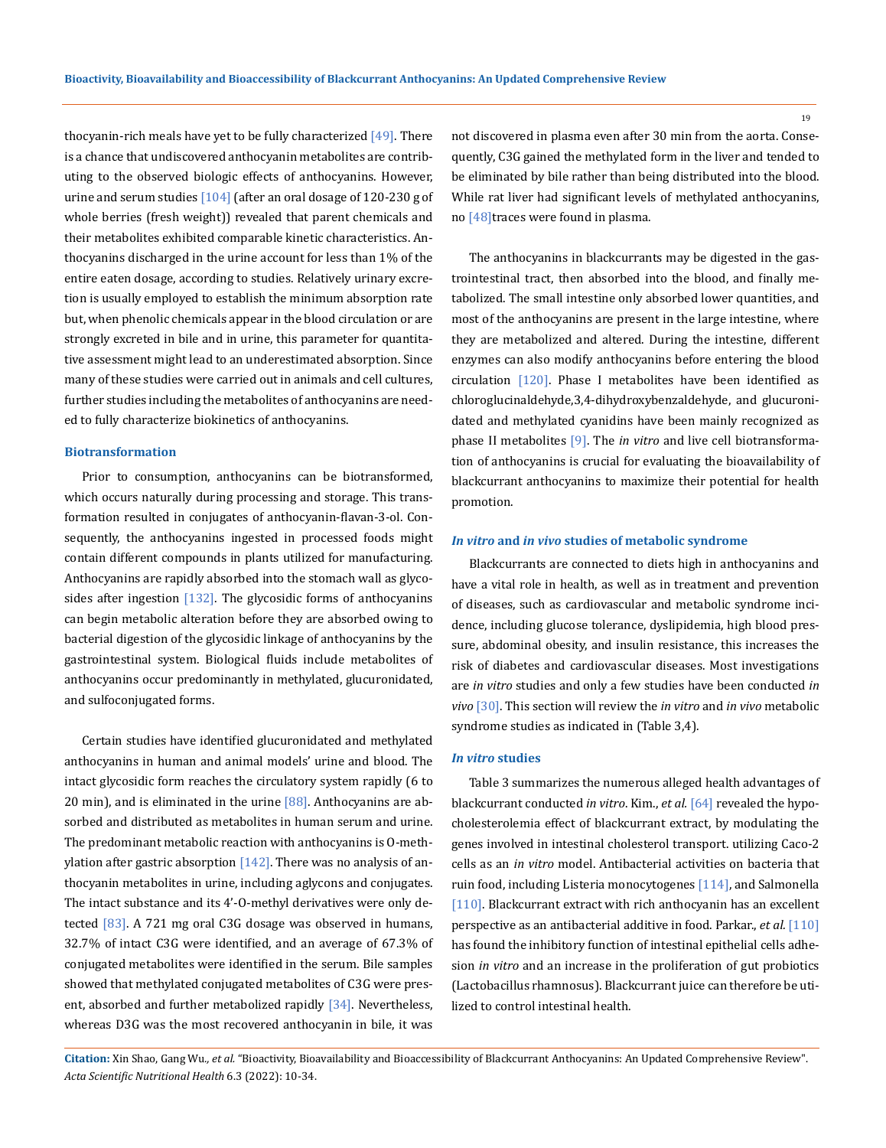thocyanin-rich meals have yet to be fully characterized  $[49]$ . There is a chance that undiscovered anthocyanin metabolites are contributing to the observed biologic effects of anthocyanins. However, urine and serum studies [104] (after an oral dosage of 120-230 g of whole berries (fresh weight)) revealed that parent chemicals and their metabolites exhibited comparable kinetic characteristics. Anthocyanins discharged in the urine account for less than 1% of the entire eaten dosage, according to studies. Relatively urinary excretion is usually employed to establish the minimum absorption rate but, when phenolic chemicals appear in the blood circulation or are strongly excreted in bile and in urine, this parameter for quantitative assessment might lead to an underestimated absorption. Since many of these studies were carried out in animals and cell cultures, further studies including the metabolites of anthocyanins are needed to fully characterize biokinetics of anthocyanins.

### **Biotransformation**

Prior to consumption, anthocyanins can be biotransformed, which occurs naturally during processing and storage. This transformation resulted in conjugates of anthocyanin-flavan-3-ol. Consequently, the anthocyanins ingested in processed foods might contain different compounds in plants utilized for manufacturing. Anthocyanins are rapidly absorbed into the stomach wall as glycosides after ingestion  $[132]$ . The glycosidic forms of anthocyanins can begin metabolic alteration before they are absorbed owing to bacterial digestion of the glycosidic linkage of anthocyanins by the gastrointestinal system. Biological fluids include metabolites of anthocyanins occur predominantly in methylated, glucuronidated, and sulfoconjugated forms.

Certain studies have identified glucuronidated and methylated anthocyanins in human and animal models' urine and blood. The intact glycosidic form reaches the circulatory system rapidly (6 to 20 min), and is eliminated in the urine  $[88]$ . Anthocyanins are absorbed and distributed as metabolites in human serum and urine. The predominant metabolic reaction with anthocyanins is O-methylation after gastric absorption  $[142]$ . There was no analysis of anthocyanin metabolites in urine, including aglycons and conjugates. The intact substance and its 4'-O-methyl derivatives were only detected  $[83]$ . A 721 mg oral C3G dosage was observed in humans, 32.7% of intact C3G were identified, and an average of 67.3% of conjugated metabolites were identified in the serum. Bile samples showed that methylated conjugated metabolites of C3G were present, absorbed and further metabolized rapidly [34]. Nevertheless, whereas D3G was the most recovered anthocyanin in bile, it was

not discovered in plasma even after 30 min from the aorta. Consequently, C3G gained the methylated form in the liver and tended to be eliminated by bile rather than being distributed into the blood. While rat liver had significant levels of methylated anthocyanins, no [48]traces were found in plasma.

The anthocyanins in blackcurrants may be digested in the gastrointestinal tract, then absorbed into the blood, and finally metabolized. The small intestine only absorbed lower quantities, and most of the anthocyanins are present in the large intestine, where they are metabolized and altered. During the intestine, different enzymes can also modify anthocyanins before entering the blood circulation  $[120]$ . Phase I metabolites have been identified as chloroglucinaldehyde,3,4-dihydroxybenzaldehyde, and glucuronidated and methylated cyanidins have been mainly recognized as phase II metabolites [9]. The *in vitro* and live cell biotransformation of anthocyanins is crucial for evaluating the bioavailability of blackcurrant anthocyanins to maximize their potential for health promotion.

### *In vitro* **and** *in vivo* **studies of metabolic syndrome**

Blackcurrants are connected to diets high in anthocyanins and have a vital role in health, as well as in treatment and prevention of diseases, such as cardiovascular and metabolic syndrome incidence, including glucose tolerance, dyslipidemia, high blood pressure, abdominal obesity, and insulin resistance, this increases the risk of diabetes and cardiovascular diseases. Most investigations are *in vitro* studies and only a few studies have been conducted *in vivo* [30]. This section will review the *in vitro* and *in vivo* metabolic syndrome studies as indicated in (Table 3,4).

#### *In vitro* **studies**

Table 3 summarizes the numerous alleged health advantages of blackcurrant conducted *in vitro*. Kim., *et al.* [64] revealed the hypocholesterolemia effect of blackcurrant extract, by modulating the genes involved in intestinal cholesterol transport. utilizing Caco-2 cells as an *in vitro* model. Antibacterial activities on bacteria that ruin food, including Listeria monocytogenes [114], and Salmonella [110]. Blackcurrant extract with rich anthocyanin has an excellent perspective as an antibacterial additive in food. Parkar., *et al.* [110] has found the inhibitory function of intestinal epithelial cells adhesion *in vitro* and an increase in the proliferation of gut probiotics (Lactobacillus rhamnosus). Blackcurrant juice can therefore be utilized to control intestinal health.

**Citation:** Xin Shao, Gang Wu*., et al.* "Bioactivity, Bioavailability and Bioaccessibility of Blackcurrant Anthocyanins: An Updated Comprehensive Review". *Acta Scientific Nutritional Health* 6.3 (2022): 10-34.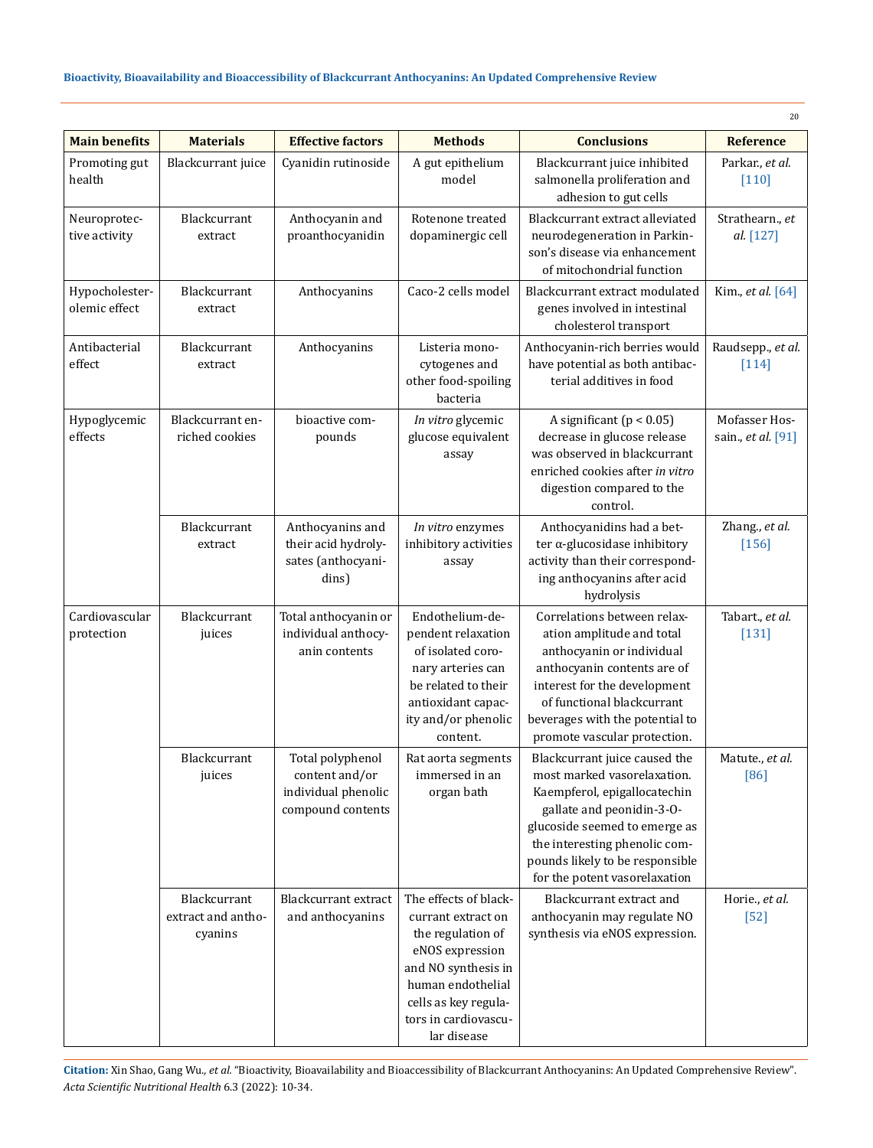|                                 |                                               |                                                                                |                                                                                                                                                                                                |                                                                                                                                                                                                                                                                 | 20                                  |
|---------------------------------|-----------------------------------------------|--------------------------------------------------------------------------------|------------------------------------------------------------------------------------------------------------------------------------------------------------------------------------------------|-----------------------------------------------------------------------------------------------------------------------------------------------------------------------------------------------------------------------------------------------------------------|-------------------------------------|
| <b>Main benefits</b>            | <b>Materials</b>                              | <b>Effective factors</b>                                                       | <b>Methods</b>                                                                                                                                                                                 | <b>Conclusions</b>                                                                                                                                                                                                                                              | <b>Reference</b>                    |
| Promoting gut<br>health         | Blackcurrant juice                            | Cyanidin rutinoside                                                            | A gut epithelium<br>model                                                                                                                                                                      | Blackcurrant juice inhibited<br>salmonella proliferation and<br>adhesion to gut cells                                                                                                                                                                           | Parkar., et al.<br>$[110]$          |
| Neuroprotec-<br>tive activity   | Blackcurrant<br>extract                       | Anthocyanin and<br>proanthocyanidin                                            | Rotenone treated<br>dopaminergic cell                                                                                                                                                          | Blackcurrant extract alleviated<br>neurodegeneration in Parkin-<br>son's disease via enhancement<br>of mitochondrial function                                                                                                                                   | Strathearn., et<br>al. [127]        |
| Hypocholester-<br>olemic effect | Blackcurrant<br>extract                       | Anthocyanins                                                                   | Caco-2 cells model                                                                                                                                                                             | Blackcurrant extract modulated<br>genes involved in intestinal<br>cholesterol transport                                                                                                                                                                         | Kim., et al. [64]                   |
| Antibacterial<br>effect         | Blackcurrant<br>extract                       | Anthocyanins                                                                   | Listeria mono-<br>cytogenes and<br>other food-spoiling<br>bacteria                                                                                                                             | Anthocyanin-rich berries would<br>have potential as both antibac-<br>terial additives in food                                                                                                                                                                   | Raudsepp., et al.<br>$[114]$        |
| Hypoglycemic<br>effects         | Blackcurrant en-<br>riched cookies            | bioactive com-<br>pounds                                                       | In vitro glycemic<br>glucose equivalent<br>assay                                                                                                                                               | A significant $(p < 0.05)$<br>decrease in glucose release<br>was observed in blackcurrant<br>enriched cookies after in vitro<br>digestion compared to the<br>control.                                                                                           | Mofasser Hos-<br>sain., et al. [91] |
|                                 | Blackcurrant<br>extract                       | Anthocyanins and<br>their acid hydroly-<br>sates (anthocyani-<br>dins)         | In vitro enzymes<br>inhibitory activities<br>assay                                                                                                                                             | Anthocyanidins had a bet-<br>ter $\alpha$ -glucosidase inhibitory<br>activity than their correspond-<br>ing anthocyanins after acid<br>hydrolysis                                                                                                               | Zhang., et al.<br>$[156]$           |
| Cardiovascular<br>protection    | Blackcurrant<br>juices                        | Total anthocyanin or<br>individual anthocy-<br>anin contents                   | Endothelium-de-<br>pendent relaxation<br>of isolated coro-<br>nary arteries can<br>be related to their<br>antioxidant capac-<br>ity and/or phenolic<br>content.                                | Correlations between relax-<br>ation amplitude and total<br>anthocyanin or individual<br>anthocyanin contents are of<br>interest for the development<br>of functional blackcurrant<br>beverages with the potential to<br>promote vascular protection.           | Tabart., et al.<br>$[131]$          |
|                                 | Blackcurrant<br>juices                        | Total polyphenol<br>content and/or<br>individual phenolic<br>compound contents | Rat aorta segments<br>immersed in an<br>organ bath                                                                                                                                             | Blackcurrant juice caused the<br>most marked vasorelaxation.<br>Kaempferol, epigallocatechin<br>gallate and peonidin-3-0-<br>glucoside seemed to emerge as<br>the interesting phenolic com-<br>pounds likely to be responsible<br>for the potent vasorelaxation | Matute., et al.<br>$[86]$           |
|                                 | Blackcurrant<br>extract and antho-<br>cyanins | <b>Blackcurrant</b> extract<br>and anthocyanins                                | The effects of black-<br>currant extract on<br>the regulation of<br>eNOS expression<br>and NO synthesis in<br>human endothelial<br>cells as key regula-<br>tors in cardiovascu-<br>lar disease | Blackcurrant extract and<br>anthocyanin may regulate NO<br>synthesis via eNOS expression.                                                                                                                                                                       | Horie., et al.<br>$[52]$            |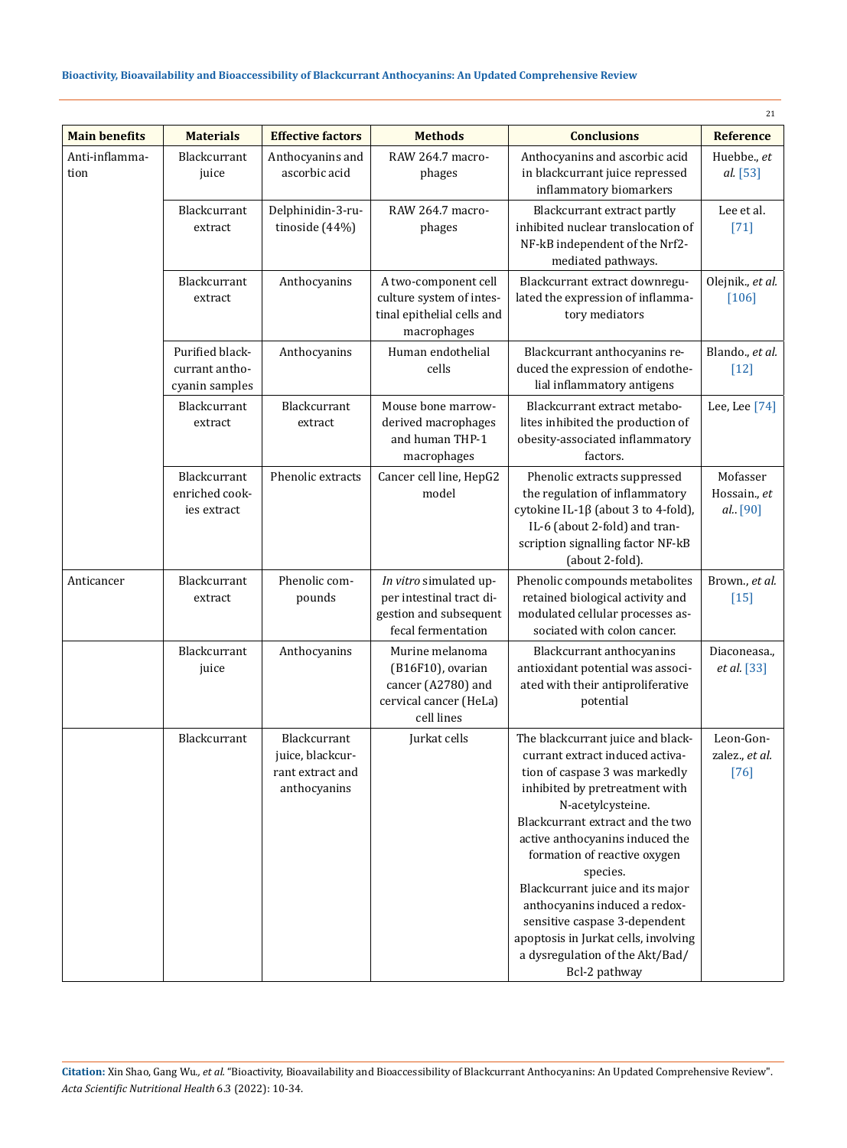|                        |                                                     |                                                                      |                                                                                                    |                                                                                                                                                                                                                                                                                                                                                                                                                                                                                    | 21                                    |
|------------------------|-----------------------------------------------------|----------------------------------------------------------------------|----------------------------------------------------------------------------------------------------|------------------------------------------------------------------------------------------------------------------------------------------------------------------------------------------------------------------------------------------------------------------------------------------------------------------------------------------------------------------------------------------------------------------------------------------------------------------------------------|---------------------------------------|
| <b>Main benefits</b>   | <b>Materials</b>                                    | <b>Effective factors</b>                                             | <b>Methods</b>                                                                                     | <b>Conclusions</b>                                                                                                                                                                                                                                                                                                                                                                                                                                                                 | <b>Reference</b>                      |
| Anti-inflamma-<br>tion | <b>Blackcurrant</b><br>juice                        | Anthocyanins and<br>ascorbic acid                                    | RAW 264.7 macro-<br>phages                                                                         | Anthocyanins and ascorbic acid<br>in blackcurrant juice repressed<br>inflammatory biomarkers                                                                                                                                                                                                                                                                                                                                                                                       | Huebbe., et<br>al. [53]               |
|                        | Blackcurrant<br>extract                             | Delphinidin-3-ru-<br>tinoside (44%)                                  | RAW 264.7 macro-<br>phages                                                                         | Blackcurrant extract partly<br>inhibited nuclear translocation of<br>NF-kB independent of the Nrf2-<br>mediated pathways.                                                                                                                                                                                                                                                                                                                                                          | Lee et al.<br>$[71]$                  |
|                        | Blackcurrant<br>extract                             | Anthocyanins                                                         | A two-component cell<br>culture system of intes-<br>tinal epithelial cells and<br>macrophages      | Blackcurrant extract downregu-<br>lated the expression of inflamma-<br>tory mediators                                                                                                                                                                                                                                                                                                                                                                                              | Olejnik., et al.<br>$[106]$           |
|                        | Purified black-<br>currant antho-<br>cyanin samples | Anthocyanins                                                         | Human endothelial<br>cells                                                                         | Blackcurrant anthocyanins re-<br>duced the expression of endothe-<br>lial inflammatory antigens                                                                                                                                                                                                                                                                                                                                                                                    | Blando., et al.<br>$[12]$             |
|                        | Blackcurrant<br>extract                             | Blackcurrant<br>extract                                              | Mouse bone marrow-<br>derived macrophages<br>and human THP-1<br>macrophages                        | Blackcurrant extract metabo-<br>lites inhibited the production of<br>obesity-associated inflammatory<br>factors.                                                                                                                                                                                                                                                                                                                                                                   | Lee, Lee $[74]$                       |
|                        | Blackcurrant<br>enriched cook-<br>ies extract       | Phenolic extracts                                                    | Cancer cell line, HepG2<br>model                                                                   | Phenolic extracts suppressed<br>the regulation of inflammatory<br>cytokine IL-1 $\beta$ (about 3 to 4-fold),<br>IL-6 (about 2-fold) and tran-<br>scription signalling factor NF-kB<br>(about 2-fold).                                                                                                                                                                                                                                                                              | Mofasser<br>Hossain., et<br>al. [90]  |
| Anticancer             | Blackcurrant<br>extract                             | Phenolic com-<br>pounds                                              | In vitro simulated up-<br>per intestinal tract di-<br>gestion and subsequent<br>fecal fermentation | Phenolic compounds metabolites<br>retained biological activity and<br>modulated cellular processes as-<br>sociated with colon cancer.                                                                                                                                                                                                                                                                                                                                              | Brown., et al.<br>$[15]$              |
|                        | Blackcurrant<br>juice                               | Anthocyanins                                                         | Murine melanoma<br>(B16F10), ovarian<br>cancer (A2780) and<br>cervical cancer (HeLa)<br>cell lines | Blackcurrant anthocyanins<br>antioxidant potential was associ-<br>ated with their antiproliferative<br>potential                                                                                                                                                                                                                                                                                                                                                                   | Diaconeasa.,<br>et al. [33]           |
|                        | Blackcurrant                                        | Blackcurrant<br>juice, blackcur-<br>rant extract and<br>anthocyanins | Jurkat cells                                                                                       | The blackcurrant juice and black-<br>currant extract induced activa-<br>tion of caspase 3 was markedly<br>inhibited by pretreatment with<br>N-acetylcysteine.<br>Blackcurrant extract and the two<br>active anthocyanins induced the<br>formation of reactive oxygen<br>species.<br>Blackcurrant juice and its major<br>anthocyanins induced a redox-<br>sensitive caspase 3-dependent<br>apoptosis in Jurkat cells, involving<br>a dysregulation of the Akt/Bad/<br>Bcl-2 pathway | Leon-Gon-<br>zalez., et al.<br>$[76]$ |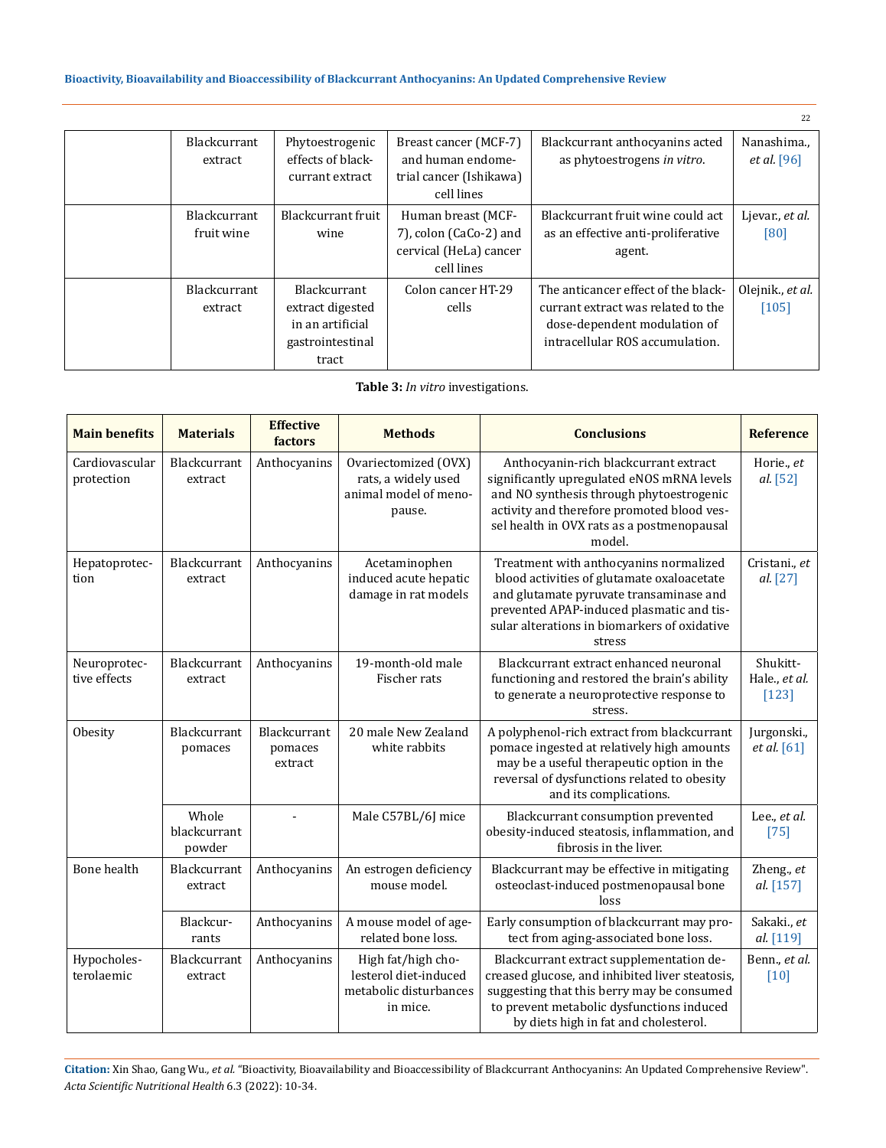|                            |                                                                                          |                                                                                      |                                                                                                                                              | 22                                |
|----------------------------|------------------------------------------------------------------------------------------|--------------------------------------------------------------------------------------|----------------------------------------------------------------------------------------------------------------------------------------------|-----------------------------------|
| Blackcurrant<br>extract    | Phytoestrogenic<br>effects of black-<br>currant extract                                  | Breast cancer (MCF-7)<br>and human endome-<br>trial cancer (Ishikawa)<br>cell lines  | Blackcurrant anthocyanins acted<br>as phytoestrogens in vitro.                                                                               | Nanashima.,<br><i>et al.</i> [96] |
| Blackcurrant<br>fruit wine | Blackcurrant fruit<br>wine                                                               | Human breast (MCF-<br>7), colon (CaCo-2) and<br>cervical (HeLa) cancer<br>cell lines | Blackcurrant fruit wine could act<br>as an effective anti-proliferative<br>agent.                                                            | Ljevar., et al.<br>[80]           |
| Blackcurrant<br>extract    | <b>Blackcurrant</b><br>extract digested<br>in an artificial<br>gastrointestinal<br>tract | Colon cancer HT-29<br>cells                                                          | The anticancer effect of the black-<br>currant extract was related to the<br>dose-dependent modulation of<br>intracellular ROS accumulation. | Olejnik., et al.<br>$[105]$       |

**Table 3:** *In vitro* investigations.

| <b>Main benefits</b>         | <b>Materials</b>                | <b>Effective</b><br>factors        | <b>Methods</b>                                                                    | <b>Conclusions</b>                                                                                                                                                                                                                     | <b>Reference</b>                     |
|------------------------------|---------------------------------|------------------------------------|-----------------------------------------------------------------------------------|----------------------------------------------------------------------------------------------------------------------------------------------------------------------------------------------------------------------------------------|--------------------------------------|
| Cardiovascular<br>protection | Blackcurrant<br>extract         | Anthocyanins                       | Ovariectomized (OVX)<br>rats, a widely used<br>animal model of meno-<br>pause.    | Anthocyanin-rich blackcurrant extract<br>significantly upregulated eNOS mRNA levels<br>and NO synthesis through phytoestrogenic<br>activity and therefore promoted blood ves-<br>sel health in OVX rats as a postmenopausal<br>model.  | Horie., et<br>al. [52]               |
| Hepatoprotec-<br>tion        | Blackcurrant<br>extract         | Anthocyanins                       | Acetaminophen<br>induced acute hepatic<br>damage in rat models                    | Treatment with anthocyanins normalized<br>blood activities of glutamate oxaloacetate<br>and glutamate pyruvate transaminase and<br>prevented APAP-induced plasmatic and tis-<br>sular alterations in biomarkers of oxidative<br>stress | Cristani., et<br>al. [27]            |
| Neuroprotec-<br>tive effects | Blackcurrant<br>extract         | Anthocyanins                       | 19-month-old male<br>Fischer rats                                                 | Blackcurrant extract enhanced neuronal<br>functioning and restored the brain's ability<br>to generate a neuroprotective response to<br>stress.                                                                                         | Shukitt-<br>Hale., et al.<br>$[123]$ |
| Obesity                      | Blackcurrant<br>pomaces         | Blackcurrant<br>pomaces<br>extract | 20 male New Zealand<br>white rabbits                                              | A polyphenol-rich extract from blackcurrant<br>pomace ingested at relatively high amounts<br>may be a useful therapeutic option in the<br>reversal of dysfunctions related to obesity<br>and its complications.                        | Jurgonski.,<br>et al. [61]           |
|                              | Whole<br>blackcurrant<br>powder |                                    | Male C57BL/6J mice                                                                | Blackcurrant consumption prevented<br>obesity-induced steatosis, inflammation, and<br>fibrosis in the liver.                                                                                                                           | Lee., et al.<br>$[75]$               |
| Bone health                  | Blackcurrant<br>extract         | Anthocyanins                       | An estrogen deficiency<br>mouse model.                                            | Blackcurrant may be effective in mitigating<br>osteoclast-induced postmenopausal bone<br>loss                                                                                                                                          | Zheng., et<br>al. [157]              |
|                              | Blackcur-<br>rants              | Anthocyanins                       | A mouse model of age-<br>related bone loss.                                       | Early consumption of blackcurrant may pro-<br>tect from aging-associated bone loss.                                                                                                                                                    | Sakaki., et<br>al. [119]             |
| Hypocholes-<br>terolaemic    | Blackcurrant<br>extract         | Anthocyanins                       | High fat/high cho-<br>lesterol diet-induced<br>metabolic disturbances<br>in mice. | Blackcurrant extract supplementation de-<br>creased glucose, and inhibited liver steatosis,<br>suggesting that this berry may be consumed<br>to prevent metabolic dysfunctions induced<br>by diets high in fat and cholesterol.        | Benn., et al.<br>$\lceil 10 \rceil$  |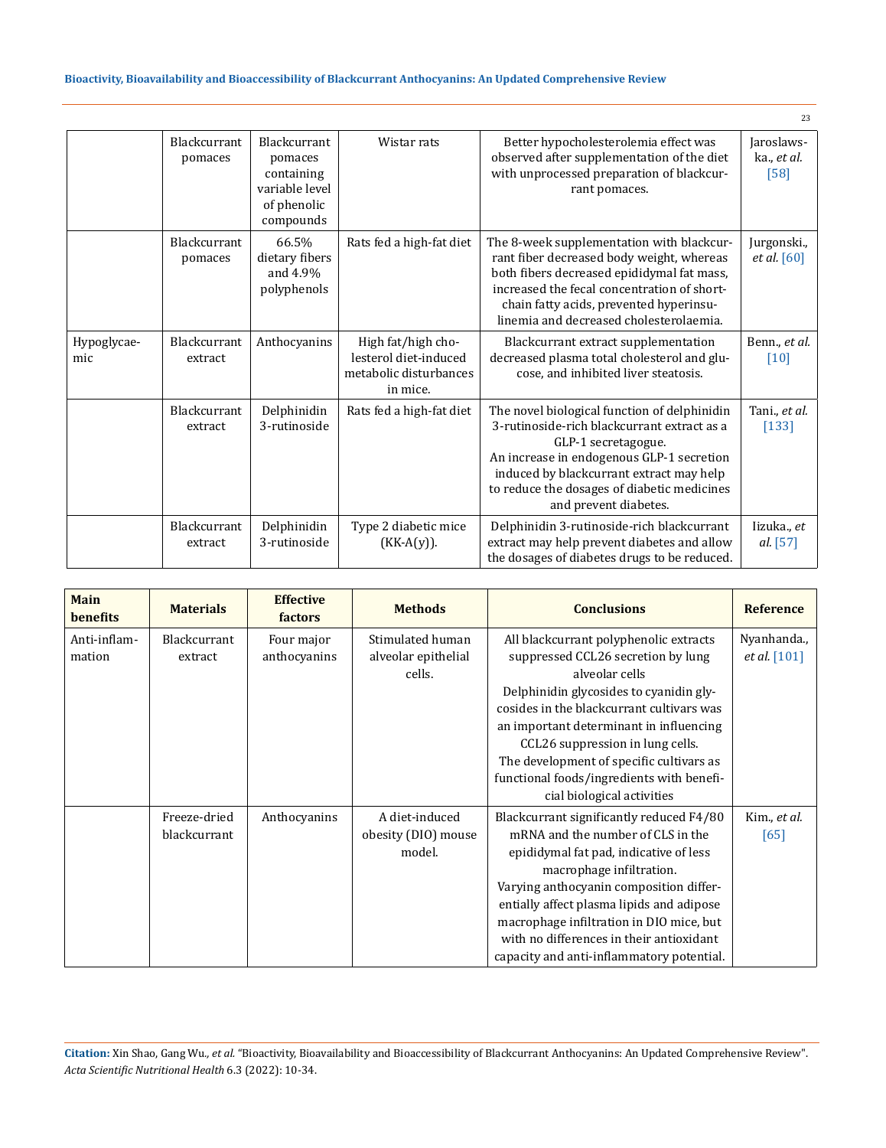|                    |                         |                                                                                     |                                                                                   |                                                                                                                                                                                                                                                                                     | 23                                  |
|--------------------|-------------------------|-------------------------------------------------------------------------------------|-----------------------------------------------------------------------------------|-------------------------------------------------------------------------------------------------------------------------------------------------------------------------------------------------------------------------------------------------------------------------------------|-------------------------------------|
|                    | Blackcurrant<br>pomaces | Blackcurrant<br>pomaces<br>containing<br>variable level<br>of phenolic<br>compounds | Wistar rats                                                                       | Better hypocholesterolemia effect was<br>observed after supplementation of the diet<br>with unprocessed preparation of blackcur-<br>rant pomaces.                                                                                                                                   | Jaroslaws-<br>ka., et al.<br>$[58]$ |
|                    | Blackcurrant<br>pomaces | 66.5%<br>dietary fibers<br>and 4.9%<br>polyphenols                                  | Rats fed a high-fat diet                                                          | The 8-week supplementation with blackcur-<br>rant fiber decreased body weight, whereas<br>both fibers decreased epididymal fat mass,<br>increased the fecal concentration of short-<br>chain fatty acids, prevented hyperinsu-<br>linemia and decreased cholesterolaemia.           | Jurgonski.,<br><i>et al.</i> [60]   |
| Hypoglycae-<br>mic | Blackcurrant<br>extract | Anthocyanins                                                                        | High fat/high cho-<br>lesterol diet-induced<br>metabolic disturbances<br>in mice. | Blackcurrant extract supplementation<br>decreased plasma total cholesterol and glu-<br>cose, and inhibited liver steatosis.                                                                                                                                                         | Benn., et al.<br>$[10]$             |
|                    | Blackcurrant<br>extract | Delphinidin<br>3-rutinoside                                                         | Rats fed a high-fat diet                                                          | The novel biological function of delphinidin<br>3-rutinoside-rich blackcurrant extract as a<br>GLP-1 secretagogue.<br>An increase in endogenous GLP-1 secretion<br>induced by blackcurrant extract may help<br>to reduce the dosages of diabetic medicines<br>and prevent diabetes. | Tani., et al.<br>$[133]$            |
|                    | Blackcurrant<br>extract | Delphinidin<br>3-rutinoside                                                         | Type 2 diabetic mice<br>$(KK-A(y)).$                                              | Delphinidin 3-rutinoside-rich blackcurrant<br>extract may help prevent diabetes and allow<br>the dosages of diabetes drugs to be reduced.                                                                                                                                           | Iizuka., et<br>al. [57]             |

| Main<br><b>benefits</b> | <b>Materials</b>    | <b>Effective</b><br>factors | <b>Methods</b>      | <b>Conclusions</b>                        | <b>Reference</b>    |
|-------------------------|---------------------|-----------------------------|---------------------|-------------------------------------------|---------------------|
| Anti-inflam-            | <b>Blackcurrant</b> | Four major                  | Stimulated human    | All blackcurrant polyphenolic extracts    | Nyanhanda.,         |
| mation                  | extract             | anthocyanins                | alveolar epithelial | suppressed CCL26 secretion by lung        | <i>et al.</i> [101] |
|                         |                     |                             | cells.              | alveolar cells                            |                     |
|                         |                     |                             |                     | Delphinidin glycosides to cyanidin gly-   |                     |
|                         |                     |                             |                     | cosides in the blackcurrant cultivars was |                     |
|                         |                     |                             |                     | an important determinant in influencing   |                     |
|                         |                     |                             |                     | CCL26 suppression in lung cells.          |                     |
|                         |                     |                             |                     | The development of specific cultivars as  |                     |
|                         |                     |                             |                     | functional foods/ingredients with benefi- |                     |
|                         |                     |                             |                     | cial biological activities                |                     |
|                         | Freeze-dried        | Anthocyanins                | A diet-induced      | Blackcurrant significantly reduced F4/80  | Kim., et al.        |
|                         | blackcurrant        |                             | obesity (DIO) mouse | mRNA and the number of CLS in the         | [65]                |
|                         |                     |                             | model.              | epididymal fat pad, indicative of less    |                     |
|                         |                     |                             |                     | macrophage infiltration.                  |                     |
|                         |                     |                             |                     | Varying anthocyanin composition differ-   |                     |
|                         |                     |                             |                     | entially affect plasma lipids and adipose |                     |
|                         |                     |                             |                     | macrophage infiltration in DIO mice, but  |                     |
|                         |                     |                             |                     | with no differences in their antioxidant  |                     |
|                         |                     |                             |                     | capacity and anti-inflammatory potential. |                     |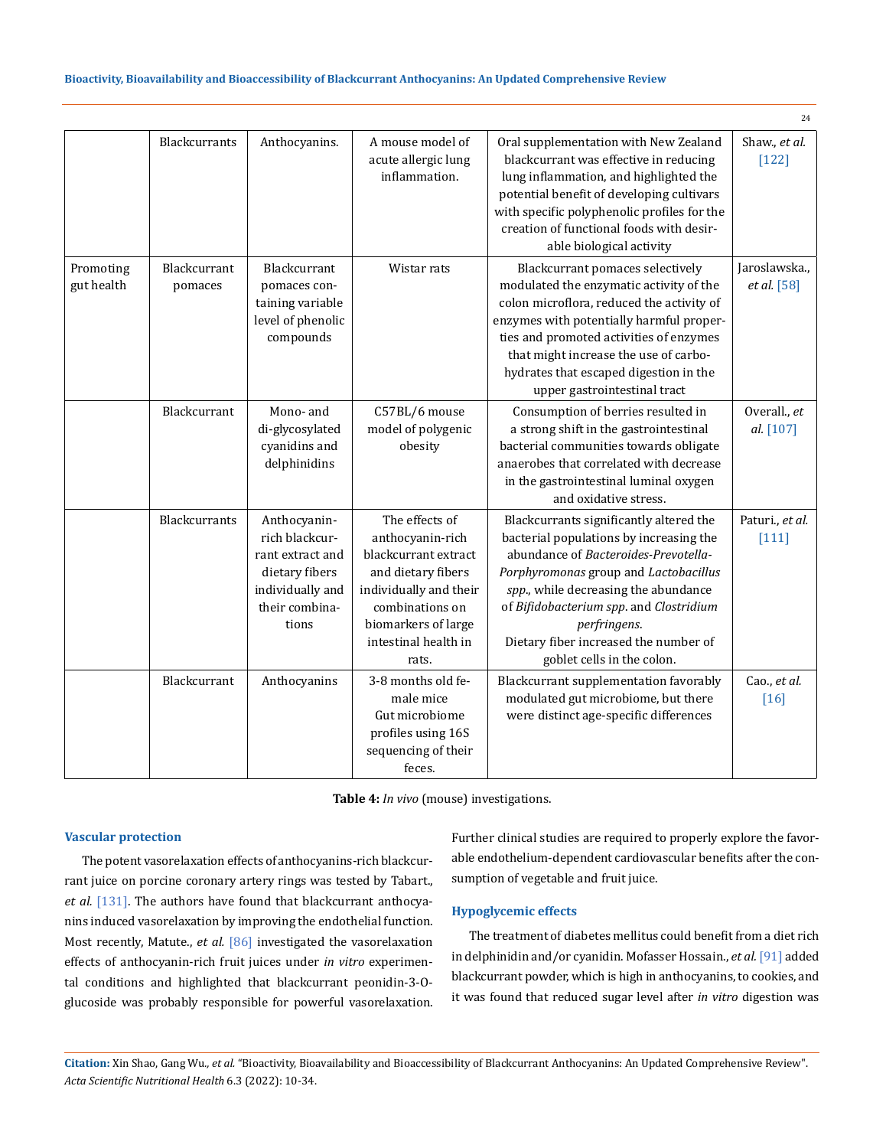|                         |                                |                                                                                                                     |                                                                                                                                                                                       |                                                                                                                                                                                                                                                                                                                                               | 24                                  |
|-------------------------|--------------------------------|---------------------------------------------------------------------------------------------------------------------|---------------------------------------------------------------------------------------------------------------------------------------------------------------------------------------|-----------------------------------------------------------------------------------------------------------------------------------------------------------------------------------------------------------------------------------------------------------------------------------------------------------------------------------------------|-------------------------------------|
|                         | <b>Blackcurrants</b>           | Anthocyanins.                                                                                                       | A mouse model of<br>acute allergic lung<br>inflammation.                                                                                                                              | Oral supplementation with New Zealand<br>blackcurrant was effective in reducing<br>lung inflammation, and highlighted the<br>potential benefit of developing cultivars<br>with specific polyphenolic profiles for the<br>creation of functional foods with desir-<br>able biological activity                                                 | Shaw., et al.<br>$[122]$            |
| Promoting<br>gut health | <b>Blackcurrant</b><br>pomaces | Blackcurrant<br>pomaces con-<br>taining variable<br>level of phenolic<br>compounds                                  | Wistar rats                                                                                                                                                                           | Blackcurrant pomaces selectively<br>modulated the enzymatic activity of the<br>colon microflora, reduced the activity of<br>enzymes with potentially harmful proper-<br>ties and promoted activities of enzymes<br>that might increase the use of carbo-<br>hydrates that escaped digestion in the<br>upper gastrointestinal tract            | Jaroslawska.,<br><i>et al.</i> [58] |
|                         | Blackcurrant                   | Mono- and<br>di-glycosylated<br>cyanidins and<br>delphinidins                                                       | C57BL/6 mouse<br>model of polygenic<br>obesity                                                                                                                                        | Consumption of berries resulted in<br>a strong shift in the gastrointestinal<br>bacterial communities towards obligate<br>anaerobes that correlated with decrease<br>in the gastrointestinal luminal oxygen<br>and oxidative stress.                                                                                                          | Overall., et<br>al. [107]           |
|                         | Blackcurrants                  | Anthocyanin-<br>rich blackcur-<br>rant extract and<br>dietary fibers<br>individually and<br>their combina-<br>tions | The effects of<br>anthocyanin-rich<br>blackcurrant extract<br>and dietary fibers<br>individually and their<br>combinations on<br>biomarkers of large<br>intestinal health in<br>rats. | Blackcurrants significantly altered the<br>bacterial populations by increasing the<br>abundance of Bacteroides-Prevotella-<br>Porphyromonas group and Lactobacillus<br>spp., while decreasing the abundance<br>of Bifidobacterium spp. and Clostridium<br>perfringens.<br>Dietary fiber increased the number of<br>goblet cells in the colon. | Paturi., et al.<br>$[111]$          |
|                         | Blackcurrant                   | Anthocyanins                                                                                                        | 3-8 months old fe-<br>male mice<br>Gut microbiome<br>profiles using 16S<br>sequencing of their<br>feces.                                                                              | Blackcurrant supplementation favorably<br>modulated gut microbiome, but there<br>were distinct age-specific differences                                                                                                                                                                                                                       | Cao., et al.<br>$[16]$              |

**Table 4:** *In vivo* (mouse) investigations.

### **Vascular protection**

The potent vasorelaxation effects of anthocyanins-rich blackcurrant juice on porcine coronary artery rings was tested by Tabart., *et al.* [131]. The authors have found that blackcurrant anthocyanins induced vasorelaxation by improving the endothelial function. Most recently, Matute., *et al.* [86] investigated the vasorelaxation effects of anthocyanin-rich fruit juices under *in vitro* experimental conditions and highlighted that blackcurrant peonidin-3-Oglucoside was probably responsible for powerful vasorelaxation. Further clinical studies are required to properly explore the favorable endothelium-dependent cardiovascular benefits after the consumption of vegetable and fruit juice.

### **Hypoglycemic effects**

The treatment of diabetes mellitus could benefit from a diet rich in delphinidin and/or cyanidin. Mofasser Hossain., *et al.* [91] added blackcurrant powder, which is high in anthocyanins, to cookies, and it was found that reduced sugar level after *in vitro* digestion was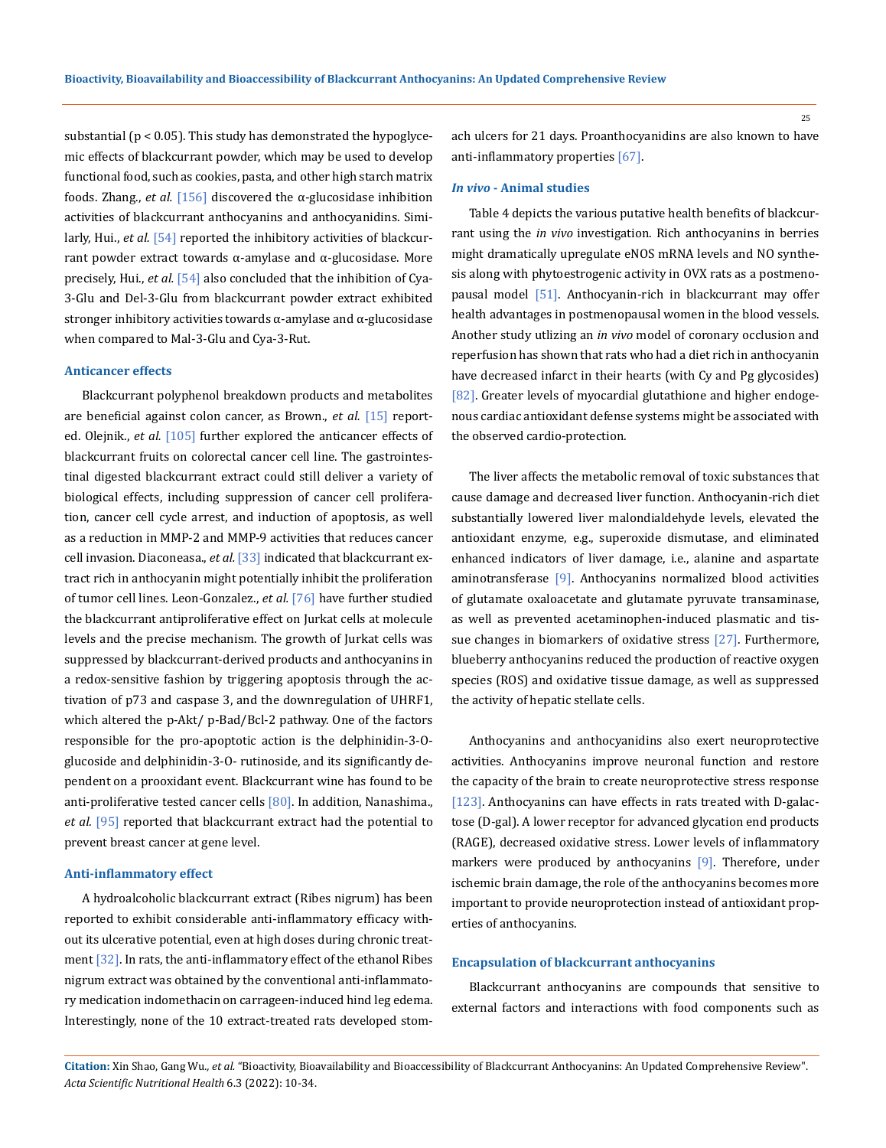substantial ( $p < 0.05$ ). This study has demonstrated the hypoglycemic effects of blackcurrant powder, which may be used to develop functional food, such as cookies, pasta, and other high starch matrix foods. Zhang., *et al.* [156] discovered the α-glucosidase inhibition activities of blackcurrant anthocyanins and anthocyanidins. Similarly, Hui., *et al.* [54] reported the inhibitory activities of blackcurrant powder extract towards α-amylase and α-glucosidase. More precisely, Hui., *et al.* [54] also concluded that the inhibition of Cya-3-Glu and Del-3-Glu from blackcurrant powder extract exhibited stronger inhibitory activities towards α-amylase and α-glucosidase when compared to Mal-3-Glu and Cya-3-Rut.

#### **Anticancer effects**

Blackcurrant polyphenol breakdown products and metabolites are beneficial against colon cancer, as Brown., *et al.* [15] reported. Olejnik., *et al.* [105] further explored the anticancer effects of blackcurrant fruits on colorectal cancer cell line. The gastrointestinal digested blackcurrant extract could still deliver a variety of biological effects, including suppression of cancer cell proliferation, cancer cell cycle arrest, and induction of apoptosis, as well as a reduction in MMP-2 and MMP-9 activities that reduces cancer cell invasion. Diaconeasa., *et al.* [33] indicated that blackcurrant extract rich in anthocyanin might potentially inhibit the proliferation of tumor cell lines. Leon-Gonzalez., *et al.* [76] have further studied the blackcurrant antiproliferative effect on Jurkat cells at molecule levels and the precise mechanism. The growth of Jurkat cells was suppressed by blackcurrant-derived products and anthocyanins in a redox-sensitive fashion by triggering apoptosis through the activation of p73 and caspase 3, and the downregulation of UHRF1, which altered the p-Akt/ p-Bad/Bcl-2 pathway. One of the factors responsible for the pro-apoptotic action is the delphinidin-3-Oglucoside and delphinidin-3-O- rutinoside, and its significantly dependent on a prooxidant event. Blackcurrant wine has found to be anti-proliferative tested cancer cells [80]. In addition, Nanashima., *et al.* [95] reported that blackcurrant extract had the potential to prevent breast cancer at gene level.

#### **Anti-inflammatory effect**

A hydroalcoholic blackcurrant extract (Ribes nigrum) has been reported to exhibit considerable anti-inflammatory efficacy without its ulcerative potential, even at high doses during chronic treatment  $\left[32\right]$ . In rats, the anti-inflammatory effect of the ethanol Ribes nigrum extract was obtained by the conventional anti-inflammatory medication indomethacin on carrageen-induced hind leg edema. Interestingly, none of the 10 extract-treated rats developed stomach ulcers for 21 days. Proanthocyanidins are also known to have anti-inflammatory properties [67].

#### *In vivo* **- Animal studies**

Table 4 depicts the various putative health benefits of blackcurrant using the *in vivo* investigation. Rich anthocyanins in berries might dramatically upregulate eNOS mRNA levels and NO synthesis along with phytoestrogenic activity in OVX rats as a postmenopausal model [51]. Anthocyanin-rich in blackcurrant may offer health advantages in postmenopausal women in the blood vessels. Another study utlizing an *in vivo* model of coronary occlusion and reperfusion has shown that rats who had a diet rich in anthocyanin have decreased infarct in their hearts (with Cy and Pg glycosides) [82]. Greater levels of myocardial glutathione and higher endogenous cardiac antioxidant defense systems might be associated with the observed cardio-protection.

The liver affects the metabolic removal of toxic substances that cause damage and decreased liver function. Anthocyanin-rich diet substantially lowered liver malondialdehyde levels, elevated the antioxidant enzyme, e.g., superoxide dismutase, and eliminated enhanced indicators of liver damage, i.e., alanine and aspartate aminotransferase [9]. Anthocyanins normalized blood activities of glutamate oxaloacetate and glutamate pyruvate transaminase, as well as prevented acetaminophen-induced plasmatic and tissue changes in biomarkers of oxidative stress [27]. Furthermore, blueberry anthocyanins reduced the production of reactive oxygen species (ROS) and oxidative tissue damage, as well as suppressed the activity of hepatic stellate cells.

Anthocyanins and anthocyanidins also exert neuroprotective activities. Anthocyanins improve neuronal function and restore the capacity of the brain to create neuroprotective stress response [123]. Anthocyanins can have effects in rats treated with D-galactose (D-gal). A lower receptor for advanced glycation end products (RAGE), decreased oxidative stress. Lower levels of inflammatory markers were produced by anthocyanins [9]. Therefore, under ischemic brain damage, the role of the anthocyanins becomes more important to provide neuroprotection instead of antioxidant properties of anthocyanins.

#### **Encapsulation of blackcurrant anthocyanins**

Blackcurrant anthocyanins are compounds that sensitive to external factors and interactions with food components such as

**Citation:** Xin Shao, Gang Wu*., et al.* "Bioactivity, Bioavailability and Bioaccessibility of Blackcurrant Anthocyanins: An Updated Comprehensive Review". *Acta Scientific Nutritional Health* 6.3 (2022): 10-34.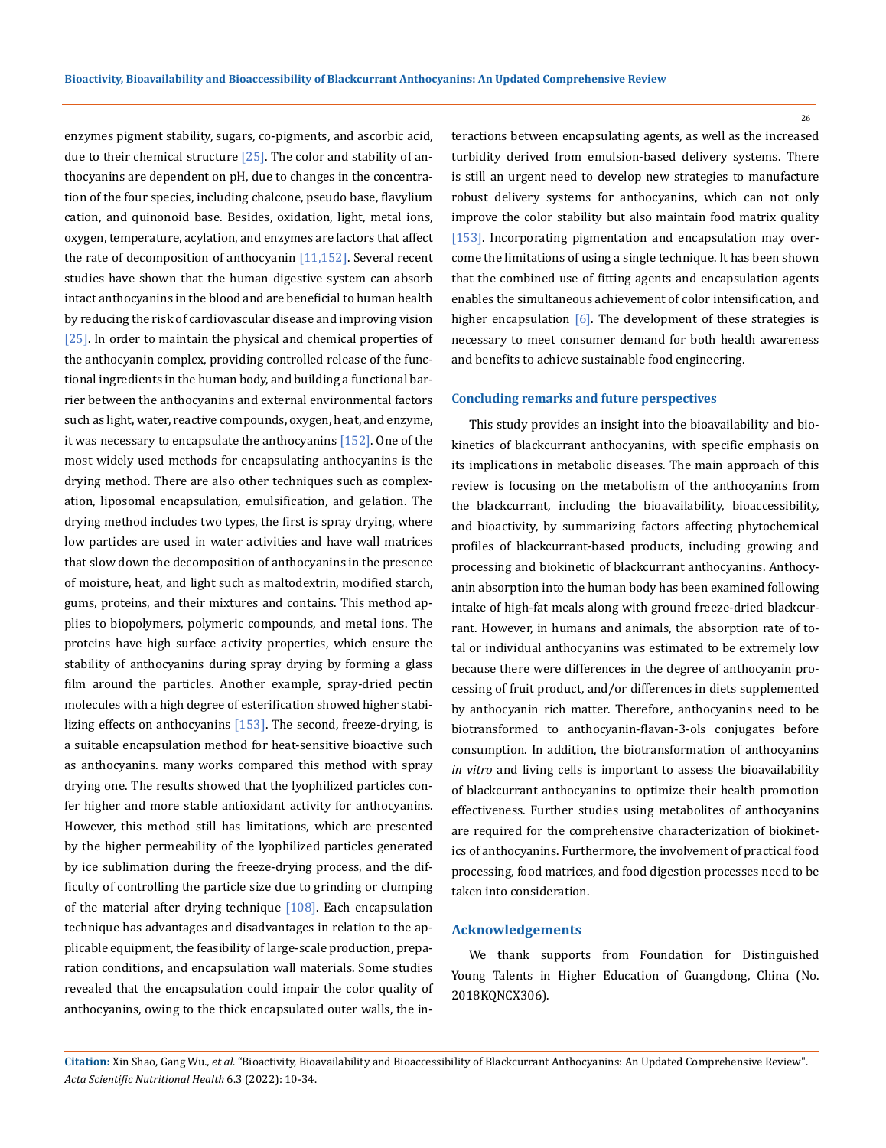enzymes pigment stability, sugars, co-pigments, and ascorbic acid, due to their chemical structure  $[25]$ . The color and stability of anthocyanins are dependent on pH, due to changes in the concentration of the four species, including chalcone, pseudo base, flavylium cation, and quinonoid base. Besides, oxidation, light, metal ions, oxygen, temperature, acylation, and enzymes are factors that affect the rate of decomposition of anthocyanin  $[11,152]$ . Several recent studies have shown that the human digestive system can absorb intact anthocyanins in the blood and are beneficial to human health by reducing the risk of cardiovascular disease and improving vision [25]. In order to maintain the physical and chemical properties of the anthocyanin complex, providing controlled release of the functional ingredients in the human body, and building a functional barrier between the anthocyanins and external environmental factors such as light, water, reactive compounds, oxygen, heat, and enzyme, it was necessary to encapsulate the anthocyanins [152]. One of the most widely used methods for encapsulating anthocyanins is the drying method. There are also other techniques such as complexation, liposomal encapsulation, emulsification, and gelation. The drying method includes two types, the first is spray drying, where low particles are used in water activities and have wall matrices that slow down the decomposition of anthocyanins in the presence of moisture, heat, and light such as maltodextrin, modified starch, gums, proteins, and their mixtures and contains. This method applies to biopolymers, polymeric compounds, and metal ions. The proteins have high surface activity properties, which ensure the stability of anthocyanins during spray drying by forming a glass film around the particles. Another example, spray-dried pectin molecules with a high degree of esterification showed higher stabilizing effects on anthocyanins  $[153]$ . The second, freeze-drying, is a suitable encapsulation method for heat-sensitive bioactive such as anthocyanins. many works compared this method with spray drying one. The results showed that the lyophilized particles confer higher and more stable antioxidant activity for anthocyanins. However, this method still has limitations, which are presented by the higher permeability of the lyophilized particles generated by ice sublimation during the freeze-drying process, and the difficulty of controlling the particle size due to grinding or clumping of the material after drying technique  $[108]$ . Each encapsulation technique has advantages and disadvantages in relation to the applicable equipment, the feasibility of large-scale production, preparation conditions, and encapsulation wall materials. Some studies revealed that the encapsulation could impair the color quality of anthocyanins, owing to the thick encapsulated outer walls, the interactions between encapsulating agents, as well as the increased turbidity derived from emulsion-based delivery systems. There is still an urgent need to develop new strategies to manufacture robust delivery systems for anthocyanins, which can not only improve the color stability but also maintain food matrix quality [153]. Incorporating pigmentation and encapsulation may overcome the limitations of using a single technique. It has been shown that the combined use of fitting agents and encapsulation agents enables the simultaneous achievement of color intensification, and higher encapsulation [6]. The development of these strategies is necessary to meet consumer demand for both health awareness and benefits to achieve sustainable food engineering.

### **Concluding remarks and future perspectives**

This study provides an insight into the bioavailability and biokinetics of blackcurrant anthocyanins, with specific emphasis on its implications in metabolic diseases. The main approach of this review is focusing on the metabolism of the anthocyanins from the blackcurrant, including the bioavailability, bioaccessibility, and bioactivity, by summarizing factors affecting phytochemical profiles of blackcurrant-based products, including growing and processing and biokinetic of blackcurrant anthocyanins. Anthocyanin absorption into the human body has been examined following intake of high-fat meals along with ground freeze-dried blackcurrant. However, in humans and animals, the absorption rate of total or individual anthocyanins was estimated to be extremely low because there were differences in the degree of anthocyanin processing of fruit product, and/or differences in diets supplemented by anthocyanin rich matter. Therefore, anthocyanins need to be biotransformed to anthocyanin-flavan-3-ols conjugates before consumption. In addition, the biotransformation of anthocyanins *in vitro* and living cells is important to assess the bioavailability of blackcurrant anthocyanins to optimize their health promotion effectiveness. Further studies using metabolites of anthocyanins are required for the comprehensive characterization of biokinetics of anthocyanins. Furthermore, the involvement of practical food processing, food matrices, and food digestion processes need to be taken into consideration.

### **Acknowledgements**

We thank supports from Foundation for Distinguished Young Talents in Higher Education of Guangdong, China (No. 2018KQNCX306).

**Citation:** Xin Shao, Gang Wu*., et al.* "Bioactivity, Bioavailability and Bioaccessibility of Blackcurrant Anthocyanins: An Updated Comprehensive Review". *Acta Scientific Nutritional Health* 6.3 (2022): 10-34.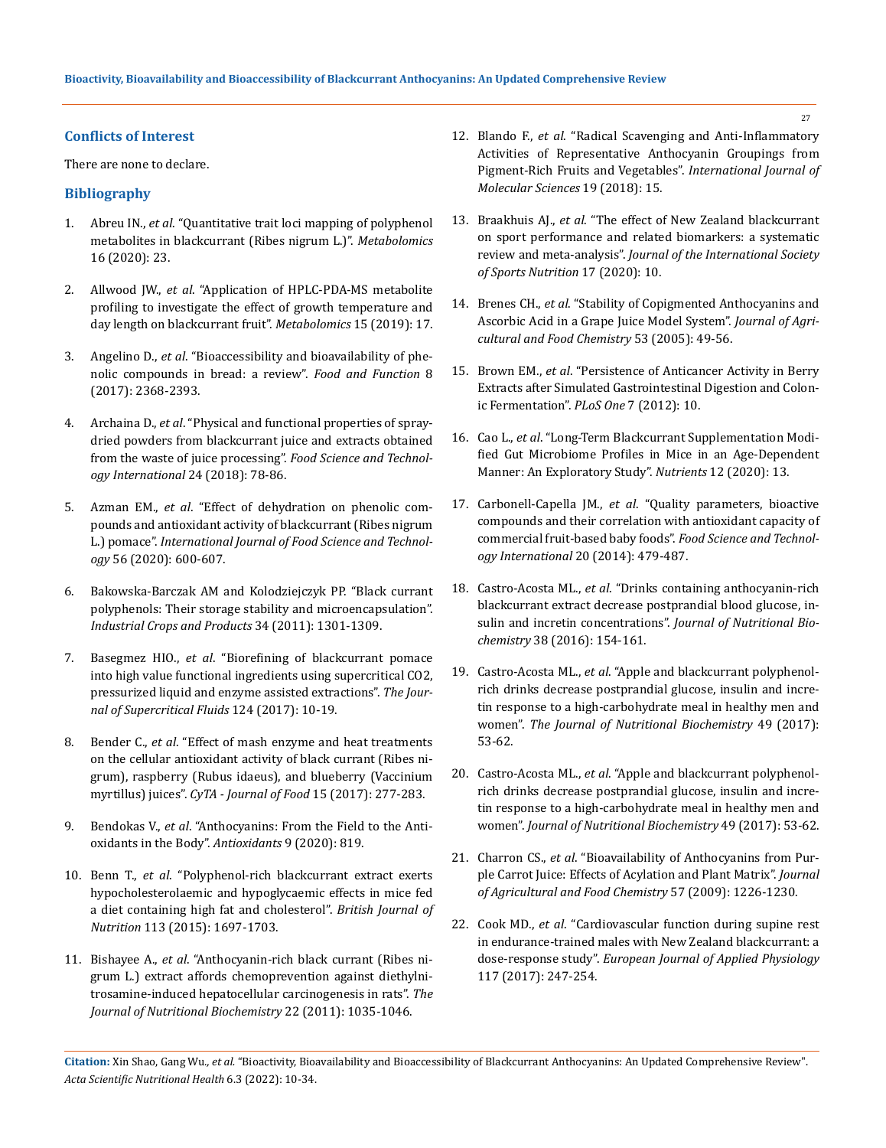### **Conflicts of Interest**

There are none to declare.

## **Bibliography**

- 1. Abreu IN., *et al*[. "Quantitative trait loci mapping of polyphenol](https://pubmed.ncbi.nlm.nih.gov/32030531/)  [metabolites in blackcurrant \(Ribes nigrum L.\)".](https://pubmed.ncbi.nlm.nih.gov/32030531/) *Metabolomics*  [16 \(2020\): 23.](https://pubmed.ncbi.nlm.nih.gov/32030531/)
- 2. Allwood JW., *et al*[. "Application of HPLC-PDA-MS metabolite](https://link.springer.com/article/10.1007/s11306-018-1462-5)  [profiling to investigate the effect of growth temperature and](https://link.springer.com/article/10.1007/s11306-018-1462-5)  [day length on blackcurrant fruit".](https://link.springer.com/article/10.1007/s11306-018-1462-5) *Metabolomics* 15 (2019): 17.
- 3. Angelino D., *et al*[. "Bioaccessibility and bioavailability of phe](https://pubmed.ncbi.nlm.nih.gov/28664202/)[nolic compounds in bread: a review".](https://pubmed.ncbi.nlm.nih.gov/28664202/) *Food and Function* 8 [\(2017\): 2368-2393.](https://pubmed.ncbi.nlm.nih.gov/28664202/)
- 4. Archaina D., *et al*[. "Physical and functional properties of spray](https://pubmed.ncbi.nlm.nih.gov/28899204/)[dried powders from blackcurrant juice and extracts obtained](https://pubmed.ncbi.nlm.nih.gov/28899204/)  [from the waste of juice processing".](https://pubmed.ncbi.nlm.nih.gov/28899204/) *Food Science and Technol[ogy International](https://pubmed.ncbi.nlm.nih.gov/28899204/)* 24 (2018): 78-86.
- 5. Azman EM., *et al*[. "Effect of dehydration on phenolic com](https://ifst.onlinelibrary.wiley.com/doi/abs/10.1111/ijfs.14762)[pounds and antioxidant activity of blackcurrant \(Ribes nigrum](https://ifst.onlinelibrary.wiley.com/doi/abs/10.1111/ijfs.14762)  L.) pomace". *[International Journal of Food Science and Technol](https://ifst.onlinelibrary.wiley.com/doi/abs/10.1111/ijfs.14762)ogy* [56 \(2020\): 600-607.](https://ifst.onlinelibrary.wiley.com/doi/abs/10.1111/ijfs.14762)
- 6. [Bakowska-Barczak AM and Kolodziejczyk PP. "Black currant](https://www.sciencedirect.com/science/article/abs/pii/S0926669010002475)  [polyphenols: Their storage stability and microencapsulation".](https://www.sciencedirect.com/science/article/abs/pii/S0926669010002475)  *[Industrial Crops and Products](https://www.sciencedirect.com/science/article/abs/pii/S0926669010002475)* 34 (2011): 1301-1309.
- 7. Basegmez HIO., *et al*[. "Biorefining of blackcurrant pomace](https://www.sciencedirect.com/science/article/abs/pii/S0896844616305666)  [into high value functional ingredients using supercritical CO2,](https://www.sciencedirect.com/science/article/abs/pii/S0896844616305666)  [pressurized liquid and enzyme assisted extractions".](https://www.sciencedirect.com/science/article/abs/pii/S0896844616305666) *The Jour[nal of Supercritical Fluids](https://www.sciencedirect.com/science/article/abs/pii/S0896844616305666)* 124 (2017): 10-19.
- 8. Bender C., *et al*[. "Effect of mash enzyme and heat treatments](https://www.researchgate.net/publication/311440890_Effect_of_mash_enzyme_and_heat_treatments_on_the_cellular_antioxidant_activity_of_blackcurrant_Ribes_nigrum_raspberry_Rubus_idaeus_and_blueberry_Vaccinium_myrtillus_juices)  [on the cellular antioxidant activity of black currant \(Ribes ni](https://www.researchgate.net/publication/311440890_Effect_of_mash_enzyme_and_heat_treatments_on_the_cellular_antioxidant_activity_of_blackcurrant_Ribes_nigrum_raspberry_Rubus_idaeus_and_blueberry_Vaccinium_myrtillus_juices)[grum\), raspberry \(Rubus idaeus\), and blueberry \(Vaccinium](https://www.researchgate.net/publication/311440890_Effect_of_mash_enzyme_and_heat_treatments_on_the_cellular_antioxidant_activity_of_blackcurrant_Ribes_nigrum_raspberry_Rubus_idaeus_and_blueberry_Vaccinium_myrtillus_juices)  myrtillus) juices". *[CyTA - Journal of Food](https://www.researchgate.net/publication/311440890_Effect_of_mash_enzyme_and_heat_treatments_on_the_cellular_antioxidant_activity_of_blackcurrant_Ribes_nigrum_raspberry_Rubus_idaeus_and_blueberry_Vaccinium_myrtillus_juices)* 15 (2017): 277-283.
- 9. Bendokas V., *et al*[. "Anthocyanins: From the Field to the Anti](https://pubmed.ncbi.nlm.nih.gov/32887513/)[oxidants in the Body".](https://pubmed.ncbi.nlm.nih.gov/32887513/) *Antioxidants* 9 (2020): 819.
- 10. Benn T., *et al*[. "Polyphenol-rich blackcurrant extract exerts](https://pubmed.ncbi.nlm.nih.gov/25899149/)  [hypocholesterolaemic and hypoglycaemic effects in mice fed](https://pubmed.ncbi.nlm.nih.gov/25899149/)  [a diet containing high fat and cholesterol".](https://pubmed.ncbi.nlm.nih.gov/25899149/) *British Journal of Nutrition* [113 \(2015\): 1697-1703.](https://pubmed.ncbi.nlm.nih.gov/25899149/)
- 11. Bishayee A., *et al*[. "Anthocyanin-rich black currant \(Ribes ni](https://pubmed.ncbi.nlm.nih.gov/21216582/)[grum L.\) extract affords chemoprevention against diethylni](https://pubmed.ncbi.nlm.nih.gov/21216582/)[trosamine-induced hepatocellular carcinogenesis in rats".](https://pubmed.ncbi.nlm.nih.gov/21216582/) *The [Journal of Nutritional Biochemistry](https://pubmed.ncbi.nlm.nih.gov/21216582/)* 22 (2011): 1035-1046.
- 12. Blando F., *et al*[. "Radical Scavenging and Anti-Inflammatory](https://www.ncbi.nlm.nih.gov/pmc/articles/PMC5796118/)  [Activities of Representative Anthocyanin Groupings from](https://www.ncbi.nlm.nih.gov/pmc/articles/PMC5796118/)  [Pigment-Rich Fruits and Vegetables".](https://www.ncbi.nlm.nih.gov/pmc/articles/PMC5796118/) *International Journal of [Molecular Sciences](https://www.ncbi.nlm.nih.gov/pmc/articles/PMC5796118/)* 19 (2018): 15.
- 13. Braakhuis AJ., *et al*[. "The effect of New Zealand blackcurrant](https://pubmed.ncbi.nlm.nih.gov/32460873/)  [on sport performance and related biomarkers: a systematic](https://pubmed.ncbi.nlm.nih.gov/32460873/)  review and meta-analysis". *[Journal of the International Society](https://pubmed.ncbi.nlm.nih.gov/32460873/)  [of Sports Nutrition](https://pubmed.ncbi.nlm.nih.gov/32460873/)* 17 (2020): 10.
- 14. Brenes CH., *et al*[. "Stability of Copigmented Anthocyanins and](https://pubs.acs.org/doi/10.1021/jf049857w)  [Ascorbic Acid in a Grape Juice Model System".](https://pubs.acs.org/doi/10.1021/jf049857w) *Journal of Agri[cultural and Food Chemistry](https://pubs.acs.org/doi/10.1021/jf049857w)* 53 (2005): 49-56.
- 15. Brown EM., *et al*[. "Persistence of Anticancer Activity in Berry](https://pubmed.ncbi.nlm.nih.gov/23185422/)  [Extracts after Simulated Gastrointestinal Digestion and Colon](https://pubmed.ncbi.nlm.nih.gov/23185422/)[ic Fermentation".](https://pubmed.ncbi.nlm.nih.gov/23185422/) *PLoS One* 7 (2012): 10.
- 16. Cao L., *et al*[. "Long-Term Blackcurrant Supplementation Modi](https://pubmed.ncbi.nlm.nih.gov/31973241/)[fied Gut Microbiome Profiles in Mice in an Age-Dependent](https://pubmed.ncbi.nlm.nih.gov/31973241/)  [Manner: An Exploratory Study".](https://pubmed.ncbi.nlm.nih.gov/31973241/) *Nutrients* 12 (2020): 13.
- 17. Carbonell-Capella JM., *et al*[. "Quality parameters, bioactive](https://journals.sagepub.com/doi/abs/10.1177/1082013213492523)  [compounds and their correlation with antioxidant capacity of](https://journals.sagepub.com/doi/abs/10.1177/1082013213492523)  [commercial fruit-based baby foods".](https://journals.sagepub.com/doi/abs/10.1177/1082013213492523) *Food Science and Technol[ogy International](https://journals.sagepub.com/doi/abs/10.1177/1082013213492523)* 20 (2014): 479-487.
- 18. Castro-Acosta ML., *et al*[. "Drinks containing anthocyanin-rich](https://pubmed.ncbi.nlm.nih.gov/27764725/)  [blackcurrant extract decrease postprandial blood glucose, in](https://pubmed.ncbi.nlm.nih.gov/27764725/)[sulin and incretin concentrations".](https://pubmed.ncbi.nlm.nih.gov/27764725/) *Journal of Nutritional Biochemistry* [38 \(2016\): 154-161.](https://pubmed.ncbi.nlm.nih.gov/27764725/)
- 19. Castro-Acosta ML., *et al*[. "Apple and blackcurrant polyphenol](https://pubmed.ncbi.nlm.nih.gov/28886437/)[rich drinks decrease postprandial glucose, insulin and incre](https://pubmed.ncbi.nlm.nih.gov/28886437/)[tin response to a high-carbohydrate meal in healthy men and](https://pubmed.ncbi.nlm.nih.gov/28886437/)  women". *[The Journal of Nutritional Biochemistry](https://pubmed.ncbi.nlm.nih.gov/28886437/)* 49 (2017): [53-62.](https://pubmed.ncbi.nlm.nih.gov/28886437/)
- 20. Castro-Acosta ML., *et al*[. "Apple and blackcurrant polyphenol](https://pubmed.ncbi.nlm.nih.gov/28886437/)[rich drinks decrease postprandial glucose, insulin and incre](https://pubmed.ncbi.nlm.nih.gov/28886437/)[tin response to a high-carbohydrate meal in healthy men and](https://pubmed.ncbi.nlm.nih.gov/28886437/)  women". *[Journal of Nutritional Biochemistry](https://pubmed.ncbi.nlm.nih.gov/28886437/)* 49 (2017): 53-62.
- 21. Charron CS., *et al*[. "Bioavailability of Anthocyanins from Pur](https://pubmed.ncbi.nlm.nih.gov/19166298/)[ple Carrot Juice: Effects of Acylation and Plant Matrix".](https://pubmed.ncbi.nlm.nih.gov/19166298/) *Journal [of Agricultural and Food Chemistry](https://pubmed.ncbi.nlm.nih.gov/19166298/)* 57 (2009): 1226-1230.
- 22. Cook MD., *et al*[. "Cardiovascular function during supine rest](https://pubmed.ncbi.nlm.nih.gov/28013387/)  [in endurance-trained males with New Zealand blackcurrant: a](https://pubmed.ncbi.nlm.nih.gov/28013387/)  dose-response study". *[European Journal of Applied Physiology](https://pubmed.ncbi.nlm.nih.gov/28013387/)*  [117 \(2017\): 247-254.](https://pubmed.ncbi.nlm.nih.gov/28013387/)

**Citation:** Xin Shao, Gang Wu*., et al.* "Bioactivity, Bioavailability and Bioaccessibility of Blackcurrant Anthocyanins: An Updated Comprehensive Review". *Acta Scientific Nutritional Health* 6.3 (2022): 10-34.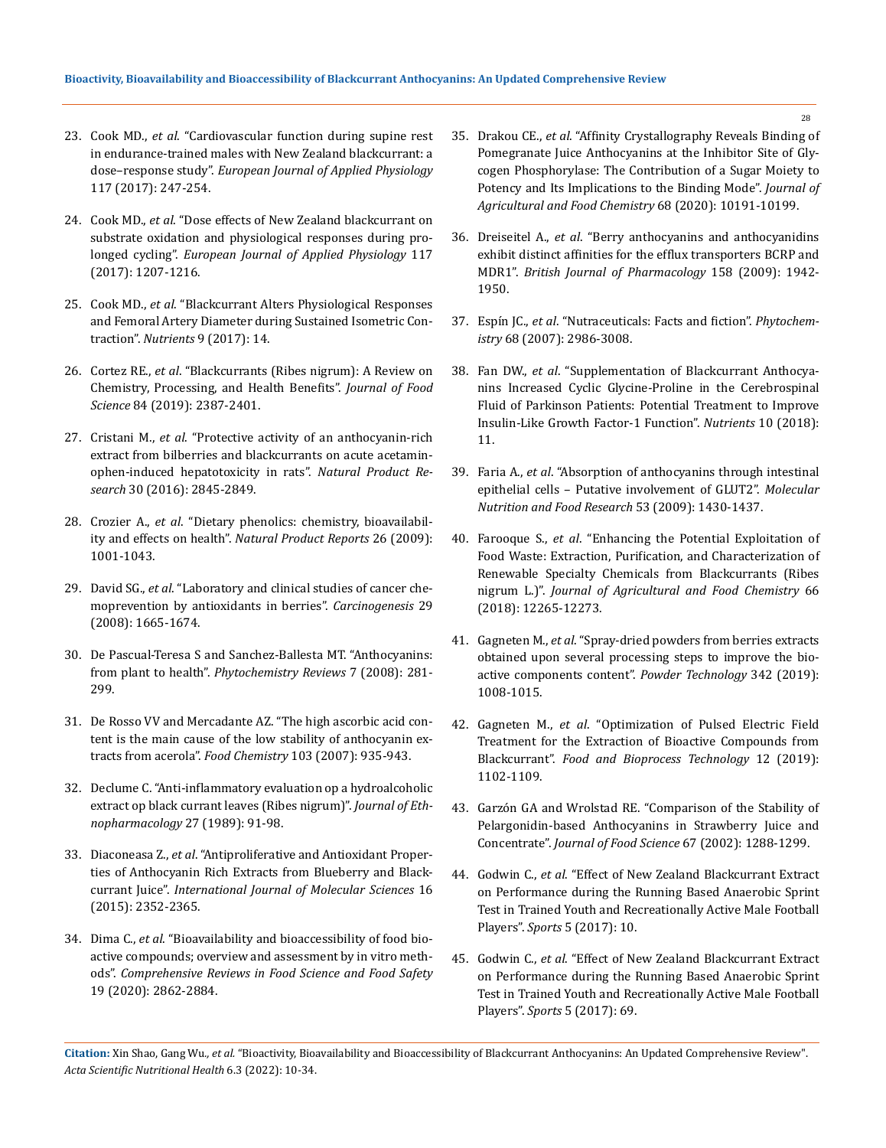- 23. Cook MD., *et al*[. "Cardiovascular function during supine rest](https://pubmed.ncbi.nlm.nih.gov/28013387/)  [in endurance-trained males with New Zealand blackcurrant: a](https://pubmed.ncbi.nlm.nih.gov/28013387/)  dose–response study". *[European Journal of Applied Physiology](https://pubmed.ncbi.nlm.nih.gov/28013387/)*  [117 \(2017\): 247-254.](https://pubmed.ncbi.nlm.nih.gov/28013387/)
- 24. Cook MD., *et al*[. "Dose effects of New Zealand blackcurrant on](https://pubmed.ncbi.nlm.nih.gov/28391393/)  [substrate oxidation and physiological responses during pro](https://pubmed.ncbi.nlm.nih.gov/28391393/)longed cycling". *[European Journal of Applied Physiology](https://pubmed.ncbi.nlm.nih.gov/28391393/)* 117 [\(2017\): 1207-1216.](https://pubmed.ncbi.nlm.nih.gov/28391393/)
- 25. Cook MD., *et al*[. "Blackcurrant Alters Physiological Responses](https://www.ncbi.nlm.nih.gov/pmc/articles/PMC5490535/)  [and Femoral Artery Diameter during Sustained Isometric Con](https://www.ncbi.nlm.nih.gov/pmc/articles/PMC5490535/)traction". *Nutrients* [9 \(2017\): 14.](https://www.ncbi.nlm.nih.gov/pmc/articles/PMC5490535/)
- 26. Cortez RE., *et al*[. "Blackcurrants \(Ribes nigrum\): A Review on](https://ift.onlinelibrary.wiley.com/doi/full/10.1111/1750-3841.14781)  [Chemistry, Processing, and Health Benefits".](https://ift.onlinelibrary.wiley.com/doi/full/10.1111/1750-3841.14781) *Journal of Food Science* [84 \(2019\): 2387-2401.](https://ift.onlinelibrary.wiley.com/doi/full/10.1111/1750-3841.14781)
- 27. Cristani M., *et al*[. "Protective activity of an anthocyanin-rich](https://pubmed.ncbi.nlm.nih.gov/26998559/)  [extract from bilberries and blackcurrants on acute acetamin](https://pubmed.ncbi.nlm.nih.gov/26998559/)[ophen-induced hepatotoxicity in rats".](https://pubmed.ncbi.nlm.nih.gov/26998559/) *Natural Product Research* [30 \(2016\): 2845-2849.](https://pubmed.ncbi.nlm.nih.gov/26998559/)
- 28. Crozier A., *et al*[. "Dietary phenolics: chemistry, bioavailabil](https://pubmed.ncbi.nlm.nih.gov/19636448/)ity and effects on health". *[Natural Product Reports](https://pubmed.ncbi.nlm.nih.gov/19636448/)* 26 (2009): [1001-1043.](https://pubmed.ncbi.nlm.nih.gov/19636448/)
- 29. David SG., *et al*[. "Laboratory and clinical studies of cancer che](https://pubmed.ncbi.nlm.nih.gov/18544560/)[moprevention by antioxidants in berries".](https://pubmed.ncbi.nlm.nih.gov/18544560/) *Carcinogenesis* 29 [\(2008\): 1665-1674.](https://pubmed.ncbi.nlm.nih.gov/18544560/)
- 30. [De Pascual-Teresa S and Sanchez-Ballesta MT. "Anthocyanins:](https://link.springer.com/article/10.1007/s11101-007-9074-0)  from plant to health". *[Phytochemistry Reviews](https://link.springer.com/article/10.1007/s11101-007-9074-0)* 7 (2008): 281- [299.](https://link.springer.com/article/10.1007/s11101-007-9074-0)
- 31. [De Rosso VV and Mercadante AZ. "The high ascorbic acid con](https://www.sciencedirect.com/science/article/abs/pii/S0308814606007710)[tent is the main cause of the low stability of anthocyanin ex](https://www.sciencedirect.com/science/article/abs/pii/S0308814606007710)tracts from acerola". *Food Chemistry* [103 \(2007\): 935-943.](https://www.sciencedirect.com/science/article/abs/pii/S0308814606007710)
- 32. [Declume C. "Anti-inflammatory evaluation op a hydroalcoholic](https://eurekamag.com/research/039/290/039290527.php)  [extract op black currant leaves \(Ribes nigrum\)".](https://eurekamag.com/research/039/290/039290527.php) *Journal of Eth[nopharmacology](https://eurekamag.com/research/039/290/039290527.php)* 27 (1989): 91-98.
- 33. Diaconeasa Z., *et al*[. "Antiproliferative and Antioxidant Proper](https://pubmed.ncbi.nlm.nih.gov/25622252/)[ties of Anthocyanin Rich Extracts from Blueberry and Black](https://pubmed.ncbi.nlm.nih.gov/25622252/)currant Juice". *[International Journal of Molecular Sciences](https://pubmed.ncbi.nlm.nih.gov/25622252/)* 16 [\(2015\): 2352-2365.](https://pubmed.ncbi.nlm.nih.gov/25622252/)
- 34. Dima C., *et al*[. "Bioavailability and bioaccessibility of food bio](https://ift.onlinelibrary.wiley.com/doi/abs/10.1111/1541-4337.12623)[active compounds; overview and assessment by in vitro meth](https://ift.onlinelibrary.wiley.com/doi/abs/10.1111/1541-4337.12623)ods". *[Comprehensive Reviews in Food Science and Food Safety](https://ift.onlinelibrary.wiley.com/doi/abs/10.1111/1541-4337.12623)*  [19 \(2020\): 2862-2884.](https://ift.onlinelibrary.wiley.com/doi/abs/10.1111/1541-4337.12623)
- 35. Drakou CE., *et al*[. "Affinity Crystallography Reveals Binding of](https://pubmed.ncbi.nlm.nih.gov/32840370/)  [Pomegranate Juice Anthocyanins at the Inhibitor Site of Gly](https://pubmed.ncbi.nlm.nih.gov/32840370/)[cogen Phosphorylase: The Contribution of a Sugar Moiety to](https://pubmed.ncbi.nlm.nih.gov/32840370/)  [Potency and Its Implications to the Binding Mode".](https://pubmed.ncbi.nlm.nih.gov/32840370/) *Journal of [Agricultural and Food Chemistry](https://pubmed.ncbi.nlm.nih.gov/32840370/)* 68 (2020): 10191-10199.
- 36. Dreiseitel A., *et al*[. "Berry anthocyanins and anthocyanidins](https://pubmed.ncbi.nlm.nih.gov/19922539/)  [exhibit distinct affinities for the efflux transporters BCRP and](https://pubmed.ncbi.nlm.nih.gov/19922539/)  MDR1". *[British Journal of Pharmacology](https://pubmed.ncbi.nlm.nih.gov/19922539/)* 158 (2009): 1942- [1950.](https://pubmed.ncbi.nlm.nih.gov/19922539/)
- 37. Espín JC., *et al*[. "Nutraceuticals: Facts and fiction".](https://pubmed.ncbi.nlm.nih.gov/17976666/) *Phytochemistry* [68 \(2007\): 2986-3008.](https://pubmed.ncbi.nlm.nih.gov/17976666/)
- 38. Fan DW., *et al*[. "Supplementation of Blackcurrant Anthocya](https://pubmed.ncbi.nlm.nih.gov/29865234/)[nins Increased Cyclic Glycine-Proline in the Cerebrospinal](https://pubmed.ncbi.nlm.nih.gov/29865234/)  [Fluid of Parkinson Patients: Potential Treatment to Improve](https://pubmed.ncbi.nlm.nih.gov/29865234/)  [Insulin-Like Growth Factor-1 Function".](https://pubmed.ncbi.nlm.nih.gov/29865234/) *Nutrients* 10 (2018): [11.](https://pubmed.ncbi.nlm.nih.gov/29865234/)
- 39. Faria A., *et al*[. "Absorption of anthocyanins through intestinal](https://pubmed.ncbi.nlm.nih.gov/19785001/)  [epithelial cells – Putative involvement of GLUT2".](https://pubmed.ncbi.nlm.nih.gov/19785001/) *Molecular [Nutrition and Food Research](https://pubmed.ncbi.nlm.nih.gov/19785001/)* 53 (2009): 1430-1437.
- 40. Farooque S., *et al*[. "Enhancing the Potential Exploitation of](https://pubs.acs.org/doi/10.1021/acs.jafc.8b04373)  [Food Waste: Extraction, Purification, and Characterization of](https://pubs.acs.org/doi/10.1021/acs.jafc.8b04373)  [Renewable Specialty Chemicals from Blackcurrants \(Ribes](https://pubs.acs.org/doi/10.1021/acs.jafc.8b04373)  nigrum L.)". *[Journal of Agricultural and Food Chemistry](https://pubs.acs.org/doi/10.1021/acs.jafc.8b04373)* 66 [\(2018\): 12265-12273.](https://pubs.acs.org/doi/10.1021/acs.jafc.8b04373)
- 41. Gagneten M., *et al*[. "Spray-dried powders from berries extracts](https://www.sciencedirect.com/science/article/abs/pii/S0032591018307757)  [obtained upon several processing steps to improve the bio](https://www.sciencedirect.com/science/article/abs/pii/S0032591018307757)[active components content".](https://www.sciencedirect.com/science/article/abs/pii/S0032591018307757) *Powder Technology* 342 (2019): [1008-1015.](https://www.sciencedirect.com/science/article/abs/pii/S0032591018307757)
- 42. Gagneten M., *et al*[. "Optimization of Pulsed Electric Field](https://ri.conicet.gov.ar/bitstream/handle/11336/150197/CONICET_Digital_Nro.8bb1e7fb-cc51-45ef-8e39-43a682d0dea5_A.pdf?sequence=2)  [Treatment for the Extraction of Bioactive Compounds from](https://ri.conicet.gov.ar/bitstream/handle/11336/150197/CONICET_Digital_Nro.8bb1e7fb-cc51-45ef-8e39-43a682d0dea5_A.pdf?sequence=2)  Blackcurrant". *[Food and Bioprocess Technology](https://ri.conicet.gov.ar/bitstream/handle/11336/150197/CONICET_Digital_Nro.8bb1e7fb-cc51-45ef-8e39-43a682d0dea5_A.pdf?sequence=2)* 12 (2019): [1102-1109.](https://ri.conicet.gov.ar/bitstream/handle/11336/150197/CONICET_Digital_Nro.8bb1e7fb-cc51-45ef-8e39-43a682d0dea5_A.pdf?sequence=2)
- 43. [Garzón GA and Wrolstad RE. "Comparison of the Stability of](https://ift.onlinelibrary.wiley.com/doi/abs/10.1111/j.1365-2621.2002.tb10277.x)  [Pelargonidin-based Anthocyanins in Strawberry Juice and](https://ift.onlinelibrary.wiley.com/doi/abs/10.1111/j.1365-2621.2002.tb10277.x)  Concentrate". *[Journal of Food Science](https://ift.onlinelibrary.wiley.com/doi/abs/10.1111/j.1365-2621.2002.tb10277.x)* 67 (2002): 1288-1299.
- 44. Godwin C., *et al*[. "Effect of New Zealand Blackcurrant Extract](https://www.researchgate.net/publication/319856674_Effect_of_New_Zealand_Blackcurrant_Extract_on_Performance_during_the_Running_Based_Anaerobic_Sprint_Test_in_Trained_Youth_and_Recreationally_Active_Male_Football_Players)  [on Performance during the Running Based Anaerobic Sprint](https://www.researchgate.net/publication/319856674_Effect_of_New_Zealand_Blackcurrant_Extract_on_Performance_during_the_Running_Based_Anaerobic_Sprint_Test_in_Trained_Youth_and_Recreationally_Active_Male_Football_Players)  [Test in Trained Youth and Recreationally Active Male Football](https://www.researchgate.net/publication/319856674_Effect_of_New_Zealand_Blackcurrant_Extract_on_Performance_during_the_Running_Based_Anaerobic_Sprint_Test_in_Trained_Youth_and_Recreationally_Active_Male_Football_Players)  Players". *Sports* [5 \(2017\): 10.](https://www.researchgate.net/publication/319856674_Effect_of_New_Zealand_Blackcurrant_Extract_on_Performance_during_the_Running_Based_Anaerobic_Sprint_Test_in_Trained_Youth_and_Recreationally_Active_Male_Football_Players)
- 45. Godwin C., *et al*[. "Effect of New Zealand Blackcurrant Extract](https://pubmed.ncbi.nlm.nih.gov/29910429/)  [on Performance during the Running Based Anaerobic Sprint](https://pubmed.ncbi.nlm.nih.gov/29910429/)  [Test in Trained Youth and Recreationally Active Male Football](https://pubmed.ncbi.nlm.nih.gov/29910429/)  Players". *Sports* [5 \(2017\): 69.](https://pubmed.ncbi.nlm.nih.gov/29910429/)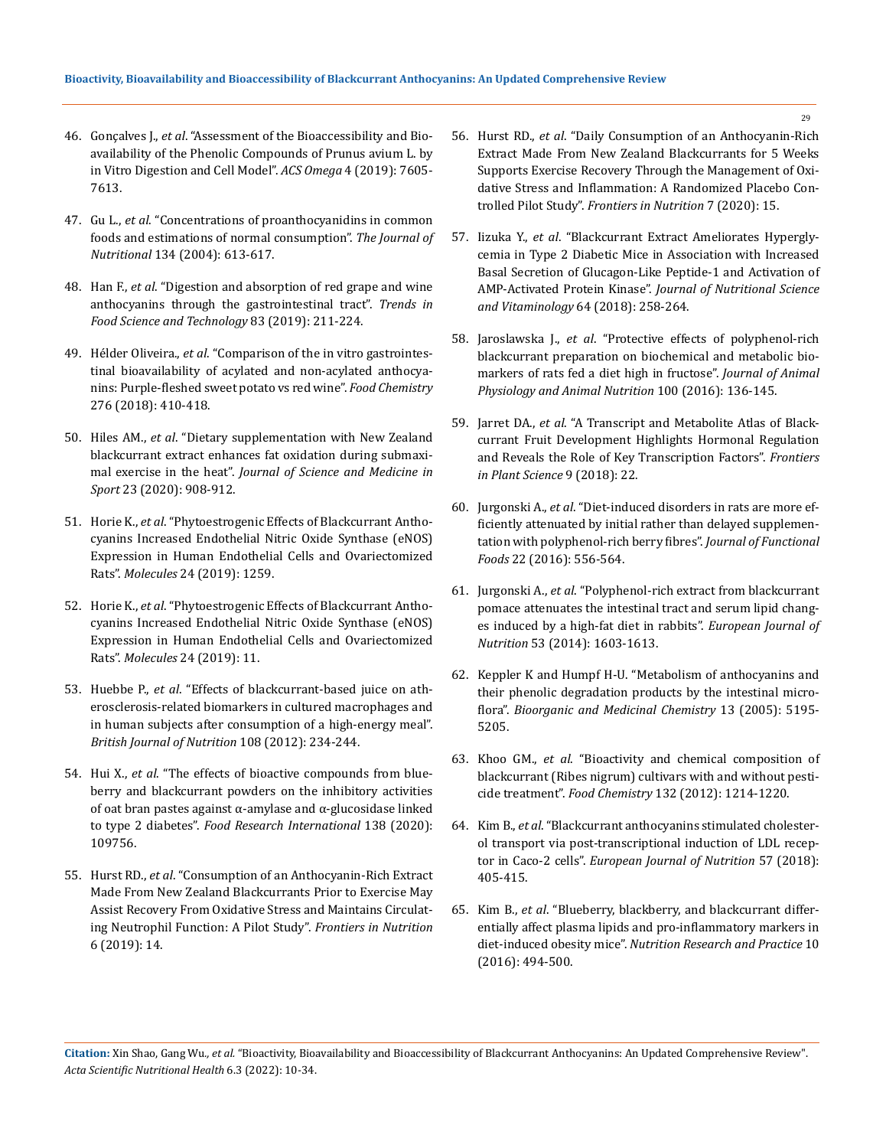- 46. Gonçalves J., *et al*[. "Assessment of the Bioaccessibility and Bio](https://pubs.acs.org/doi/10.1021/acsomega.8b03499)[availability of the Phenolic Compounds of Prunus avium L. by](https://pubs.acs.org/doi/10.1021/acsomega.8b03499)  [in Vitro Digestion and Cell Model".](https://pubs.acs.org/doi/10.1021/acsomega.8b03499) *ACS Omega* 4 (2019): 7605- [7613.](https://pubs.acs.org/doi/10.1021/acsomega.8b03499)
- 47. Gu L., *et al*[. "Concentrations of proanthocyanidins in common](https://pubmed.ncbi.nlm.nih.gov/14988456/)  [foods and estimations of normal consumption".](https://pubmed.ncbi.nlm.nih.gov/14988456/) *The Journal of Nutritional* [134 \(2004\): 613-617.](https://pubmed.ncbi.nlm.nih.gov/14988456/)
- 48. Han F., *et al*[. "Digestion and absorption of red grape and wine](https://www.sciencedirect.com/science/article/abs/pii/S0924224418304990)  [anthocyanins through the gastrointestinal tract".](https://www.sciencedirect.com/science/article/abs/pii/S0924224418304990) *Trends in [Food Science and Technology](https://www.sciencedirect.com/science/article/abs/pii/S0924224418304990)* 83 (2019): 211-224.
- 49. Hélder Oliveira., *et al*[. "Comparison of the in vitro gastrointes](https://www.researchgate.net/publication/327958714_Comparison_of_the_in_vitro_gastrointestinal_bioavailability_of_acylated_and_non-acylated_anthocyanins_Purple-Fleshed_Sweet_Potato_vs_Red_Wine)[tinal bioavailability of acylated and non-acylated anthocya](https://www.researchgate.net/publication/327958714_Comparison_of_the_in_vitro_gastrointestinal_bioavailability_of_acylated_and_non-acylated_anthocyanins_Purple-Fleshed_Sweet_Potato_vs_Red_Wine)[nins: Purple-fleshed sweet potato vs red wine".](https://www.researchgate.net/publication/327958714_Comparison_of_the_in_vitro_gastrointestinal_bioavailability_of_acylated_and_non-acylated_anthocyanins_Purple-Fleshed_Sweet_Potato_vs_Red_Wine) *Food Chemistry*  [276 \(2018\): 410-418.](https://www.researchgate.net/publication/327958714_Comparison_of_the_in_vitro_gastrointestinal_bioavailability_of_acylated_and_non-acylated_anthocyanins_Purple-Fleshed_Sweet_Potato_vs_Red_Wine)
- 50. Hiles AM., *et al*[. "Dietary supplementation with New Zealand](https://pubmed.ncbi.nlm.nih.gov/32171647/)  [blackcurrant extract enhances fat oxidation during submaxi](https://pubmed.ncbi.nlm.nih.gov/32171647/)mal exercise in the heat". *[Journal of Science and Medicine in](https://pubmed.ncbi.nlm.nih.gov/32171647/)  Sport* [23 \(2020\): 908-912.](https://pubmed.ncbi.nlm.nih.gov/32171647/)
- 51. Horie K., *et al*[. "Phytoestrogenic Effects of Blackcurrant Antho](https://www.researchgate.net/publication/332148450_Phytoestrogenic_Effects_of_Blackcurrant_Anthocyanins_Increased_Endothelial_Nitric_Oxide_Synthase_eNOS_Expression_in_Human_Endothelial_Cells_and_Ovariectomized_Rats)[cyanins Increased Endothelial Nitric Oxide Synthase \(eNOS\)](https://www.researchgate.net/publication/332148450_Phytoestrogenic_Effects_of_Blackcurrant_Anthocyanins_Increased_Endothelial_Nitric_Oxide_Synthase_eNOS_Expression_in_Human_Endothelial_Cells_and_Ovariectomized_Rats)  [Expression in Human Endothelial Cells and Ovariectomized](https://www.researchgate.net/publication/332148450_Phytoestrogenic_Effects_of_Blackcurrant_Anthocyanins_Increased_Endothelial_Nitric_Oxide_Synthase_eNOS_Expression_in_Human_Endothelial_Cells_and_Ovariectomized_Rats)  Rats". *Molecules* [24 \(2019\): 1259.](https://www.researchgate.net/publication/332148450_Phytoestrogenic_Effects_of_Blackcurrant_Anthocyanins_Increased_Endothelial_Nitric_Oxide_Synthase_eNOS_Expression_in_Human_Endothelial_Cells_and_Ovariectomized_Rats)
- 52. Horie K., *et al*[. "Phytoestrogenic Effects of Blackcurrant Antho](https://www.ncbi.nlm.nih.gov/pmc/articles/PMC6480453/)[cyanins Increased Endothelial Nitric Oxide Synthase \(eNOS\)](https://www.ncbi.nlm.nih.gov/pmc/articles/PMC6480453/)  [Expression in Human Endothelial Cells and Ovariectomized](https://www.ncbi.nlm.nih.gov/pmc/articles/PMC6480453/)  Rats". *Molecules* [24 \(2019\): 11.](https://www.ncbi.nlm.nih.gov/pmc/articles/PMC6480453/)
- 53. Huebbe P., *et al*[. "Effects of blackcurrant-based juice on ath](https://pubmed.ncbi.nlm.nih.gov/22011640/)[erosclerosis-related biomarkers in cultured macrophages and](https://pubmed.ncbi.nlm.nih.gov/22011640/)  [in human subjects after consumption of a high-energy meal".](https://pubmed.ncbi.nlm.nih.gov/22011640/)  *[British Journal of Nutrition](https://pubmed.ncbi.nlm.nih.gov/22011640/)* 108 (2012): 234-244.
- 54. Hui X., *et al*[. "The effects of bioactive compounds from blue](https://www.sciencedirect.com/science/article/abs/pii/S096399692030781X)[berry and blackcurrant powders on the inhibitory activities](https://www.sciencedirect.com/science/article/abs/pii/S096399692030781X)  [of oat bran pastes against α-amylase and α-glucosidase linked](https://www.sciencedirect.com/science/article/abs/pii/S096399692030781X)  to type 2 diabetes". *[Food Research International](https://www.sciencedirect.com/science/article/abs/pii/S096399692030781X)* 138 (2020): [109756.](https://www.sciencedirect.com/science/article/abs/pii/S096399692030781X)
- 55. Hurst RD., *et al*[. "Consumption of an Anthocyanin-Rich Extract](https://www.researchgate.net/publication/333446190_Consumption_of_an_Anthocyanin-Rich_Extract_Made_From_New_Zealand_Blackcurrants_Prior_to_Exercise_May_Assist_Recovery_From_Oxidative_Stress_and_Maintains_Circulating_Neutrophil_Function_A_Pilot_Study)  [Made From New Zealand Blackcurrants Prior to Exercise May](https://www.researchgate.net/publication/333446190_Consumption_of_an_Anthocyanin-Rich_Extract_Made_From_New_Zealand_Blackcurrants_Prior_to_Exercise_May_Assist_Recovery_From_Oxidative_Stress_and_Maintains_Circulating_Neutrophil_Function_A_Pilot_Study)  [Assist Recovery From Oxidative Stress and Maintains Circulat](https://www.researchgate.net/publication/333446190_Consumption_of_an_Anthocyanin-Rich_Extract_Made_From_New_Zealand_Blackcurrants_Prior_to_Exercise_May_Assist_Recovery_From_Oxidative_Stress_and_Maintains_Circulating_Neutrophil_Function_A_Pilot_Study)[ing Neutrophil Function: A Pilot Study".](https://www.researchgate.net/publication/333446190_Consumption_of_an_Anthocyanin-Rich_Extract_Made_From_New_Zealand_Blackcurrants_Prior_to_Exercise_May_Assist_Recovery_From_Oxidative_Stress_and_Maintains_Circulating_Neutrophil_Function_A_Pilot_Study) *Frontiers in Nutrition*  [6 \(2019\): 14.](https://www.researchgate.net/publication/333446190_Consumption_of_an_Anthocyanin-Rich_Extract_Made_From_New_Zealand_Blackcurrants_Prior_to_Exercise_May_Assist_Recovery_From_Oxidative_Stress_and_Maintains_Circulating_Neutrophil_Function_A_Pilot_Study)
- 56. Hurst RD., *et al*[. "Daily Consumption of an Anthocyanin-Rich](https://www.frontiersin.org/articles/10.3389/fnut.2020.00016/full)  [Extract Made From New Zealand Blackcurrants for 5 Weeks](https://www.frontiersin.org/articles/10.3389/fnut.2020.00016/full)  [Supports Exercise Recovery Through the Management of Oxi](https://www.frontiersin.org/articles/10.3389/fnut.2020.00016/full)[dative Stress and Inflammation: A Randomized Placebo Con](https://www.frontiersin.org/articles/10.3389/fnut.2020.00016/full)trolled Pilot Study". *[Frontiers in Nutrition](https://www.frontiersin.org/articles/10.3389/fnut.2020.00016/full)* 7 (2020): 15.
- 57. Iizuka Y., *et al*[. "Blackcurrant Extract Ameliorates Hypergly](https://pubmed.ncbi.nlm.nih.gov/30175788/)[cemia in Type 2 Diabetic Mice in Association with Increased](https://pubmed.ncbi.nlm.nih.gov/30175788/)  [Basal Secretion of Glucagon-Like Peptide-1 and Activation of](https://pubmed.ncbi.nlm.nih.gov/30175788/)  AMP-Activated Protein Kinase". *[Journal of Nutritional Science](https://pubmed.ncbi.nlm.nih.gov/30175788/)  [and Vitaminology](https://pubmed.ncbi.nlm.nih.gov/30175788/)* 64 (2018): 258-264.
- 58. Jaroslawska J., *et al*[. "Protective effects of polyphenol-rich](https://www.researchgate.net/publication/275837066_Protective_effects_of_polyphenol-rich_blackcurrant_preparation_on_biochemical_and_metabolic_biomarkers_of_rats_fed_a_diet_high_in_fructose)  [blackcurrant preparation on biochemical and metabolic bio](https://www.researchgate.net/publication/275837066_Protective_effects_of_polyphenol-rich_blackcurrant_preparation_on_biochemical_and_metabolic_biomarkers_of_rats_fed_a_diet_high_in_fructose)[markers of rats fed a diet high in fructose".](https://www.researchgate.net/publication/275837066_Protective_effects_of_polyphenol-rich_blackcurrant_preparation_on_biochemical_and_metabolic_biomarkers_of_rats_fed_a_diet_high_in_fructose) *Journal of Animal [Physiology and Animal Nutrition](https://www.researchgate.net/publication/275837066_Protective_effects_of_polyphenol-rich_blackcurrant_preparation_on_biochemical_and_metabolic_biomarkers_of_rats_fed_a_diet_high_in_fructose)* 100 (2016): 136-145.
- 59. Jarret DA., *et al*[. "A Transcript and Metabolite Atlas of Black](https://www.frontiersin.org/articles/10.3389/fpls.2018.01235/full)[currant Fruit Development Highlights Hormonal Regulation](https://www.frontiersin.org/articles/10.3389/fpls.2018.01235/full)  [and Reveals the Role of Key Transcription Factors".](https://www.frontiersin.org/articles/10.3389/fpls.2018.01235/full) *Frontiers [in Plant Science](https://www.frontiersin.org/articles/10.3389/fpls.2018.01235/full)* 9 (2018): 22.
- 60. Jurgonski A., *et al*[. "Diet-induced disorders in rats are more ef](https://www.researchgate.net/publication/295684962_Diet-induced_disorders_in_rats_are_more_efficiently_attenuated_by_initial_rather_than_delayed_supplementation_with_polyphenol-rich_berry_fibres)[ficiently attenuated by initial rather than delayed supplemen](https://www.researchgate.net/publication/295684962_Diet-induced_disorders_in_rats_are_more_efficiently_attenuated_by_initial_rather_than_delayed_supplementation_with_polyphenol-rich_berry_fibres)[tation with polyphenol-rich berry fibres".](https://www.researchgate.net/publication/295684962_Diet-induced_disorders_in_rats_are_more_efficiently_attenuated_by_initial_rather_than_delayed_supplementation_with_polyphenol-rich_berry_fibres) *Journal of Functional Foods* [22 \(2016\): 556-564.](https://www.researchgate.net/publication/295684962_Diet-induced_disorders_in_rats_are_more_efficiently_attenuated_by_initial_rather_than_delayed_supplementation_with_polyphenol-rich_berry_fibres)
- 61. Jurgonski A., *et al*[. "Polyphenol-rich extract from blackcurrant](https://pubmed.ncbi.nlm.nih.gov/24500372/)  [pomace attenuates the intestinal tract and serum lipid chang](https://pubmed.ncbi.nlm.nih.gov/24500372/)[es induced by a high-fat diet in rabbits".](https://pubmed.ncbi.nlm.nih.gov/24500372/) *European Journal of Nutrition* [53 \(2014\): 1603-1613.](https://pubmed.ncbi.nlm.nih.gov/24500372/)
- 62. [Keppler K and Humpf H-U. "Metabolism of anthocyanins and](https://pubmed.ncbi.nlm.nih.gov/15963727/)  [their phenolic degradation products by the intestinal micro](https://pubmed.ncbi.nlm.nih.gov/15963727/)flora". *[Bioorganic and Medicinal Chemistry](https://pubmed.ncbi.nlm.nih.gov/15963727/)* 13 (2005): 5195- [5205.](https://pubmed.ncbi.nlm.nih.gov/15963727/)
- 63. Khoo GM., *et al*[. "Bioactivity and chemical composition of](https://pubmed.ncbi.nlm.nih.gov/29243603/)  [blackcurrant \(Ribes nigrum\) cultivars with and without pesti](https://pubmed.ncbi.nlm.nih.gov/29243603/)cide treatment". *Food Chemistry* [132 \(2012\): 1214-1220.](https://pubmed.ncbi.nlm.nih.gov/29243603/)
- 64. Kim B., *et al*[. "Blackcurrant anthocyanins stimulated cholester](https://www.semanticscholar.org/paper/Blackcurrant-anthocyanins-stimulated-cholesterol-of-Kim-Bae/a80c8f1bebe9ab0c352c550e92c0fcf87fdc2f24)[ol transport via post-transcriptional induction of LDL recep](https://www.semanticscholar.org/paper/Blackcurrant-anthocyanins-stimulated-cholesterol-of-Kim-Bae/a80c8f1bebe9ab0c352c550e92c0fcf87fdc2f24)tor in Caco-2 cells". *[European Journal of Nutrition](https://www.semanticscholar.org/paper/Blackcurrant-anthocyanins-stimulated-cholesterol-of-Kim-Bae/a80c8f1bebe9ab0c352c550e92c0fcf87fdc2f24)* 57 (2018): [405-415.](https://www.semanticscholar.org/paper/Blackcurrant-anthocyanins-stimulated-cholesterol-of-Kim-Bae/a80c8f1bebe9ab0c352c550e92c0fcf87fdc2f24)
- 65. Kim B., *et al*[. "Blueberry, blackberry, and blackcurrant differ](https://www.ncbi.nlm.nih.gov/pmc/articles/PMC5037066/)[entially affect plasma lipids and pro-inflammatory markers in](https://www.ncbi.nlm.nih.gov/pmc/articles/PMC5037066/)  diet-induced obesity mice". *[Nutrition Research and Practice](https://www.ncbi.nlm.nih.gov/pmc/articles/PMC5037066/)* 10 [\(2016\): 494-500.](https://www.ncbi.nlm.nih.gov/pmc/articles/PMC5037066/)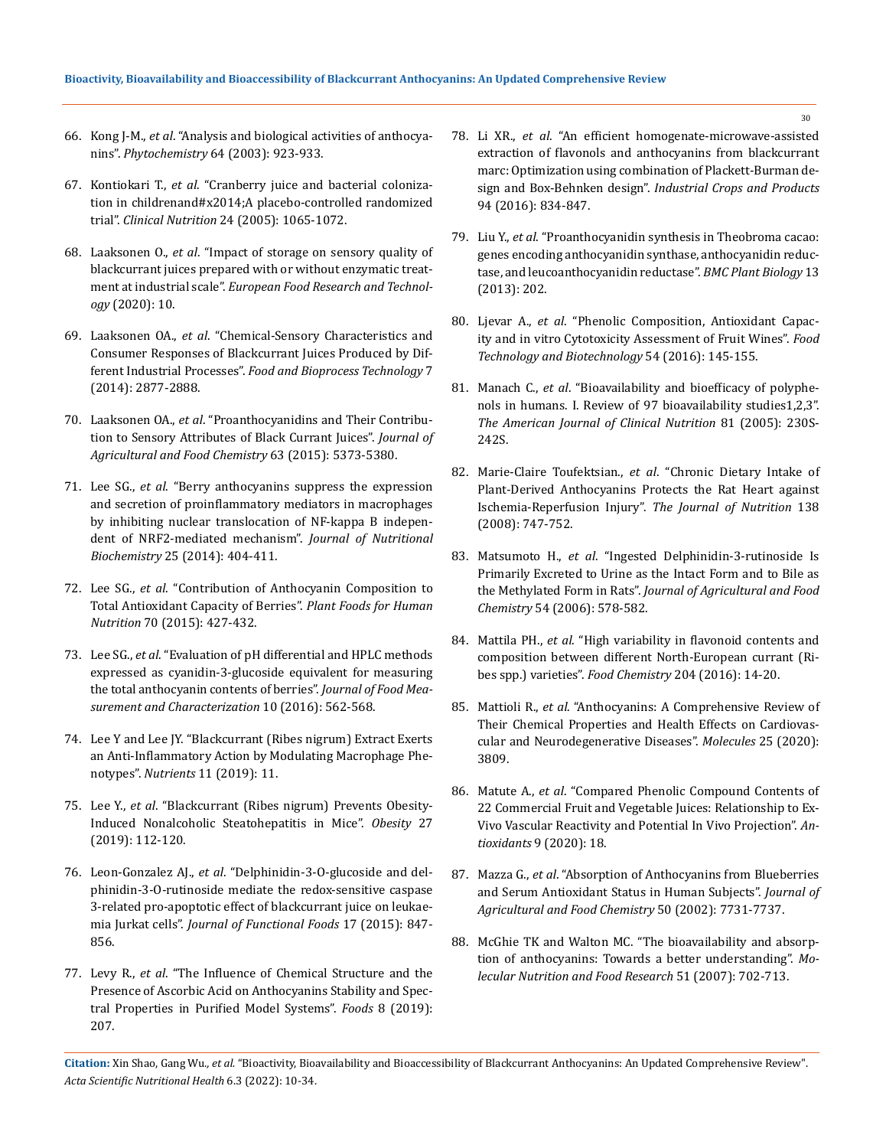- 66. Kong J-M., *et al*[. "Analysis and biological activities of anthocya](https://pubmed.ncbi.nlm.nih.gov/14561507/)nins". *Phytochemistry* [64 \(2003\): 923-933.](https://pubmed.ncbi.nlm.nih.gov/14561507/)
- 67. Kontiokari T., *et al*[. "Cranberry juice and bacterial coloniza](https://pubmed.ncbi.nlm.nih.gov/16194582/)[tion in childrenand#x2014;A placebo-controlled randomized](https://pubmed.ncbi.nlm.nih.gov/16194582/)  trial". *Clinical Nutrition* [24 \(2005\): 1065-1072.](https://pubmed.ncbi.nlm.nih.gov/16194582/)
- 68. Laaksonen O., *et al*[. "Impact of storage on sensory quality of](https://www.researchgate.net/publication/344079960_Impact_of_storage_on_sensory_quality_of_blackcurrant_juices_prepared_with_or_without_enzymatic_treatment_at_industrial_scale)  [blackcurrant juices prepared with or without enzymatic treat](https://www.researchgate.net/publication/344079960_Impact_of_storage_on_sensory_quality_of_blackcurrant_juices_prepared_with_or_without_enzymatic_treatment_at_industrial_scale)ment at industrial scale". *[European Food Research and Technol](https://www.researchgate.net/publication/344079960_Impact_of_storage_on_sensory_quality_of_blackcurrant_juices_prepared_with_or_without_enzymatic_treatment_at_industrial_scale)ogy* [\(2020\): 10.](https://www.researchgate.net/publication/344079960_Impact_of_storage_on_sensory_quality_of_blackcurrant_juices_prepared_with_or_without_enzymatic_treatment_at_industrial_scale)
- 69. Laaksonen OA., *et al*[. "Chemical-Sensory Characteristics and](https://www.researchgate.net/publication/265388768_Chemical-Sensory_Characteristics_and_Consumer_Responses_of_Blackcurrant_Juices_Produced_by_Different_Industrial_Processes)  [Consumer Responses of Blackcurrant Juices Produced by Dif](https://www.researchgate.net/publication/265388768_Chemical-Sensory_Characteristics_and_Consumer_Responses_of_Blackcurrant_Juices_Produced_by_Different_Industrial_Processes)ferent Industrial Processes". *[Food and Bioprocess Technology](https://www.researchgate.net/publication/265388768_Chemical-Sensory_Characteristics_and_Consumer_Responses_of_Blackcurrant_Juices_Produced_by_Different_Industrial_Processes)* 7 [\(2014\): 2877-2888.](https://www.researchgate.net/publication/265388768_Chemical-Sensory_Characteristics_and_Consumer_Responses_of_Blackcurrant_Juices_Produced_by_Different_Industrial_Processes)
- 70. Laaksonen OA., *et al*[. "Proanthocyanidins and Their Contribu](https://pubmed.ncbi.nlm.nih.gov/25984593/)[tion to Sensory Attributes of Black Currant Juices".](https://pubmed.ncbi.nlm.nih.gov/25984593/) *Journal of [Agricultural and Food Chemistry](https://pubmed.ncbi.nlm.nih.gov/25984593/)* 63 (2015): 5373-5380.
- 71. Lee SG., *et al*[. "Berry anthocyanins suppress the expression](https://pubmed.ncbi.nlm.nih.gov/24565673/)  [and secretion of proinflammatory mediators in macrophages](https://pubmed.ncbi.nlm.nih.gov/24565673/)  [by inhibiting nuclear translocation of NF-kappa B indepen](https://pubmed.ncbi.nlm.nih.gov/24565673/)[dent of NRF2-mediated mechanism".](https://pubmed.ncbi.nlm.nih.gov/24565673/) *Journal of Nutritional Biochemistry* [25 \(2014\): 404-411.](https://pubmed.ncbi.nlm.nih.gov/24565673/)
- 72. Lee SG., *et al*[. "Contribution of Anthocyanin Composition to](https://www.intechopen.com/chapters/53823)  [Total Antioxidant Capacity of Berries".](https://www.intechopen.com/chapters/53823) *Plant Foods for Human Nutrition* [70 \(2015\): 427-432.](https://www.intechopen.com/chapters/53823)
- 73. Lee SG., *et al*[. "Evaluation of pH differential and HPLC methods](https://link.springer.com/article/10.1007/s11694-016-9337-9)  [expressed as cyanidin-3-glucoside equivalent for measuring](https://link.springer.com/article/10.1007/s11694-016-9337-9)  [the total anthocyanin contents of berries".](https://link.springer.com/article/10.1007/s11694-016-9337-9) *Journal of Food Mea[surement and Characterization](https://link.springer.com/article/10.1007/s11694-016-9337-9)* 10 (2016): 562-568.
- 74. [Lee Y and Lee JY. "Blackcurrant \(Ribes nigrum\) Extract Exerts](https://pubmed.ncbi.nlm.nih.gov/31035378/)  [an Anti-Inflammatory Action by Modulating Macrophage Phe](https://pubmed.ncbi.nlm.nih.gov/31035378/)notypes". *Nutrients* [11 \(2019\): 11.](https://pubmed.ncbi.nlm.nih.gov/31035378/)
- 75. Lee Y., *et al*[. "Blackcurrant \(Ribes nigrum\) Prevents Obesity-](https://www.researchgate.net/publication/329813363_Blackcurrant_Ribes_nigrum_Prevents_Obesity-Induced_Nonalcoholic_Steatohepatitis_in_Mice_Prevention_of_NASH_by_Blackcurrant_in_Mice)[Induced Nonalcoholic Steatohepatitis in Mice".](https://www.researchgate.net/publication/329813363_Blackcurrant_Ribes_nigrum_Prevents_Obesity-Induced_Nonalcoholic_Steatohepatitis_in_Mice_Prevention_of_NASH_by_Blackcurrant_in_Mice) *Obesity* 27 [\(2019\): 112-120.](https://www.researchgate.net/publication/329813363_Blackcurrant_Ribes_nigrum_Prevents_Obesity-Induced_Nonalcoholic_Steatohepatitis_in_Mice_Prevention_of_NASH_by_Blackcurrant_in_Mice)
- 76. Leon-Gonzalez AJ., *et al*[. "Delphinidin-3-O-glucoside and del](https://www.researchgate.net/publication/281155148_Delphinidin-3-O-glucoside_and_delphinidin-3-O-rutinoside_mediate_the_redox-sensitive_caspase_3-related_pro-apoptotic_effect_of_blackcurrant_juice_on_leukaemia_Jurkat_cells)[phinidin-3-O-rutinoside mediate the redox-sensitive caspase](https://www.researchgate.net/publication/281155148_Delphinidin-3-O-glucoside_and_delphinidin-3-O-rutinoside_mediate_the_redox-sensitive_caspase_3-related_pro-apoptotic_effect_of_blackcurrant_juice_on_leukaemia_Jurkat_cells)  [3-related pro-apoptotic effect of blackcurrant juice on leukae](https://www.researchgate.net/publication/281155148_Delphinidin-3-O-glucoside_and_delphinidin-3-O-rutinoside_mediate_the_redox-sensitive_caspase_3-related_pro-apoptotic_effect_of_blackcurrant_juice_on_leukaemia_Jurkat_cells)mia Jurkat cells". *[Journal of Functional Foods](https://www.researchgate.net/publication/281155148_Delphinidin-3-O-glucoside_and_delphinidin-3-O-rutinoside_mediate_the_redox-sensitive_caspase_3-related_pro-apoptotic_effect_of_blackcurrant_juice_on_leukaemia_Jurkat_cells)* 17 (2015): 847- [856.](https://www.researchgate.net/publication/281155148_Delphinidin-3-O-glucoside_and_delphinidin-3-O-rutinoside_mediate_the_redox-sensitive_caspase_3-related_pro-apoptotic_effect_of_blackcurrant_juice_on_leukaemia_Jurkat_cells)
- 77. Levy R., *et al*[. "The Influence of Chemical Structure and the](https://www.mdpi.com/2304-8158/8/6/207)  [Presence of Ascorbic Acid on Anthocyanins Stability and Spec](https://www.mdpi.com/2304-8158/8/6/207)[tral Properties in Purified Model Systems".](https://www.mdpi.com/2304-8158/8/6/207) *Foods* 8 (2019): [207.](https://www.mdpi.com/2304-8158/8/6/207)
- 78. Li XR., *et al*[. "An efficient homogenate-microwave-assisted](https://www.sciencedirect.com/science/article/abs/pii/S0926669016306628)  [extraction of flavonols and anthocyanins from blackcurrant](https://www.sciencedirect.com/science/article/abs/pii/S0926669016306628)  [marc: Optimization using combination of Plackett-Burman de](https://www.sciencedirect.com/science/article/abs/pii/S0926669016306628)sign and Box-Behnken design". *[Industrial Crops and Products](https://www.sciencedirect.com/science/article/abs/pii/S0926669016306628)* [94 \(2016\): 834-847.](https://www.sciencedirect.com/science/article/abs/pii/S0926669016306628)
- 79. Liu Y., *et al*[. "Proanthocyanidin synthesis in Theobroma cacao:](https://www.ncbi.nlm.nih.gov/pmc/articles/PMC4233638/)  [genes encoding anthocyanidin synthase, anthocyanidin reduc](https://www.ncbi.nlm.nih.gov/pmc/articles/PMC4233638/)[tase, and leucoanthocyanidin reductase".](https://www.ncbi.nlm.nih.gov/pmc/articles/PMC4233638/) *BMC Plant Biology* 13 [\(2013\): 202.](https://www.ncbi.nlm.nih.gov/pmc/articles/PMC4233638/)
- 80. Ljevar A., *et al*[. "Phenolic Composition, Antioxidant Capac](https://pubmed.ncbi.nlm.nih.gov/27904404/)[ity and in vitro Cytotoxicity Assessment of Fruit Wines".](https://pubmed.ncbi.nlm.nih.gov/27904404/) *Food [Technology and Biotechnology](https://pubmed.ncbi.nlm.nih.gov/27904404/)* 54 (2016): 145-155.
- 81. Manach C., *et al*[. "Bioavailability and bioefficacy of polyphe](https://pubmed.ncbi.nlm.nih.gov/15640486/)[nols in humans. I. Review of 97 bioavailability studies1,2,3".](https://pubmed.ncbi.nlm.nih.gov/15640486/)  *[The American Journal of Clinical Nutrition](https://pubmed.ncbi.nlm.nih.gov/15640486/)* 81 (2005): 230S-[242S.](https://pubmed.ncbi.nlm.nih.gov/15640486/)
- 82. Marie-Claire Toufektsian., *et al*[. "Chronic Dietary Intake of](https://pubmed.ncbi.nlm.nih.gov/18356330/)  [Plant-Derived Anthocyanins Protects the Rat Heart against](https://pubmed.ncbi.nlm.nih.gov/18356330/)  Ischemia-Reperfusion Injury". *[The Journal of Nutrition](https://pubmed.ncbi.nlm.nih.gov/18356330/)* 138 [\(2008\): 747-752.](https://pubmed.ncbi.nlm.nih.gov/18356330/)
- 83. Matsumoto H., *et al*[. "Ingested Delphinidin-3-rutinoside Is](https://pubs.acs.org/doi/10.1021/jf052411a)  [Primarily Excreted to Urine as the Intact Form and to Bile as](https://pubs.acs.org/doi/10.1021/jf052411a)  the Methylated Form in Rats". *[Journal of Agricultural and Food](https://pubs.acs.org/doi/10.1021/jf052411a)  Chemistry* [54 \(2006\): 578-582.](https://pubs.acs.org/doi/10.1021/jf052411a)
- 84. Mattila PH., *et al*[. "High variability in flavonoid contents and](https://pubmed.ncbi.nlm.nih.gov/26988470/)  [composition between different North-European currant \(Ri](https://pubmed.ncbi.nlm.nih.gov/26988470/)[bes spp.\) varieties".](https://pubmed.ncbi.nlm.nih.gov/26988470/) *Food Chemistry* 204 (2016): 14-20.
- 85. Mattioli R., *et al*[. "Anthocyanins: A Comprehensive Review of](https://pubmed.ncbi.nlm.nih.gov/32825684/)  [Their Chemical Properties and Health Effects on Cardiovas](https://pubmed.ncbi.nlm.nih.gov/32825684/)[cular and Neurodegenerative Diseases".](https://pubmed.ncbi.nlm.nih.gov/32825684/) *Molecules* 25 (2020): [3809.](https://pubmed.ncbi.nlm.nih.gov/32825684/)
- 86. Matute A., *et al*[. "Compared Phenolic Compound Contents of](https://pubmed.ncbi.nlm.nih.gov/31978956/)  [22 Commercial Fruit and Vegetable Juices: Relationship to Ex-](https://pubmed.ncbi.nlm.nih.gov/31978956/)[Vivo Vascular Reactivity and Potential In Vivo Projection".](https://pubmed.ncbi.nlm.nih.gov/31978956/) *Antioxidants* [9 \(2020\): 18.](https://pubmed.ncbi.nlm.nih.gov/31978956/)
- 87. Mazza G., *et al*[. "Absorption of Anthocyanins from Blueberries](https://pubs.acs.org/doi/10.1021/jf020690l)  [and Serum Antioxidant Status in Human Subjects".](https://pubs.acs.org/doi/10.1021/jf020690l) *Journal of [Agricultural and Food Chemistry](https://pubs.acs.org/doi/10.1021/jf020690l)* 50 (2002): 7731-7737.
- 88. [McGhie TK and Walton MC. "The bioavailability and absorp](https://pubmed.ncbi.nlm.nih.gov/17533653/)[tion of anthocyanins: Towards a better understanding".](https://pubmed.ncbi.nlm.nih.gov/17533653/) *Mo[lecular Nutrition and Food Research](https://pubmed.ncbi.nlm.nih.gov/17533653/)* 51 (2007): 702-713.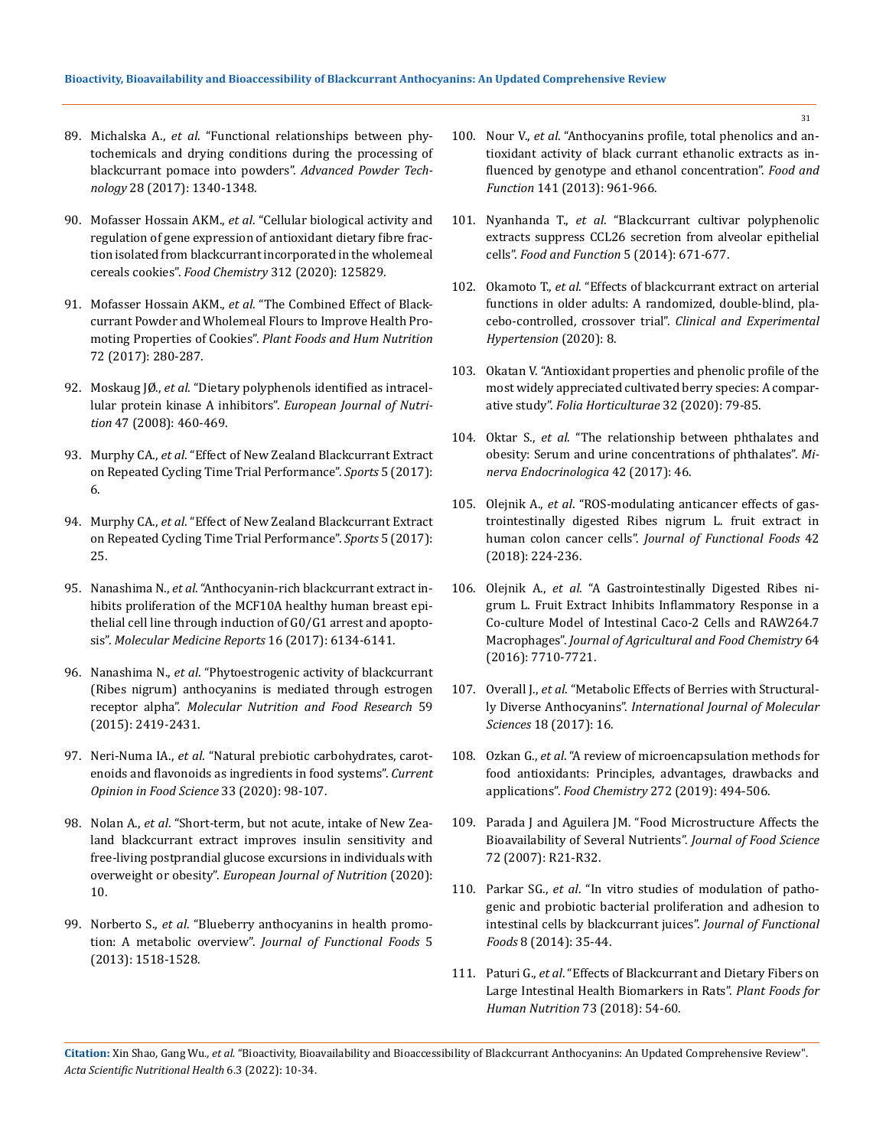- 89. Michalska A., *et al*[. "Functional relationships between phy](https://www.researchgate.net/publication/315461080_Functional_relationships_between_phytochemicals_and_drying_conditions_during_the_processing_of_blackcurrant_pomace_into_powdershttps:/www.researchgate.net/publication/315461080_Functional_relationships_between_phytochemicals_and_drying_conditions_during_the_processing_of_blackcurrant_pomace_into_powders)[tochemicals and drying conditions during the processing of](https://www.researchgate.net/publication/315461080_Functional_relationships_between_phytochemicals_and_drying_conditions_during_the_processing_of_blackcurrant_pomace_into_powdershttps:/www.researchgate.net/publication/315461080_Functional_relationships_between_phytochemicals_and_drying_conditions_during_the_processing_of_blackcurrant_pomace_into_powders)  [blackcurrant pomace into powders".](https://www.researchgate.net/publication/315461080_Functional_relationships_between_phytochemicals_and_drying_conditions_during_the_processing_of_blackcurrant_pomace_into_powdershttps:/www.researchgate.net/publication/315461080_Functional_relationships_between_phytochemicals_and_drying_conditions_during_the_processing_of_blackcurrant_pomace_into_powders) *Advanced Powder Technology* [28 \(2017\): 1340-1348.](https://www.researchgate.net/publication/315461080_Functional_relationships_between_phytochemicals_and_drying_conditions_during_the_processing_of_blackcurrant_pomace_into_powdershttps:/www.researchgate.net/publication/315461080_Functional_relationships_between_phytochemicals_and_drying_conditions_during_the_processing_of_blackcurrant_pomace_into_powders)
- 90. Mofasser Hossain AKM., *et al*[. "Cellular biological activity and](https://pubmed.ncbi.nlm.nih.gov/31901703/)  [regulation of gene expression of antioxidant dietary fibre frac](https://pubmed.ncbi.nlm.nih.gov/31901703/)[tion isolated from blackcurrant incorporated in the wholemeal](https://pubmed.ncbi.nlm.nih.gov/31901703/)  cereals cookies". *Food Chemistry* [312 \(2020\): 125829.](https://pubmed.ncbi.nlm.nih.gov/31901703/)
- 91. Mofasser Hossain AKM., *et al*[. "The Combined Effect of Black](https://pubmed.ncbi.nlm.nih.gov/28660375/)[currant Powder and Wholemeal Flours to Improve Health Pro](https://pubmed.ncbi.nlm.nih.gov/28660375/)moting Properties of Cookies". *[Plant Foods and Hum Nutrition](https://pubmed.ncbi.nlm.nih.gov/28660375/)* [72 \(2017\): 280-287.](https://pubmed.ncbi.nlm.nih.gov/28660375/)
- 92. Moskaug JØ., *et al*[. "Dietary polyphenols identified as intracel](https://link.springer.com/article/10.1007/s00394-008-0749-0)[lular protein kinase A inhibitors".](https://link.springer.com/article/10.1007/s00394-008-0749-0) *European Journal of Nutrition* [47 \(2008\): 460-469.](https://link.springer.com/article/10.1007/s00394-008-0749-0)
- 93. Murphy CA., *et al*[. "Effect of New Zealand Blackcurrant Extract](https://www.ncbi.nlm.nih.gov/pmc/articles/PMC5968979/)  [on Repeated Cycling Time Trial Performance".](https://www.ncbi.nlm.nih.gov/pmc/articles/PMC5968979/) *Sports* 5 (2017): [6.](https://www.ncbi.nlm.nih.gov/pmc/articles/PMC5968979/)
- 94. Murphy CA., *et al*[. "Effect of New Zealand Blackcurrant Extract](https://www.ncbi.nlm.nih.gov/pmc/articles/PMC5968979/)  [on Repeated Cycling Time Trial Performance".](https://www.ncbi.nlm.nih.gov/pmc/articles/PMC5968979/) *Sports* 5 (2017): [25.](https://www.ncbi.nlm.nih.gov/pmc/articles/PMC5968979/)
- 95. Nanashima N., *et al*[. "Anthocyanin-rich blackcurrant extract in](https://pubmed.ncbi.nlm.nih.gov/28901377/)[hibits proliferation of the MCF10A healthy human breast epi](https://pubmed.ncbi.nlm.nih.gov/28901377/)[thelial cell line through induction of G0/G1 arrest and apopto](https://pubmed.ncbi.nlm.nih.gov/28901377/)sis". *[Molecular Medicine Reports](https://pubmed.ncbi.nlm.nih.gov/28901377/)* 16 (2017): 6134-6141.
- 96. Nanashima N., *et al*[. "Phytoestrogenic activity of blackcurrant](https://pubmed.ncbi.nlm.nih.gov/26395027/)  [\(Ribes nigrum\) anthocyanins is mediated through estrogen](https://pubmed.ncbi.nlm.nih.gov/26395027/)  receptor alpha". *[Molecular Nutrition and Food Research](https://pubmed.ncbi.nlm.nih.gov/26395027/)* 59 [\(2015\): 2419-2431.](https://pubmed.ncbi.nlm.nih.gov/26395027/)
- 97. Neri-Numa IA., *et al*[. "Natural prebiotic carbohydrates, carot](https://www.sciencedirect.com/science/article/abs/pii/S2214799320300230)[enoids and flavonoids as ingredients in food systems".](https://www.sciencedirect.com/science/article/abs/pii/S2214799320300230) *Current [Opinion in Food Science](https://www.sciencedirect.com/science/article/abs/pii/S2214799320300230)* 33 (2020): 98-107.
- 98. Nolan A., *et al*[. "Short-term, but not acute, intake of New Zea](https://link.springer.com/article/10.1007/s00394-020-02329-7)[land blackcurrant extract improves insulin sensitivity and](https://link.springer.com/article/10.1007/s00394-020-02329-7)  [free-living postprandial glucose excursions in individuals with](https://link.springer.com/article/10.1007/s00394-020-02329-7)  overweight or obesity". *[European Journal of Nutrition](https://link.springer.com/article/10.1007/s00394-020-02329-7)* (2020): [10.](https://link.springer.com/article/10.1007/s00394-020-02329-7)
- 99. Norberto S., *et al*[. "Blueberry anthocyanins in health promo](https://www.sciencedirect.com/science/article/abs/pii/S1756464613001990)tion: A metabolic overview". *[Journal of Functional Foods](https://www.sciencedirect.com/science/article/abs/pii/S1756464613001990)* 5 [\(2013\): 1518-1528.](https://www.sciencedirect.com/science/article/abs/pii/S1756464613001990)
- 100. Nour V., *et al*[. "Anthocyanins profile, total phenolics and an](https://pubmed.ncbi.nlm.nih.gov/23790874/)[tioxidant activity of black currant ethanolic extracts as in](https://pubmed.ncbi.nlm.nih.gov/23790874/)[fluenced by genotype and ethanol concentration".](https://pubmed.ncbi.nlm.nih.gov/23790874/) *Food and Function* [141 \(2013\): 961-966.](https://pubmed.ncbi.nlm.nih.gov/23790874/)
- 101. Nyanhanda T., *et al*[. "Blackcurrant cultivar polyphenolic](https://www.researchgate.net/publication/260196065_Blackcurrant_cultivar_polyphenolic_extracts_suppress_CCL26_secretion_from_alveolar_epithelial_cells)  [extracts suppress CCL26 secretion from alveolar epithelial](https://www.researchgate.net/publication/260196065_Blackcurrant_cultivar_polyphenolic_extracts_suppress_CCL26_secretion_from_alveolar_epithelial_cells)  cells". *[Food and Function](https://www.researchgate.net/publication/260196065_Blackcurrant_cultivar_polyphenolic_extracts_suppress_CCL26_secretion_from_alveolar_epithelial_cells)* 5 (2014): 671-677.
- 102. Okamoto T., *et al*[. "Effects of blackcurrant extract on arterial](https://pubmed.ncbi.nlm.nih.gov/32396017/)  [functions in older adults: A randomized, double-blind, pla](https://pubmed.ncbi.nlm.nih.gov/32396017/)[cebo-controlled, crossover trial".](https://pubmed.ncbi.nlm.nih.gov/32396017/) *Clinical and Experimental [Hypertension](https://pubmed.ncbi.nlm.nih.gov/32396017/)* (2020): 8.
- 103. [Okatan V. "Antioxidant properties and phenolic profile of the](https://sciendo.com/article/10.2478/fhort-2020-0008)  [most widely appreciated cultivated berry species: A compar](https://sciendo.com/article/10.2478/fhort-2020-0008)ative study". *[Folia Horticulturae](https://sciendo.com/article/10.2478/fhort-2020-0008)* 32 (2020): 79-85.
- 104. Oktar S., *et al*[. "The relationship between phthalates and](https://www.researchgate.net/publication/277252566_The_relationship_between_phthalates_and_obesity_Serum_and_urine_concentrations_of_phthalates)  [obesity: Serum and urine concentrations of phthalates".](https://www.researchgate.net/publication/277252566_The_relationship_between_phthalates_and_obesity_Serum_and_urine_concentrations_of_phthalates) *Mi[nerva Endocrinologica](https://www.researchgate.net/publication/277252566_The_relationship_between_phthalates_and_obesity_Serum_and_urine_concentrations_of_phthalates)* 42 (2017): 46.
- 105. Olejnik A., *et al*[. "ROS-modulating anticancer effects of gas](https://www.sciencedirect.com/science/article/abs/pii/S1756464618300112)[trointestinally digested Ribes nigrum L. fruit extract in](https://www.sciencedirect.com/science/article/abs/pii/S1756464618300112)  human colon cancer cells". *[Journal of Functional Foods](https://www.sciencedirect.com/science/article/abs/pii/S1756464618300112)* 42 [\(2018\): 224-236.](https://www.sciencedirect.com/science/article/abs/pii/S1756464618300112)
- 106. Olejnik A., *et al*[. "A Gastrointestinally Digested Ribes ni](https://pubmed.ncbi.nlm.nih.gov/30860381/)[grum L. Fruit Extract Inhibits Inflammatory Response in a](https://pubmed.ncbi.nlm.nih.gov/30860381/)  [Co-culture Model of Intestinal Caco-2 Cells and RAW264.7](https://pubmed.ncbi.nlm.nih.gov/30860381/)  Macrophages". *[Journal of Agricultural and Food Chemistry](https://pubmed.ncbi.nlm.nih.gov/30860381/)* 64 [\(2016\): 7710-7721.](https://pubmed.ncbi.nlm.nih.gov/30860381/)
- 107. Overall J., *et al*[. "Metabolic Effects of Berries with Structural](https://pubmed.ncbi.nlm.nih.gov/28212306/)ly Diverse Anthocyanins". *[International Journal of Molecular](https://pubmed.ncbi.nlm.nih.gov/28212306/)  Sciences* [18 \(2017\): 16.](https://pubmed.ncbi.nlm.nih.gov/28212306/)
- 108. Ozkan G., *et al*[. "A review of microencapsulation methods for](https://www.sciencedirect.com/science/article/abs/pii/S0308814618313669)  [food antioxidants: Principles, advantages, drawbacks and](https://www.sciencedirect.com/science/article/abs/pii/S0308814618313669)  applications". *Food Chemistry* [272 \(2019\): 494-506.](https://www.sciencedirect.com/science/article/abs/pii/S0308814618313669)
- 109. [Parada J and Aguilera JM. "Food Microstructure Affects the](https://www.researchgate.net/publication/5850737_Food_Microstructure_Affects_the_Bioavailability_of_Several_Nutrients)  [Bioavailability of Several Nutrients".](https://www.researchgate.net/publication/5850737_Food_Microstructure_Affects_the_Bioavailability_of_Several_Nutrients) *Journal of Food Science* [72 \(2007\): R21-R32.](https://www.researchgate.net/publication/5850737_Food_Microstructure_Affects_the_Bioavailability_of_Several_Nutrients)
- 110. Parkar SG., *et al*[. "In vitro studies of modulation of patho](https://www.researchgate.net/publication/260996065_In_vitro_studies_of_modulation_of_pathogenic_and_probiotic_bacterial_proliferation_and_adhesion_to_intestinal_cells_by_blackcurrant_juices)[genic and probiotic bacterial proliferation and adhesion to](https://www.researchgate.net/publication/260996065_In_vitro_studies_of_modulation_of_pathogenic_and_probiotic_bacterial_proliferation_and_adhesion_to_intestinal_cells_by_blackcurrant_juices)  [intestinal cells by blackcurrant juices".](https://www.researchgate.net/publication/260996065_In_vitro_studies_of_modulation_of_pathogenic_and_probiotic_bacterial_proliferation_and_adhesion_to_intestinal_cells_by_blackcurrant_juices) *Journal of Functional Foods* [8 \(2014\): 35-44.](https://www.researchgate.net/publication/260996065_In_vitro_studies_of_modulation_of_pathogenic_and_probiotic_bacterial_proliferation_and_adhesion_to_intestinal_cells_by_blackcurrant_juices)
- 111. Paturi G., *et al*[. "Effects of Blackcurrant and Dietary Fibers on](https://pubmed.ncbi.nlm.nih.gov/29388158/)  [Large Intestinal Health Biomarkers in Rats".](https://pubmed.ncbi.nlm.nih.gov/29388158/) *Plant Foods for [Human Nutrition](https://pubmed.ncbi.nlm.nih.gov/29388158/)* 73 (2018): 54-60.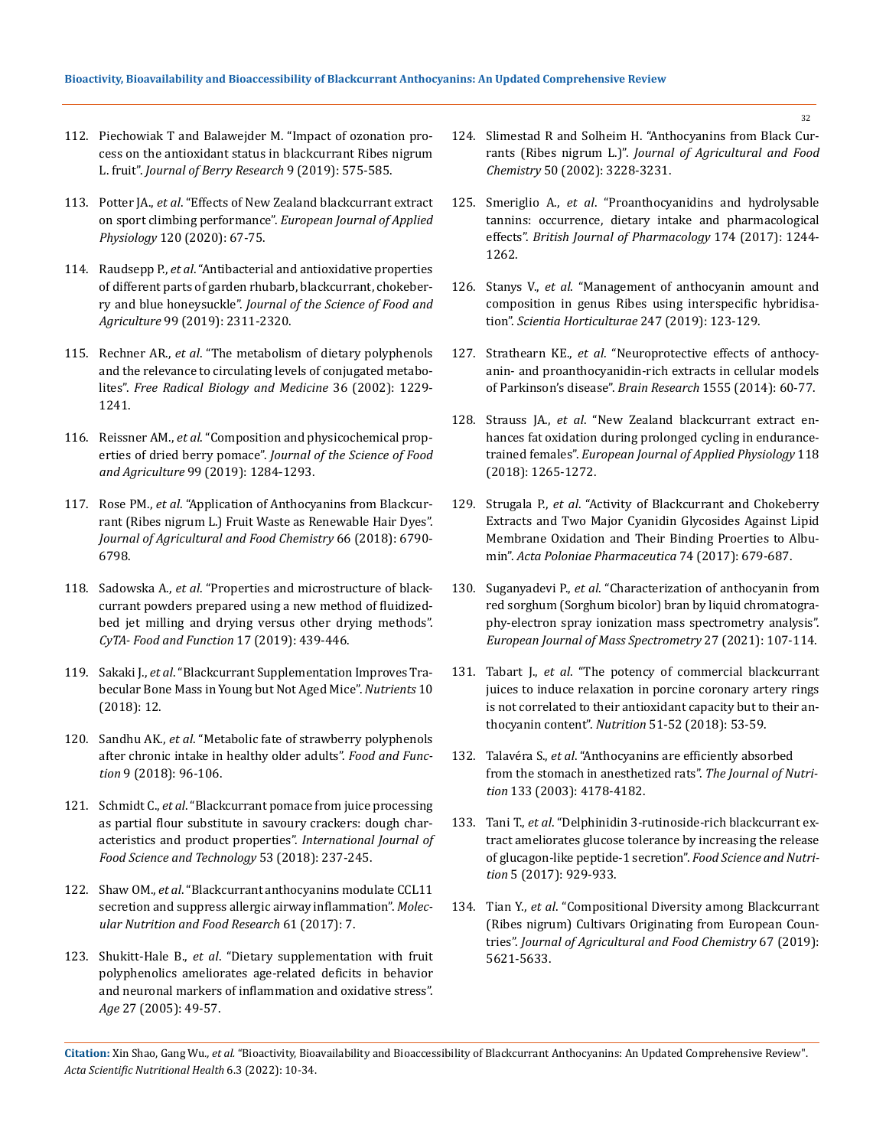- 112. [Piechowiak T and Balawejder M. "Impact of ozonation pro](https://content.iospress.com/articles/journal-of-berry-research/jbr190397)[cess on the antioxidant status in blackcurrant Ribes nigrum](https://content.iospress.com/articles/journal-of-berry-research/jbr190397)  L. fruit". *[Journal of Berry Research](https://content.iospress.com/articles/journal-of-berry-research/jbr190397)* 9 (2019): 575-585.
- 113. Potter JA., *et al*[. "Effects of New Zealand blackcurrant extract](http://eprints.chi.ac.uk/id/eprint/4861/)  on sport climbing performance". *[European Journal of Applied](http://eprints.chi.ac.uk/id/eprint/4861/)  Physiology* [120 \(2020\): 67-75.](http://eprints.chi.ac.uk/id/eprint/4861/)
- 114. Raudsepp P., *et al*[. "Antibacterial and antioxidative properties](https://pubmed.ncbi.nlm.nih.gov/30324724/)  [of different parts of garden rhubarb, blackcurrant, chokeber](https://pubmed.ncbi.nlm.nih.gov/30324724/)ry and blue honeysuckle". *[Journal of the Science of Food and](https://pubmed.ncbi.nlm.nih.gov/30324724/)  Agriculture* [99 \(2019\): 2311-2320.](https://pubmed.ncbi.nlm.nih.gov/30324724/)
- 115. Rechner AR., *et al*[. "The metabolism of dietary polyphenols](https://pubmed.ncbi.nlm.nih.gov/12592675/)  [and the relevance to circulating levels of conjugated metabo](https://pubmed.ncbi.nlm.nih.gov/12592675/)lites". *[Free Radical Biology and Medicine](https://pubmed.ncbi.nlm.nih.gov/12592675/)* 36 (2002): 1229- [1241.](https://pubmed.ncbi.nlm.nih.gov/12592675/)
- 116. Reissner AM., *et al*[. "Composition and physicochemical prop](https://www.researchgate.net/publication/326830623_Composition_and_physicochemical_properties_of_dried_berry_pomace)erties of dried berry pomace". *[Journal of the Science of Food](https://www.researchgate.net/publication/326830623_Composition_and_physicochemical_properties_of_dried_berry_pomace)  and Agriculture* [99 \(2019\): 1284-1293.](https://www.researchgate.net/publication/326830623_Composition_and_physicochemical_properties_of_dried_berry_pomace)
- 117. Rose PM., *et al*[. "Application of Anthocyanins from Blackcur](https://pubs.acs.org/doi/10.1021/acs.jafc.8b01044)[rant \(Ribes nigrum L.\) Fruit Waste as Renewable Hair Dyes".](https://pubs.acs.org/doi/10.1021/acs.jafc.8b01044)  *[Journal of Agricultural and Food Chemistry](https://pubs.acs.org/doi/10.1021/acs.jafc.8b01044)* 66 (2018): 6790- [6798.](https://pubs.acs.org/doi/10.1021/acs.jafc.8b01044)
- 118. Sadowska A., *et al*[. "Properties and microstructure of black](https://www.researchgate.net/publication/334071606_Properties_and_microstructure_of_blackcurrant_powders_prepared_using_a_new_method_of_fluidized-bed_jet_milling_and_drying_versus_other_drying_methods)[currant powders prepared using a new method of fluidized](https://www.researchgate.net/publication/334071606_Properties_and_microstructure_of_blackcurrant_powders_prepared_using_a_new_method_of_fluidized-bed_jet_milling_and_drying_versus_other_drying_methods)[bed jet milling and drying versus other drying methods".](https://www.researchgate.net/publication/334071606_Properties_and_microstructure_of_blackcurrant_powders_prepared_using_a_new_method_of_fluidized-bed_jet_milling_and_drying_versus_other_drying_methods)  *[CyTA- Food and Function](https://www.researchgate.net/publication/334071606_Properties_and_microstructure_of_blackcurrant_powders_prepared_using_a_new_method_of_fluidized-bed_jet_milling_and_drying_versus_other_drying_methods)* 17 (2019): 439-446.
- 119. Sakaki J., *et al*[. "Blackcurrant Supplementation Improves Tra](https://www.ncbi.nlm.nih.gov/pmc/articles/PMC6266496/)[becular Bone Mass in Young but Not Aged Mice".](https://www.ncbi.nlm.nih.gov/pmc/articles/PMC6266496/) *Nutrients* 10 [\(2018\): 12.](https://www.ncbi.nlm.nih.gov/pmc/articles/PMC6266496/)
- 120. Sandhu AK., *et al*[. "Metabolic fate of strawberry polyphenols](https://pubs.rsc.org/en/content/articlehtml/2018/fo/c7fo01843f)  [after chronic intake in healthy older adults".](https://pubs.rsc.org/en/content/articlehtml/2018/fo/c7fo01843f) *Food and Function* [9 \(2018\): 96-106.](https://pubs.rsc.org/en/content/articlehtml/2018/fo/c7fo01843f)
- 121. Schmidt C., *et al*[. "Blackcurrant pomace from juice processing](https://ifst.onlinelibrary.wiley.com/doi/abs/10.1111/ijfs.13639)  [as partial flour substitute in savoury crackers: dough char](https://ifst.onlinelibrary.wiley.com/doi/abs/10.1111/ijfs.13639)[acteristics and product properties".](https://ifst.onlinelibrary.wiley.com/doi/abs/10.1111/ijfs.13639) *International Journal of [Food Science and Technology](https://ifst.onlinelibrary.wiley.com/doi/abs/10.1111/ijfs.13639)* 53 (2018): 237-245.
- 122. Shaw OM., *et al*[. "Blackcurrant anthocyanins modulate CCL11](https://www.researchgate.net/publication/315880842_Blackcurrant_anthocyanins_modulate_CCL11_secretion_and_suppress_allergic_airway_inflammation)  [secretion and suppress allergic airway inflammation".](https://www.researchgate.net/publication/315880842_Blackcurrant_anthocyanins_modulate_CCL11_secretion_and_suppress_allergic_airway_inflammation) *Molec[ular Nutrition and Food Research](https://www.researchgate.net/publication/315880842_Blackcurrant_anthocyanins_modulate_CCL11_secretion_and_suppress_allergic_airway_inflammation)* 61 (2017): 7.
- 123. Shukitt-Hale B., *et al*[. "Dietary supplementation with fruit](https://pubmed.ncbi.nlm.nih.gov/23598603/)  [polyphenolics ameliorates age-related deficits in behavior](https://pubmed.ncbi.nlm.nih.gov/23598603/)  [and neuronal markers of inflammation and oxidative stress".](https://pubmed.ncbi.nlm.nih.gov/23598603/)  *Age* [27 \(2005\): 49-57.](https://pubmed.ncbi.nlm.nih.gov/23598603/)
- 124. [Slimestad R and Solheim H. "Anthocyanins from Black Cur](https://pubmed.ncbi.nlm.nih.gov/12009991/)rants (Ribes nigrum L.)". *[Journal of Agricultural and Food](https://pubmed.ncbi.nlm.nih.gov/12009991/)  Chemistry* [50 \(2002\): 3228-3231.](https://pubmed.ncbi.nlm.nih.gov/12009991/)
- 125. Smeriglio A., *et al*[. "Proanthocyanidins and hydrolysable](https://pubmed.ncbi.nlm.nih.gov/27646690/)  [tannins: occurrence, dietary intake and pharmacological](https://pubmed.ncbi.nlm.nih.gov/27646690/)  effects". *[British Journal of Pharmacology](https://pubmed.ncbi.nlm.nih.gov/27646690/)* 174 (2017): 1244- [1262.](https://pubmed.ncbi.nlm.nih.gov/27646690/)
- 126. Stanys V., *et al*[. "Management of anthocyanin amount and](https://agris.fao.org/agris-search/search.do?recordID=US201900152103)  [composition in genus Ribes using interspecific hybridisa](https://agris.fao.org/agris-search/search.do?recordID=US201900152103)tion". *[Scientia Horticulturae](https://agris.fao.org/agris-search/search.do?recordID=US201900152103)* 247 (2019): 123-129.
- 127. Strathearn KE., *et al*[. "Neuroprotective effects of anthocy](https://pubmed.ncbi.nlm.nih.gov/24502982/)[anin- and proanthocyanidin-rich extracts in cellular models](https://pubmed.ncbi.nlm.nih.gov/24502982/)  [of Parkinson's disease".](https://pubmed.ncbi.nlm.nih.gov/24502982/) *Brain Research* 1555 (2014): 60-77.
- 128. Strauss JA., *et al*[. "New Zealand blackcurrant extract en](https://pubmed.ncbi.nlm.nih.gov/29619595/)[hances fat oxidation during prolonged cycling in endurance](https://pubmed.ncbi.nlm.nih.gov/29619595/)trained females". *[European Journal of Applied Physiology](https://pubmed.ncbi.nlm.nih.gov/29619595/)* 118 [\(2018\): 1265-1272.](https://pubmed.ncbi.nlm.nih.gov/29619595/)
- 129. Strugala P., *et al*[. "Activity of Blackcurrant and Chokeberry](https://pubmed.ncbi.nlm.nih.gov/29624274/)  [Extracts and Two Major Cyanidin Glycosides Against Lipid](https://pubmed.ncbi.nlm.nih.gov/29624274/)  [Membrane Oxidation and Their Binding Proerties to Albu](https://pubmed.ncbi.nlm.nih.gov/29624274/)min". *[Acta Poloniae Pharmaceutica](https://pubmed.ncbi.nlm.nih.gov/29624274/)* 74 (2017): 679-687.
- 130. Suganyadevi P., *et al*[. "Characterization of anthocyanin from](https://journals.sagepub.com/doi/abs/10.1177/14690667211035720?journalCode=emsa)  [red sorghum \(Sorghum bicolor\) bran by liquid chromatogra](https://journals.sagepub.com/doi/abs/10.1177/14690667211035720?journalCode=emsa)[phy-electron spray ionization mass spectrometry analysis".](https://journals.sagepub.com/doi/abs/10.1177/14690667211035720?journalCode=emsa)  *[European Journal of Mass Spectrometry](https://journals.sagepub.com/doi/abs/10.1177/14690667211035720?journalCode=emsa)* 27 (2021): 107-114.
- 131. Tabart J., *et al*[. "The potency of commercial blackcurrant](https://pubmed.ncbi.nlm.nih.gov/29605764/)  [juices to induce relaxation in porcine coronary artery rings](https://pubmed.ncbi.nlm.nih.gov/29605764/)  [is not correlated to their antioxidant capacity but to their an](https://pubmed.ncbi.nlm.nih.gov/29605764/)thocyanin content". *Nutrition* [51-52 \(2018\): 53-59.](https://pubmed.ncbi.nlm.nih.gov/29605764/)
- 132. Talavéra S., *et al*[. "Anthocyanins are efficiently absorbed](https://www.researchgate.net/publication/8979745_Anthocyanins_Are_Efficiently_Absorbed_from_the_Stomach_in_Anesthetized_Rats)  [from the stomach in anesthetized rats".](https://www.researchgate.net/publication/8979745_Anthocyanins_Are_Efficiently_Absorbed_from_the_Stomach_in_Anesthetized_Rats) *The Journal of Nutrition* [133 \(2003\): 4178-4182.](https://www.researchgate.net/publication/8979745_Anthocyanins_Are_Efficiently_Absorbed_from_the_Stomach_in_Anesthetized_Rats)
- 133. Tani T., *et al*[. "Delphinidin 3-rutinoside-rich blackcurrant ex](https://www.researchgate.net/publication/315946148_Delphinidin_3-rutinoside-rich_blackcurrant_extract_ameliorates_glucose_tolerance_by_increasing_the_release_of_glucagon-like_peptide-1_secretion)[tract ameliorates glucose tolerance by increasing the release](https://www.researchgate.net/publication/315946148_Delphinidin_3-rutinoside-rich_blackcurrant_extract_ameliorates_glucose_tolerance_by_increasing_the_release_of_glucagon-like_peptide-1_secretion)  [of glucagon-like peptide-1 secretion".](https://www.researchgate.net/publication/315946148_Delphinidin_3-rutinoside-rich_blackcurrant_extract_ameliorates_glucose_tolerance_by_increasing_the_release_of_glucagon-like_peptide-1_secretion) *Food Science and Nutrition* [5 \(2017\): 929-933.](https://www.researchgate.net/publication/315946148_Delphinidin_3-rutinoside-rich_blackcurrant_extract_ameliorates_glucose_tolerance_by_increasing_the_release_of_glucagon-like_peptide-1_secretion)
- 134. Tian Y., *et al*[. "Compositional Diversity among Blackcurrant](https://pubs.acs.org/doi/10.1021/acs.jafc.9b00033)  [\(Ribes nigrum\) Cultivars Originating from European Coun](https://pubs.acs.org/doi/10.1021/acs.jafc.9b00033)tries". *[Journal of Agricultural and Food Chemistry](https://pubs.acs.org/doi/10.1021/acs.jafc.9b00033)* 67 (2019): [5621-5633.](https://pubs.acs.org/doi/10.1021/acs.jafc.9b00033)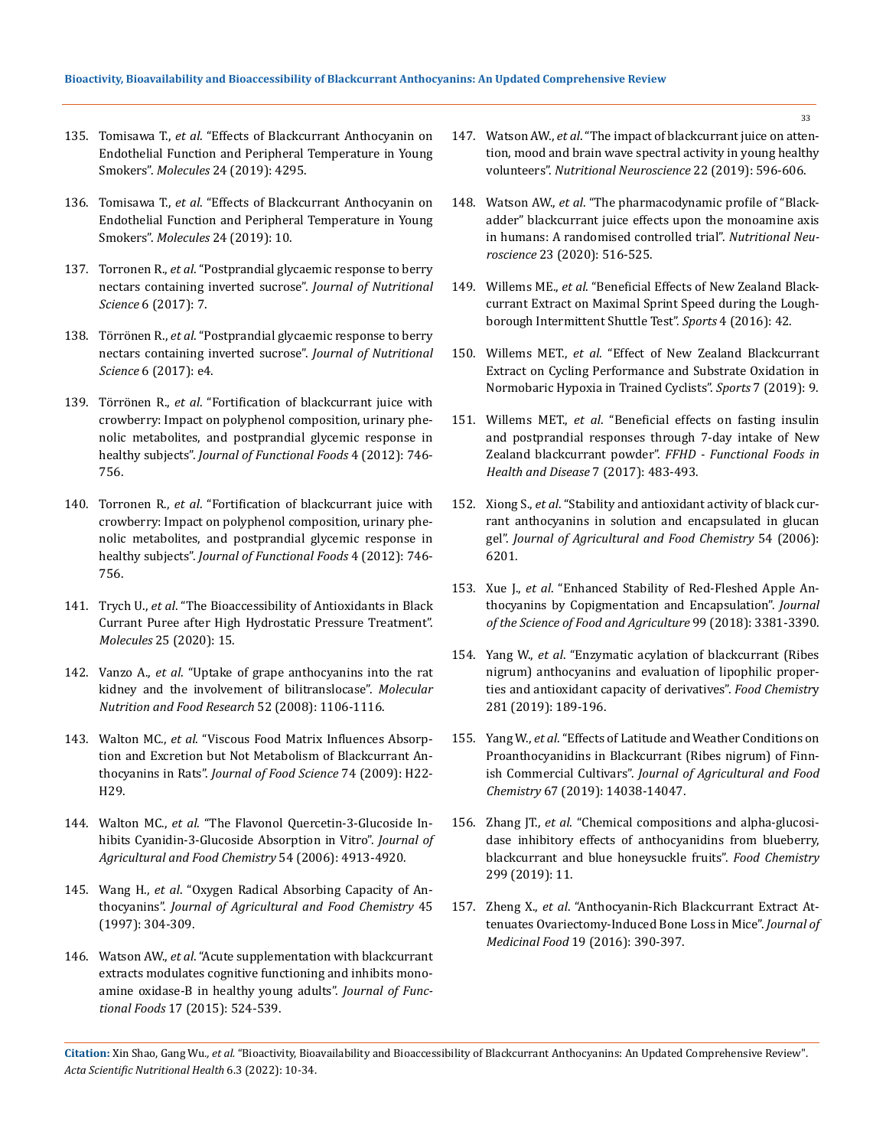- 135. Tomisawa T., *et al*[. "Effects of Blackcurrant Anthocyanin on](https://pubmed.ncbi.nlm.nih.gov/31775353/)  [Endothelial Function and Peripheral Temperature in Young](https://pubmed.ncbi.nlm.nih.gov/31775353/)  Smokers". *Molecules* [24 \(2019\): 4295.](https://pubmed.ncbi.nlm.nih.gov/31775353/)
- 136. Tomisawa T., *et al*[. "Effects of Blackcurrant Anthocyanin on](https://pubmed.ncbi.nlm.nih.gov/31775353/)  [Endothelial Function and Peripheral Temperature in Young](https://pubmed.ncbi.nlm.nih.gov/31775353/)  Smokers". *Molecules* [24 \(2019\): 10.](https://pubmed.ncbi.nlm.nih.gov/31775353/)
- 137. Torronen R., *et al*[. "Postprandial glycaemic response to berry](https://www.ncbi.nlm.nih.gov/pmc/articles/PMC5465854/)  [nectars containing inverted sucrose".](https://www.ncbi.nlm.nih.gov/pmc/articles/PMC5465854/) *Journal of Nutritional Science* [6 \(2017\): 7.](https://www.ncbi.nlm.nih.gov/pmc/articles/PMC5465854/)
- 138. Törrönen R., *et al*[. "Postprandial glycaemic response to berry](https://www.ncbi.nlm.nih.gov/pmc/articles/PMC5465854/)  [nectars containing inverted sucrose".](https://www.ncbi.nlm.nih.gov/pmc/articles/PMC5465854/) *Journal of Nutritional Science* [6 \(2017\): e4.](https://www.ncbi.nlm.nih.gov/pmc/articles/PMC5465854/)
- 139. Törrönen R., *et al*[. "Fortification of blackcurrant juice with](https://www.sciencedirect.com/science/article/abs/pii/S1756464612000722)  [crowberry: Impact on polyphenol composition, urinary phe](https://www.sciencedirect.com/science/article/abs/pii/S1756464612000722)[nolic metabolites, and postprandial glycemic response in](https://www.sciencedirect.com/science/article/abs/pii/S1756464612000722)  healthy subjects". *[Journal of Functional Foods](https://www.sciencedirect.com/science/article/abs/pii/S1756464612000722)* 4 (2012): 746- [756.](https://www.sciencedirect.com/science/article/abs/pii/S1756464612000722)
- 140. Torronen R., *et al*[. "Fortification of blackcurrant juice with](https://www.sciencedirect.com/science/article/abs/pii/S1756464612000722)  [crowberry: Impact on polyphenol composition, urinary phe](https://www.sciencedirect.com/science/article/abs/pii/S1756464612000722)[nolic metabolites, and postprandial glycemic response in](https://www.sciencedirect.com/science/article/abs/pii/S1756464612000722)  healthy subjects". *[Journal of Functional Foods](https://www.sciencedirect.com/science/article/abs/pii/S1756464612000722)* 4 (2012): 746- [756.](https://www.sciencedirect.com/science/article/abs/pii/S1756464612000722)
- 141. Trych U., *et al*[. "The Bioaccessibility of Antioxidants in Black](https://www.mdpi.com/1420-3049/25/15/3544)  [Currant Puree after High Hydrostatic Pressure Treatment".](https://www.mdpi.com/1420-3049/25/15/3544)  *Molecules* [25 \(2020\): 15.](https://www.mdpi.com/1420-3049/25/15/3544)
- 142. Vanzo A., *et al*[. "Uptake of grape anthocyanins into the rat](https://pubmed.ncbi.nlm.nih.gov/18655007/)  [kidney and the involvement of bilitranslocase".](https://pubmed.ncbi.nlm.nih.gov/18655007/) *Molecular [Nutrition and Food Research](https://pubmed.ncbi.nlm.nih.gov/18655007/)* 52 (2008): 1106-1116.
- 143. Walton MC., *et al*[. "Viscous Food Matrix Influences Absorp](https://pubmed.ncbi.nlm.nih.gov/19200098/)[tion and Excretion but Not Metabolism of Blackcurrant An](https://pubmed.ncbi.nlm.nih.gov/19200098/)thocyanins in Rats". *[Journal of Food Science](https://pubmed.ncbi.nlm.nih.gov/19200098/)* 74 (2009): H22- [H29.](https://pubmed.ncbi.nlm.nih.gov/19200098/)
- 144. Walton MC., *et al*[. "The Flavonol Quercetin-3-Glucoside In](https://pubmed.ncbi.nlm.nih.gov/16787048/)[hibits Cyanidin-3-Glucoside Absorption in Vitro".](https://pubmed.ncbi.nlm.nih.gov/16787048/) *Journal of [Agricultural and Food Chemistry](https://pubmed.ncbi.nlm.nih.gov/16787048/)* 54 (2006): 4913-4920.
- 145. Wang H., *et al*[. "Oxygen Radical Absorbing Capacity of An](https://pubs.acs.org/doi/pdf/10.1021/jf960421t)thocyanins". *[Journal of Agricultural and Food Chemistry](https://pubs.acs.org/doi/pdf/10.1021/jf960421t)* 45 [\(1997\): 304-309.](https://pubs.acs.org/doi/pdf/10.1021/jf960421t)
- 146. Watson AW., *et al*[. "Acute supplementation with blackcurrant](https://www.sciencedirect.com/science/article/abs/pii/S1756464615002893)  [extracts modulates cognitive functioning and inhibits mono](https://www.sciencedirect.com/science/article/abs/pii/S1756464615002893)[amine oxidase-B in healthy young adults".](https://www.sciencedirect.com/science/article/abs/pii/S1756464615002893) *Journal of Functional Foods* [17 \(2015\): 524-539.](https://www.sciencedirect.com/science/article/abs/pii/S1756464615002893)
- 147. Watson AW., *et al*[. "The impact of blackcurrant juice on atten](https://pubmed.ncbi.nlm.nih.gov/29343201/)[tion, mood and brain wave spectral activity in young healthy](https://pubmed.ncbi.nlm.nih.gov/29343201/)  volunteers". *[Nutritional Neuroscience](https://pubmed.ncbi.nlm.nih.gov/29343201/)* 22 (2019): 596-606.
- 148. Watson AW., *et al*[. "The pharmacodynamic profile of "Black](https://pubmed.ncbi.nlm.nih.gov/30289026/)[adder" blackcurrant juice effects upon the monoamine axis](https://pubmed.ncbi.nlm.nih.gov/30289026/)  [in humans: A randomised controlled trial".](https://pubmed.ncbi.nlm.nih.gov/30289026/) *Nutritional Neuroscience* [23 \(2020\): 516-525.](https://pubmed.ncbi.nlm.nih.gov/30289026/)
- 149. Willems ME., *et al*[. "Beneficial Effects of New Zealand Black](https://www.ncbi.nlm.nih.gov/pmc/articles/PMC5968887/)[currant Extract on Maximal Sprint Speed during the Lough](https://www.ncbi.nlm.nih.gov/pmc/articles/PMC5968887/)[borough Intermittent Shuttle Test".](https://www.ncbi.nlm.nih.gov/pmc/articles/PMC5968887/) *Sports* 4 (2016): 42.
- 150. Willems MET., *et al*[. "Effect of New Zealand Blackcurrant](https://pubmed.ncbi.nlm.nih.gov/30884866/)  [Extract on Cycling Performance and Substrate Oxidation in](https://pubmed.ncbi.nlm.nih.gov/30884866/)  [Normobaric Hypoxia in Trained Cyclists".](https://pubmed.ncbi.nlm.nih.gov/30884866/) *Sports* 7 (2019): 9.
- 151. Willems MET., *et al*[. "Beneficial effects on fasting insulin](https://ffhdj.com/index.php/ffhd/article/view/335)  [and postprandial responses through 7-day intake of New](https://ffhdj.com/index.php/ffhd/article/view/335)  Zealand blackcurrant powder". *[FFHD - Functional Foods in](https://ffhdj.com/index.php/ffhd/article/view/335)  [Health and Disease](https://ffhdj.com/index.php/ffhd/article/view/335)* 7 (2017): 483-493.
- 152. Xiong S., *et al*[. "Stability and antioxidant activity of black cur](https://pubmed.ncbi.nlm.nih.gov/16910708/)[rant anthocyanins in solution and encapsulated in glucan](https://pubmed.ncbi.nlm.nih.gov/16910708/)  gel". *[Journal of Agricultural and Food Chemistry](https://pubmed.ncbi.nlm.nih.gov/16910708/)* 54 (2006): [6201.](https://pubmed.ncbi.nlm.nih.gov/16910708/)
- 153. Xue J., *et al*[. "Enhanced Stability of Red-Fleshed Apple An](https://dialnet.unirioja.es/servlet/articulo?codigo=6955606)[thocyanins by Copigmentation and Encapsulation".](https://dialnet.unirioja.es/servlet/articulo?codigo=6955606) *Journal [of the Science of Food and Agriculture](https://dialnet.unirioja.es/servlet/articulo?codigo=6955606)* 99 (2018): 3381-3390.
- 154. Yang W., *et al*[. "Enzymatic acylation of blackcurrant \(Ribes](https://www.scilit.net/article/383fc2fd228106ceb62a2dbe67976756?action=show-references)  [nigrum\) anthocyanins and evaluation of lipophilic proper](https://www.scilit.net/article/383fc2fd228106ceb62a2dbe67976756?action=show-references)[ties and antioxidant capacity of derivatives".](https://www.scilit.net/article/383fc2fd228106ceb62a2dbe67976756?action=show-references) *Food Chemistr*y [281 \(2019\): 189-196.](https://www.scilit.net/article/383fc2fd228106ceb62a2dbe67976756?action=show-references)
- 155. Yang W., *et al*[. "Effects of Latitude and Weather Conditions on](https://pubs.acs.org/doi/abs/10.1021/acs.jafc.9b06031)  [Proanthocyanidins in Blackcurrant \(Ribes nigrum\) of Finn](https://pubs.acs.org/doi/abs/10.1021/acs.jafc.9b06031)ish Commercial Cultivars". *[Journal of Agricultural and Food](https://pubs.acs.org/doi/abs/10.1021/acs.jafc.9b06031)  Chemistry* [67 \(2019\): 14038-14047.](https://pubs.acs.org/doi/abs/10.1021/acs.jafc.9b06031)
- 156. Zhang JT., *et al*[. "Chemical compositions and alpha-glucosi](https://www.sciencedirect.com/science/article/abs/pii/S0308814619312075)[dase inhibitory effects of anthocyanidins from blueberry,](https://www.sciencedirect.com/science/article/abs/pii/S0308814619312075)  [blackcurrant and blue honeysuckle fruits".](https://www.sciencedirect.com/science/article/abs/pii/S0308814619312075) *Food Chemistry* [299 \(2019\): 11.](https://www.sciencedirect.com/science/article/abs/pii/S0308814619312075)
- 157. Zheng X., *et al*[. "Anthocyanin-Rich Blackcurrant Extract At](https://www.liebertpub.com/doi/10.1089/jmf.2015.0148)[tenuates Ovariectomy-Induced Bone Loss in Mice".](https://www.liebertpub.com/doi/10.1089/jmf.2015.0148) *Journal of Medicinal Food* [19 \(2016\): 390-397.](https://www.liebertpub.com/doi/10.1089/jmf.2015.0148)